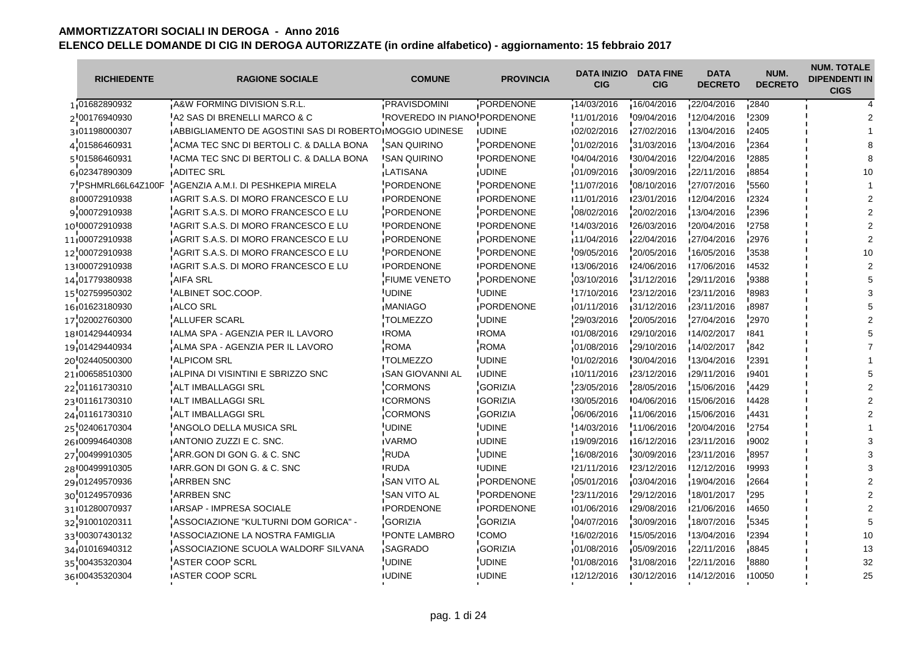| <b>RICHIEDENTE</b> | <b>RAGIONE SOCIALE</b>                                          | <b>COMUNE</b>               | <b>PROVINCIA</b>  | <b>DATA INIZIO</b><br><b>CIG</b> | <b>DATA FINE</b><br><b>CIG</b> | <b>DATA</b><br><b>DECRETO</b> | NUM.<br><b>DECRETO</b> | <b>NUM. TOTALE</b><br><b>DIPENDENTI IN</b><br><b>CIGS</b> |
|--------------------|-----------------------------------------------------------------|-----------------------------|-------------------|----------------------------------|--------------------------------|-------------------------------|------------------------|-----------------------------------------------------------|
| 1 01682890932      | A&W FORMING DIVISION S.R.L.                                     | PRAVISDOMINI                | PORDENONE         | 14/03/2016                       | 16/04/2016                     | 22/04/2016                    | 2840                   |                                                           |
| 2'00176940930      | A2 SAS DI BRENELLI MARCO & C                                    | ROVEREDO IN PIANO PORDENONE |                   | 11/01/2016                       | $-09/04/2016$                  | 12/04/2016                    | 2309                   |                                                           |
| 3101198000307      | <b>IABBIGLIAMENTO DE AGOSTINI SAS DI ROBERTO MOGGIO UDINESE</b> |                             | <b>IUDINE</b>     | 02/02/2016                       | 127/02/2016                    | 13/04/2016                    | ∎2405                  |                                                           |
| 4'01586460931      | ACMA TEC SNC DI BERTOLI C. & DALLA BONA                         | <b>SAN QUIRINO</b>          | PORDENONE         | 01/02/2016                       | 31/03/2016                     | 13/04/2016                    | 2364                   |                                                           |
| 5'01586460931      | IACMA TEC SNC DI BERTOLI C. & DALLA BONA                        | <b>ISAN QUIRINO</b>         | <b>IPORDENONE</b> | 104/04/2016                      | 130/04/2016                    | 22/04/2016                    | <b>'2885</b>           |                                                           |
| 6 02347890309      | <b>ADITEC SRL</b>                                               | LATISANA                    | <b>UDINE</b>      | 01/09/2016                       | 30/09/2016                     | 22/11/2016                    | $-8854$                |                                                           |
| 7 PSHMRL66L64Z100F | AGENZIA A.M.I. DI PESHKEPIA MIRELA                              | <b>PORDENONE</b>            | PORDENONE         | 11/07/2016                       | 08/10/2016                     | 27/07/2016                    | 5560                   |                                                           |
| 8100072910938      | <b>IAGRIT S.A.S. DI MORO FRANCESCO E LU</b>                     | <b>IPORDENONE</b>           | <b>IPORDENONE</b> | 11/01/2016                       | 123/01/2016                    | 12/04/2016                    | ∎2324                  |                                                           |
| 9'00072910938      | AGRIT S.A.S. DI MORO FRANCESCO E LU                             | <b>PORDENONE</b>            | PORDENONE         | 08/02/2016                       | 20/02/2016                     | 13/04/2016                    | 2396                   |                                                           |
| 10 00072910938     | LAGRIT S.A.S. DI MORO FRANCESCO E LU                            | <b>IPORDENONE</b>           | <b>IPORDENONE</b> | <b>14/03/2016</b>                | 26/03/2016                     | 20/04/2016                    | <b>'2758</b>           |                                                           |
| 11 00072910938     | AGRIT S.A.S. DI MORO FRANCESCO E LU                             | PORDENONE                   | PORDENONE         | 11/04/2016                       | 22/04/2016                     | 27/04/2016                    | 2976                   |                                                           |
| 12 00072910938     | AGRIT S.A.S. DI MORO FRANCESCO E LU                             | <b>PORDENONE</b>            | PORDENONE         | 09/05/2016                       | 20/05/2016                     | 16/05/2016                    | 3538                   |                                                           |
| 13100072910938     | <b>IAGRIT S.A.S. DI MORO FRANCESCO E LU</b>                     | <b>IPORDENONE</b>           | <b>IPORDENONE</b> | 13/06/2016                       | 124/06/2016                    | ■17/06/2016                   | 14532                  |                                                           |
| 14 01779380938     | <b>AIFA SRL</b>                                                 | <b>FIUME VENETO</b>         | PORDENONE         | 03/10/2016                       | 31/12/2016                     | 29/11/2016                    | 9388                   |                                                           |
| 15 02759950302     | ALBINET SOC.COOP.                                               | <b>UDINE</b>                | <b>UDINE</b>      | 17/10/2016                       | 23/12/2016                     | 23/11/2016                    | '8983                  |                                                           |
| 16:01623180930     | <b>ALCO SRL</b>                                                 | <b>MANIAGO</b>              | <b>PORDENONE</b>  | 01/11/2016                       | 31/12/2016                     | 23/11/2016                    | 18987                  |                                                           |
| 17'02002760300     | ALLUFER SCARL                                                   | <b>TOLMEZZO</b>             | <b>UDINE</b>      | 29/03/2016                       | 20/05/2016                     | 27/04/2016                    | 2970                   |                                                           |
| 18 01429440934     | IALMA SPA - AGENZIA PER IL LAVORO                               | <b>IROMA</b>                | <b>IROMA</b>      | 101/08/2016                      | 129/10/2016                    | 14/02/2017                    | ∎841                   |                                                           |
| 19 01429440934     | ALMA SPA - AGENZIA PER IL LAVORO                                | <b>ROMA</b>                 | <b>ROMA</b>       | 01/08/2016                       | 29/10/2016                     | 14/02/2017                    | 842                    |                                                           |
| 20'02440500300     | <b>ALPICOM SRL</b>                                              | <b>TOLMEZZO</b>             | <b>UDINE</b>      | 01/02/2016                       | 30/04/2016                     | 13/04/2016                    | 2391                   |                                                           |
| 21 00658510300     | <b>ALPINA DI VISINTINI E SBRIZZO SNC</b>                        | <b>ISAN GIOVANNI AL</b>     | <b>IUDINE</b>     | 10/11/2016                       | 23/12/2016                     | 29/11/2016                    | ∎9401                  |                                                           |
| 22 01161730310     | ALT IMBALLAGGI SRL                                              | <b>CORMONS</b>              | GORIZIA           | 23/05/2016                       | 28/05/2016                     | 15/06/2016                    | 4429                   |                                                           |
| 23 01161730310     | <b>JALT IMBALLAGGI SRL</b>                                      | <b>CORMONS</b>              | <b>GORIZIA</b>    | 130/05/2016                      | 104/06/2016                    | 15/06/2016                    | -4428                  |                                                           |
| 24 01161730310     | ALT IMBALLAGGI SRL                                              | CORMONS                     | <b>GORIZIA</b>    | 06/06/2016                       | 11/06/2016                     | 15/06/2016                    | $-4431$                |                                                           |
| 25'02406170304     | ANGOLO DELLA MUSICA SRL                                         | <b>UDINE</b>                | <b>UDINE</b>      | 14/03/2016                       | 11/06/2016                     | 20/04/2016                    | $-2754$                |                                                           |
| 26100994640308     | <b>IANTONIO ZUZZI E C. SNC.</b>                                 | <b>IVARMO</b>               | <b>IUDINE</b>     | 19/09/2016                       | 16/12/2016                     | 123/11/2016                   | ∎9002                  |                                                           |
| 27 00499910305     | ARR.GON DI GON G. & C. SNC                                      | <b>RUDA</b>                 | <b>UDINE</b>      | 16/08/2016                       | 30/09/2016                     | 23/11/2016                    | 8957                   |                                                           |
| 28 00499910305     | ARR.GON DI GON G. & C. SNC                                      | <b>RUDA</b>                 | <b>IUDINE</b>     | 21/11/2016                       | '23/12/2016                    | 12/12/2016                    | 19993                  |                                                           |
| 29 01249570936     | <b>ARRBEN SNC</b>                                               | <b>SAN VITO AL</b>          | PORDENONE         | 05/01/2016                       | 03/04/2016                     | 19/04/2016                    | 2664                   |                                                           |
| 30 01249570936     | <b>ARRBEN SNC</b>                                               | <b>SAN VITO AL</b>          | PORDENONE         | 23/11/2016                       | 29/12/2016                     | 18/01/2017                    | 295                    |                                                           |
| 31 01280070937     | <b>IARSAP - IMPRESA SOCIALE</b>                                 | <b>IPORDENONE</b>           | <b>IPORDENONE</b> | 101/06/2016                      | 129/08/2016                    | 121/06/2016                   | 14650                  |                                                           |
| 32 91001020311     | ASSOCIAZIONE "KULTURNI DOM GORICA" -                            | <b>GORIZIA</b>              | <b>GORIZIA</b>    | 04/07/2016                       | 30/09/2016                     | 18/07/2016                    | 5345                   |                                                           |
| 33'00307430132     | ASSOCIAZIONE LA NOSTRA FAMIGLIA                                 | <b>PONTE LAMBRO</b>         | <b>COMO</b>       | 16/02/2016                       | 15/05/2016                     | 13/04/2016                    | 2394                   | 10                                                        |
| 34 01016940312     | ASSOCIAZIONE SCUOLA WALDORF SILVANA                             | SAGRADO                     | <b>GORIZIA</b>    | 01/08/2016                       | 05/09/2016                     | 22/11/2016                    | ∎8845                  | 13                                                        |
| 35'00435320304     | ASTER COOP SCRL                                                 | UDINE                       | <b>UDINE</b>      | 01/08/2016                       | 31/08/2016                     | 22/11/2016                    | 8880                   | 32                                                        |
| 36 00435320304     | <b>IASTER COOP SCRL</b>                                         | <b>IUDINE</b>               | <b>UDINE</b>      | 12/12/2016                       | 130/12/2016                    | 14/12/2016                    | <b>10050</b>           | 25                                                        |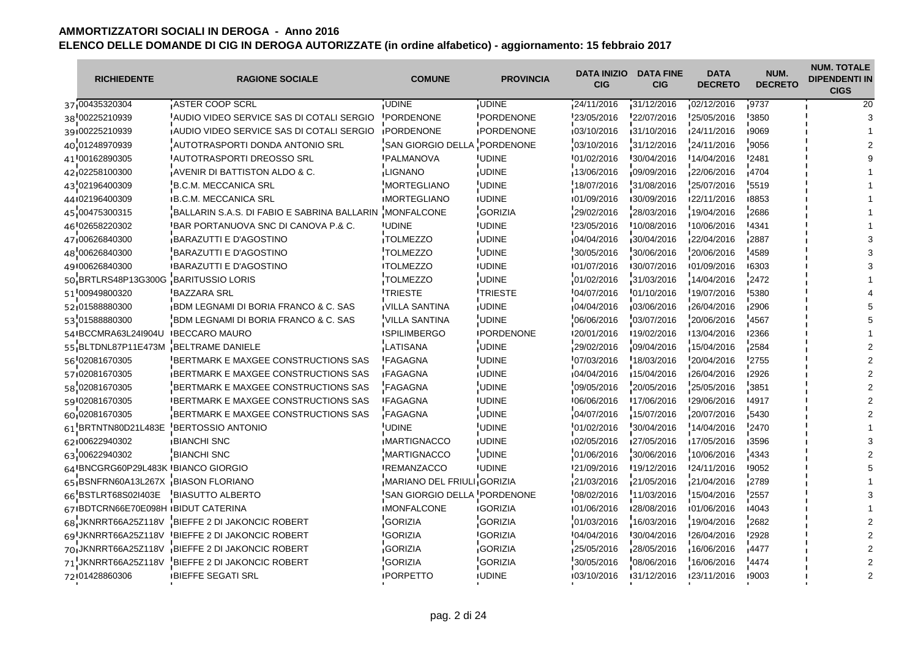| <b>RICHIEDENTE</b>                  | <b>RAGIONE SOCIALE</b>                          | <b>COMUNE</b>               | <b>PROVINCIA</b>  | <b>DATA INIZIO</b><br><b>CIG</b> | <b>DATA FINE</b><br><b>CIG</b> | <b>DATA</b><br><b>DECRETO</b> | NUM.<br><b>DECRETO</b> | <b>NUM. TOTALE</b><br><b>DIPENDENTI IN</b><br><b>CIGS</b> |
|-------------------------------------|-------------------------------------------------|-----------------------------|-------------------|----------------------------------|--------------------------------|-------------------------------|------------------------|-----------------------------------------------------------|
| 37 00435320304                      | ASTER COOP SCRL                                 | <b>UDINE</b>                | <b>UDINE</b>      | 24/11/2016                       | 31/12/2016                     | 02/12/2016                    | 9737                   | 20                                                        |
| 38 00225210939                      | AUDIO VIDEO SERVICE SAS DI COTALI SERGIO        | <b>PORDENONE</b>            | <b>PORDENONE</b>  | 23/05/2016                       | 22/07/2016                     | 25/05/2016                    | 3850                   |                                                           |
| 39:00225210939                      | <b>AUDIO VIDEO SERVICE SAS DI COTALI SERGIO</b> | <b>IPORDENONE</b>           | <b>IPORDENONE</b> | 103/10/2016                      | 131/10/2016                    | 124/11/2016                   | 19069                  |                                                           |
| 40 01248970939                      | AUTOTRASPORTI DONDA ANTONIO SRL                 | 'SAN GIORGIO DELLA          | PORDENONE         | 03/10/2016                       | 31/12/2016                     | 24/11/2016                    | 9056                   |                                                           |
| 41 00162890305                      | IAUTOTRASPORTI DREOSSO SRL                      | <b>IPALMANOVA</b>           | <b>UDINE</b>      | 101/02/2016                      | 130/04/2016                    | 14/04/2016                    | <b>'2481</b>           |                                                           |
| 42.02258100300                      | AVENIR DI BATTISTON ALDO & C.                   | LIGNANO                     | <b>UDINE</b>      | 13/06/2016                       | 09/09/2016                     | 22/06/2016                    | $-4704$                |                                                           |
| 43'02196400309                      | B.C.M. MECCANICA SRL                            | <b>MORTEGLIANO</b>          | <b>UDINE</b>      | 18/07/2016                       | 31/08/2016                     | 25/07/2016                    | 5519                   |                                                           |
| 44102196400309                      | <b>B.C.M. MECCANICA SRL</b>                     | <b>IMORTEGLIANO</b>         | <b>IUDINE</b>     | 101/09/2016                      | 130/09/2016                    | 122/11/2016                   | 18853                  |                                                           |
| 45 00475300315                      | BALLARIN S.A.S. DI FABIO E SABRINA BALLARIN     | <b>MONFALCONE</b>           | <b>GORIZIA</b>    | 29/02/2016                       | 28/03/2016                     | 19/04/2016                    | 2686                   |                                                           |
| 46 02658220302                      | <b>IBAR PORTANUOVA SNC DI CANOVA P.&amp; C.</b> | <b>UDINE</b>                | <b>UDINE</b>      | 123/05/2016                      | 10/08/2016                     | 10/06/2016                    | 14341                  |                                                           |
| 47,00626840300                      | <b>BARAZUTTI E D'AGOSTINO</b>                   | TOLMEZZO                    | <b>UDINE</b>      | 04/04/2016                       | 30/04/2016                     | 22/04/2016                    | 2887                   |                                                           |
| 48'00626840300                      | BARAZUTTI E D'AGOSTINO                          | <b>TOLMEZZO</b>             | <b>UDINE</b>      | 30/05/2016                       | 30/06/2016                     | 20/06/2016                    | 4589                   |                                                           |
| 49100626840300                      | <b>BARAZUTTI E D'AGOSTINO</b>                   | <b>ITOLMEZZO</b>            | <b>UDINE</b>      | 101/07/2016                      | 130/07/2016                    | 101/09/2016                   | ■6303                  |                                                           |
| 50 BRTLRS48P13G300G                 | <b>BARITUSSIO LORIS</b>                         | <b>TOLMEZZO</b>             | <b>UDINE</b>      | 01/02/2016                       | 31/03/2016                     | 14/04/2016                    | 2472                   |                                                           |
| 51 00949800320                      | <b>BAZZARA SRL</b>                              | <b><i>ITRIESTE</i></b>      | <b>TRIESTE</b>    | 04/07/2016                       | 01/10/2016                     | 19/07/2016                    | '5380                  |                                                           |
| 52,01588880300                      | <b>BDM LEGNAMI DI BORIA FRANCO &amp; C. SAS</b> | IVILLA SANTINA              | <b>UDINE</b>      | 04/04/2016                       | 03/06/2016                     | 26/04/2016                    | <b>2906</b>            |                                                           |
| 53 01588880300                      | BDM LEGNAMI DI BORIA FRANCO & C. SAS            | 'VILLA SANTINA              | <b>UDINE</b>      | 06/06/2016                       | 03/07/2016                     | 20/06/2016                    | 4567                   |                                                           |
| 54 BCCMRA63L24I904U                 | <b>IBECCARO MAURO</b>                           | <b>ISPILIMBERGO</b>         | <b>IPORDENONE</b> | 120/01/2016                      | 19/02/2016                     | 13/04/2016                    | <b>I2366</b>           |                                                           |
| 55 BLTDNL87P11E473M                 | BELTRAME DANIELE                                | <b>LATISANA</b>             | <b>UDINE</b>      | 29/02/2016                       | 09/04/2016                     | 15/04/2016                    | 2584                   |                                                           |
| 56 02081670305                      | BERTMARK E MAXGEE CONSTRUCTIONS SAS             | <b>FAGAGNA</b>              | <b>UDINE</b>      | 07/03/2016                       | 18/03/2016                     | 20/04/2016                    | '2755                  |                                                           |
| 57 02081670305                      | BERTMARK E MAXGEE CONSTRUCTIONS SAS             | <b>FAGAGNA</b>              | <b>UDINE</b>      | 04/04/2016                       | 15/04/2016                     | 26/04/2016                    | ■2926                  |                                                           |
| 58 02081670305                      | BERTMARK E MAXGEE CONSTRUCTIONS SAS             | <b>FAGAGNA</b>              | <b>UDINE</b>      | 09/05/2016                       | 20/05/2016                     | 25/05/2016                    | 3851                   |                                                           |
| 59 02081670305                      | <b>IBERTMARK E MAXGEE CONSTRUCTIONS SAS</b>     | <b>IFAGAGNA</b>             | <b>UDINE</b>      | 106/06/2016                      | 17/06/2016                     | 129/06/2016                   | -4917                  |                                                           |
| 60 02081670305                      | <b>BERTMARK E MAXGEE CONSTRUCTIONS SAS</b>      | FAGAGNA                     | <b>UDINE</b>      | 04/07/2016                       | 15/07/2016                     | 20/07/2016                    | 5430                   |                                                           |
| 61 BRTNTN80D21L483E                 | <b>BERTOSSIO ANTONIO</b>                        | UDINE <sup>.</sup>          | <b>UDINE</b>      | 01/02/2016                       | 30/04/2016                     | 14/04/2016                    | 2470                   |                                                           |
| 62100622940302                      | <b>BIANCHI SNC</b>                              | <b>IMARTIGNACCO</b>         | <b>IUDINE</b>     | 02/05/2016                       | 127/05/2016                    | 17/05/2016                    | ■3596                  |                                                           |
| 63 00622940302                      | <b>BIANCHI SNC</b>                              | <b>MARTIGNACCO</b>          | <b>UDINE</b>      | 01/06/2016                       | 30/06/2016                     | 10/06/2016                    | 4343                   |                                                           |
| 64 BNCGRG60P29L483K BIANCO GIORGIO  |                                                 | <b>IREMANZACCO</b>          | <b>UDINE</b>      | 121/09/2016                      | 19/12/2016                     | 24/11/2016                    | <b>'9052</b>           |                                                           |
| 65 BSNFRN60A13L267X BIASON FLORIANO |                                                 | MARIANO DEL FRIULI GORIZIA  |                   | 21/03/2016                       | 21/05/2016                     | 21/04/2016                    | 2789                   |                                                           |
| 66 BSTLRT68S02I403E                 | <b>BIASUTTO ALBERTO</b>                         | SAN GIORGIO DELLA PORDENONE |                   | 08/02/2016                       | 11/03/2016                     | 15/04/2016                    | 2557                   |                                                           |
| 67 BDTCRN66E70E098H BIDUT CATERINA  |                                                 | <b>IMONFALCONE</b>          | <b>IGORIZIA</b>   | 101/06/2016                      | 128/08/2016                    | 101/06/2016                   | 14043                  |                                                           |
|                                     | 68 JKNRRT66A25Z118V BIEFFE 2 DI JAKONCIC ROBERT | <b>GORIZIA</b>              | <b>GORIZIA</b>    | 01/03/2016                       | 16/03/2016                     | 19/04/2016                    | 2682                   |                                                           |
|                                     | 69 JKNRRT66A25Z118V BIEFFE 2 DI JAKONCIC ROBERT | <b>GORIZIA</b>              | <b>GORIZIA</b>    | 04/04/2016                       | 30/04/2016                     | 26/04/2016                    | '2928                  |                                                           |
|                                     | 70 JKNRRT66A25Z118V BIEFFE 2 DI JAKONCIC ROBERT | <b>GORIZIA</b>              | GORIZIA           | 25/05/2016                       | 28/05/2016                     | 16/06/2016                    | 14477                  |                                                           |
| 71 JKNRRT66A25Z118V                 | BIEFFE 2 DI JAKONCIC ROBERT                     | <b>GORIZIA</b>              | <b>GORIZIA</b>    | 30/05/2016                       | 08/06/2016                     | 16/06/2016                    | 4474                   |                                                           |
| 72 01428860306                      | <b>IBIEFFE SEGATI SRL</b>                       | <b>IPORPETTO</b>            | <b>UDINE</b>      | 03/10/2016                       | 131/12/2016                    | 123/11/2016                   | 19003                  |                                                           |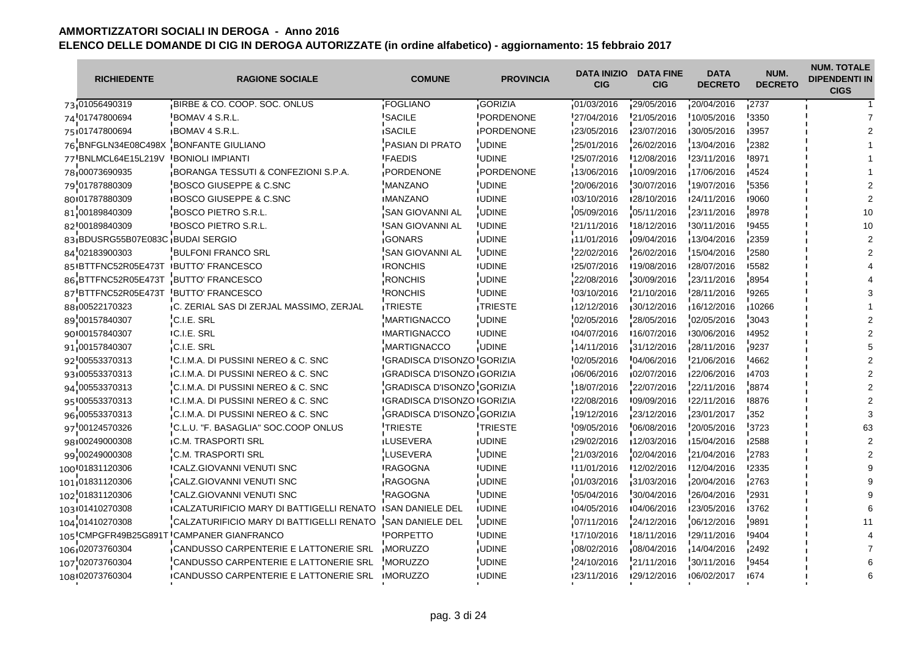| <b>RICHIEDENTE</b>                   | <b>RAGIONE SOCIALE</b>                                 | <b>COMUNE</b>                      | <b>PROVINCIA</b>  | <b>DATA INIZIO</b><br><b>CIG</b> | <b>DATA FINE</b><br><b>CIG</b> | <b>DATA</b><br><b>DECRETO</b> | NUM.<br><b>DECRETO</b> | <b>NUM. TOTALE</b><br><b>DIPENDENTI IN</b><br><b>CIGS</b> |
|--------------------------------------|--------------------------------------------------------|------------------------------------|-------------------|----------------------------------|--------------------------------|-------------------------------|------------------------|-----------------------------------------------------------|
| 73 01056490319                       | BIRBE & CO. COOP. SOC. ONLUS                           | FOGLIANO                           | <b>GORIZIA</b>    | 01/03/2016                       | 29/05/2016                     | 20/04/2016                    | 2737                   |                                                           |
| 74'01747800694                       | BOMAV 4 S.R.L.                                         | SACILE                             | PORDENONE         | 27/04/2016                       | 21/05/2016                     | 10/05/2016                    | 3350                   |                                                           |
| 75 01747800694                       | <b>BOMAV 4 S.R.L.</b>                                  | <b>ISACILE</b>                     | <b>IPORDENONE</b> | 123/05/2016                      | 123/07/2016                    | 130/05/2016                   | 13957                  |                                                           |
| 76 BNFGLN34E08C498X                  | <b>BONFANTE GIULIANO</b>                               | PASIAN DI PRATO                    | <b>UDINE</b>      | 25/01/2016                       | 26/02/2016                     | 13/04/2016                    | 2382                   |                                                           |
| 77 BNLMCL64E15L219V BONIOLI IMPIANTI |                                                        | <b>IFAEDIS</b>                     | <b>IUDINE</b>     | 125/07/2016                      | 12/08/2016                     | 123/11/2016                   | -8971                  |                                                           |
| 78 00073690935                       | BORANGA TESSUTI & CONFEZIONI S.P.A.                    | PORDENONE                          | PORDENONE         | 13/06/2016                       | 10/09/2016                     | 17/06/2016                    | 14524                  |                                                           |
| 79'01787880309                       | BOSCO GIUSEPPE & C.SNC                                 | <b>MANZANO</b>                     | <b>UDINE</b>      | 20/06/2016                       | 30/07/2016                     | 19/07/2016                    | 5356                   |                                                           |
| 80 01787880309                       | <b>IBOSCO GIUSEPPE &amp; C.SNC</b>                     | <b>IMANZANO</b>                    | <b>IUDINE</b>     | 03/10/2016                       | 128/10/2016                    | 124/11/2016                   | 19060                  |                                                           |
| 81 00189840309                       | <b>BOSCO PIETRO S.R.L.</b>                             | SAN GIOVANNI AL                    | <b>UDINE</b>      | 05/09/2016                       | 05/11/2016                     | 23/11/2016                    | 8978                   |                                                           |
| 82 00189840309                       | <b>IBOSCO PIETRO S.R.L.</b>                            | <b>ISAN GIOVANNI AL</b>            | <b>IUDINE</b>     | 21/11/2016                       | 18/12/2016                     | 30/11/2016                    | <b>'</b> 9455          | 10                                                        |
| 83 BDUSRG55B07E083C BUDAI SERGIO     |                                                        | GONARS                             | <b>UDINE</b>      | 11/01/2016                       | 09/04/2016                     | 13/04/2016                    | 2359                   |                                                           |
| 84'02183900303                       | <b>BULFONI FRANCO SRL</b>                              | <b>SAN GIOVANNI AL</b>             | <b>UDINE</b>      | 22/02/2016                       | 26/02/2016                     | 15/04/2016                    | 2580                   |                                                           |
|                                      | 85 IBTTFNC52R05E473T IBUTTO' FRANCESCO                 | <b>IRONCHIS</b>                    | <b>IUDINE</b>     | 125/07/2016                      | ■19/08/2016                    | 128/07/2016                   | 15582                  |                                                           |
|                                      | 86 BTTFNC52R05E473T BUTTO' FRANCESCO                   | <b>RONCHIS</b>                     | <b>UDINE</b>      | 22/08/2016                       | 30/09/2016                     | 23/11/2016                    | 8954                   |                                                           |
|                                      | 87 BTTFNC52R05E473T BUTTO' FRANCESCO                   | <b>RONCHIS</b>                     | <b>UDINE</b>      | 03/10/2016                       | 21/10/2016                     | 28/11/2016                    | '9265                  |                                                           |
| 88 00522170323                       | C. ZERIAL SAS DI ZERJAL MASSIMO, ZERJAL                | <b>TRIESTE</b>                     | TRIESTE           | 12/12/2016                       | 30/12/2016                     | 16/12/2016                    | 10266                  |                                                           |
| 89 00157840307                       | C.I.E. SRL                                             | <b>MARTIGNACCO</b>                 | <b>UDINE</b>      | 02/05/2016                       | 28/05/2016                     | 02/05/2016                    | 3043                   |                                                           |
| 90 00157840307                       | <b>IC.I.E. SRL</b>                                     | <b>IMARTIGNACCO</b>                | <b>IUDINE</b>     | 104/07/2016                      | 16/07/2016                     | 130/06/2016                   | 14952                  |                                                           |
| 91 00157840307                       | C.I.E. SRL                                             | <b>MARTIGNACCO</b>                 | <b>UDINE</b>      | 14/11/2016                       | 31/12/2016                     | 28/11/2016                    | 9237                   |                                                           |
| 92 00553370313                       | C.I.M.A. DI PUSSINI NEREO & C. SNC                     | <b>GRADISCA D'ISONZO GORIZIA</b>   |                   | 02/05/2016                       | 04/06/2016                     | 21/06/2016                    | 4662                   |                                                           |
| 93 00553370313                       | C.I.M.A. DI PUSSINI NEREO & C. SNC                     | <b>GRADISCA D'ISONZO GORIZIA</b>   |                   | 06/06/2016                       | 02/07/2016                     | 22/06/2016                    | 1703                   |                                                           |
| 94 00553370313                       | C.I.M.A. DI PUSSINI NEREO & C. SNC                     | GRADISCA D'ISONZO GORIZIA          |                   | 18/07/2016                       | 22/07/2016                     | 22/11/2016                    | 8874                   |                                                           |
| 95 00553370313                       | <b>IC.I.M.A. DI PUSSINI NEREO &amp; C. SNC</b>         | <b>IGRADISCA D'ISONZO IGORIZIA</b> |                   | 122/08/2016                      | 109/09/2016                    | 122/11/2016                   | !8876                  |                                                           |
| 96 00553370313                       | C.I.M.A. DI PUSSINI NEREO & C. SNC                     | GRADISCA D'ISONZO GORIZIA          |                   | 19/12/2016                       | 23/12/2016                     | 23/01/2017                    | 352                    |                                                           |
| 97 00124570326                       | C.L.U. "F. BASAGLIA" SOC.COOP ONLUS                    | TRIESTE                            | <b>TRIESTE</b>    | 09/05/2016                       | 06/08/2016                     | 20/05/2016                    | '3723                  |                                                           |
| 98 00249000308                       | <b>IC.M. TRASPORTI SRL</b>                             | <b>ILUSEVERA</b>                   | <b>IUDINE</b>     | 129/02/2016                      | 12/03/2016                     | 15/04/2016                    | ∎2588                  |                                                           |
| 99 00249000308                       | <b>C.M. TRASPORTI SRL</b>                              | LUSEVERA                           | <b>UDINE</b>      | 21/03/2016                       | 02/04/2016                     | 21/04/2016                    | 2783                   |                                                           |
| 100 01831120306                      | <b>CALZ.GIOVANNI VENUTI SNC</b>                        | <b>RAGOGNA</b>                     | <b>IUDINE</b>     | 11/01/2016                       | 12/02/2016                     | 12/04/2016                    | '2335                  |                                                           |
| 101 01831120306                      | CALZ.GIOVANNI VENUTI SNC                               | RAGOGNA                            | <b>UDINE</b>      | 01/03/2016                       | 31/03/2016                     | 20/04/2016                    | 2763                   |                                                           |
| 102 01831120306                      | CALZ.GIOVANNI VENUTI SNC                               | <b>RAGOGNA</b>                     | <b>UDINE</b>      | 05/04/2016                       | 30/04/2016                     | 26/04/2016                    | 2931                   |                                                           |
| 103 01410270308                      | <b>ICALZATURIFICIO MARY DI BATTIGELLI RENATO</b>       | <b>ISAN DANIELE DEL</b>            | <b>IUDINE</b>     | 104/05/2016                      | 104/06/2016                    | 123/05/2016                   | Ⅰ3762                  |                                                           |
| 104 01410270308                      | CALZATURIFICIO MARY DI BATTIGELLI RENATO               | SAN DANIELE DEL                    | <b>UDINE</b>      | 07/11/2016                       | 24/12/2016                     | 06/12/2016                    | 9891                   |                                                           |
|                                      | 105 CMPGFR49B25G891T CAMPANER GIANFRANCO               | <b>PORPETTO</b>                    | <b>UDINE</b>      | 17/10/2016                       | 18/11/2016                     | 29/11/2016                    | '9404                  |                                                           |
| 106 02073760304                      | CANDUSSO CARPENTERIE E LATTONERIE SRL                  | <b>MORUZZO</b>                     | <b>UDINE</b>      | 08/02/2016                       | 08/04/2016                     | 14/04/2016                    | 2492                   |                                                           |
| 107 02073760304                      | CANDUSSO CARPENTERIE E LATTONERIE SRL                  | <b>MORUZZO</b>                     | <b>UDINE</b>      | 24/10/2016                       | 21/11/2016                     | 30/11/2016                    | 9454                   |                                                           |
| 108102073760304                      | <b>ICANDUSSO CARPENTERIE E LATTONERIE SRL IMORUZZO</b> |                                    | <b>IUDINE</b>     | 123/11/2016                      | 129/12/2016                    | 106/02/2017                   | 1674                   |                                                           |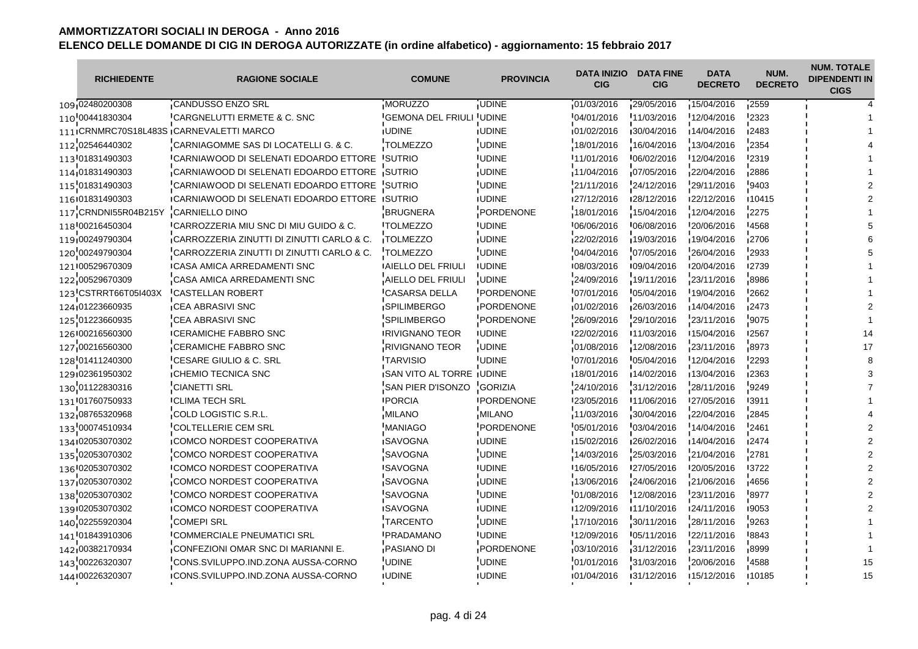| <b>RICHIEDENTE</b>   | <b>RAGIONE SOCIALE</b>                                | <b>COMUNE</b>             | <b>PROVINCIA</b>  | <b>DATA INIZIO</b><br><b>CIG</b> | <b>DATA FINE</b><br><b>CIG</b> | <b>DATA</b><br><b>DECRETO</b> | NUM.<br><b>DECRETO</b> | <b>NUM. TOTALE</b><br><b>DIPENDENTI IN</b><br><b>CIGS</b> |
|----------------------|-------------------------------------------------------|---------------------------|-------------------|----------------------------------|--------------------------------|-------------------------------|------------------------|-----------------------------------------------------------|
| 109 02480200308      | <b>CANDUSSO ENZO SRL</b>                              | MORUZZO                   | <b>UDINE</b>      | 01/03/2016                       | 29/05/2016                     | 15/04/2016                    | 2559                   |                                                           |
| 110 00441830304      | CARGNELUTTI ERMETE & C. SNC                           | <b>GEMONA DEL FRIULI</b>  | UDINE             | 04/01/2016                       | 11/03/2016                     | 12/04/2016                    | 2323                   |                                                           |
|                      | 111 CRNMRC70S18L483S CARNEVALETTI MARCO               | <b>IUDINE</b>             | <b>IUDINE</b>     | 01/02/2016                       | 130/04/2016                    | 14/04/2016                    | ∎2483                  |                                                           |
| 112 02546440302      | CARNIAGOMME SAS DI LOCATELLI G. & C.                  | <b>TOLMEZZO</b>           | <b>UDINE</b>      | 18/01/2016                       | 16/04/2016                     | 13/04/2016                    | 2354                   |                                                           |
| 113 01831490303      | <b>ICARNIAWOOD DI SELENATI EDOARDO ETTORE</b>         | <b>ISUTRIO</b>            | <b>IUDINE</b>     | 11/01/2016                       | 106/02/2016                    | 12/04/2016                    | <b>'2319</b>           |                                                           |
| 114 01831490303      | CARNIAWOOD DI SELENATI EDOARDO ETTORE                 | SUTRIO                    | <b>UDINE</b>      | 11/04/2016                       | 07/05/2016                     | 22/04/2016                    | 2886                   |                                                           |
| 115 01831490303      | CARNIAWOOD DI SELENATI EDOARDO ETTORE                 | <b>SUTRIO</b>             | <b>UDINE</b>      | 21/11/2016                       | 24/12/2016                     | 29/11/2016                    | $-9403$                |                                                           |
| 116 01831490303      | <b>ICARNIAWOOD DI SELENATI EDOARDO ETTORE ISUTRIO</b> |                           | <b>IUDINE</b>     | 127/12/2016                      | 128/12/2016                    | 122/12/2016                   | 10415                  |                                                           |
| 117 CRNDNI55R04B215Y | <b>CARNIELLO DINO</b>                                 | <b>BRUGNERA</b>           | PORDENONE         | 18/01/2016                       | 15/04/2016                     | 12/04/2016                    | 2275                   |                                                           |
| 118 00216450304      | "CARROZZERIA MIU SNC DI MIU GUIDO & C.                | <b>ITOLMEZZO</b>          | <b>IUDINE</b>     | 06/06/2016                       | '06/08/2016                    | 20/06/2016                    | 14568                  |                                                           |
| 119 00249790304      | CARROZZERIA ZINUTTI DI ZINUTTI CARLO & C.             | <b>TOLMEZZO</b>           | <b>UDINE</b>      | 22/02/2016                       | 19/03/2016                     | 19/04/2016                    | 2706                   |                                                           |
| 120 00249790304      | CARROZZERIA ZINUTTI DI ZINUTTI CARLO & C.             | <b>TOLMEZZO</b>           | <b>UDINE</b>      | 04/04/2016                       | 07/05/2016                     | 26/04/2016                    | 2933                   |                                                           |
| 121 00529670309      | <b>ICASA AMICA ARREDAMENTI SNC</b>                    | <b>IAIELLO DEL FRIULI</b> | <b>IUDINE</b>     | 08/03/2016                       | 109/04/2016                    | 120/04/2016                   | 12739                  |                                                           |
| 122 00529670309      | CASA AMICA ARREDAMENTI SNC                            | AIELLO DEL FRIULI         | <b>UDINE</b>      | 24/09/2016                       | 19/11/2016                     | 23/11/2016                    | 8986                   |                                                           |
| 123 CSTRRT66T05I403X | <b>CASTELLAN ROBERT</b>                               | <b>CASARSA DELLA</b>      | <b>PORDENONE</b>  | 07/01/2016                       | $-05/04/2016$                  | 19/04/2016                    | '2662                  |                                                           |
| 124 01223660935      | <b>CEA ABRASIVI SNC</b>                               | <b>SPILIMBERGO</b>        | PORDENONE         | 01/02/2016                       | 26/03/2016                     | 14/04/2016                    | 12473                  |                                                           |
| 125 01223660935      | CEA ABRASIVI SNC                                      | <b>SPILIMBERGO</b>        | PORDENONE         | 26/09/2016                       | 29/10/2016                     | 23/11/2016                    | 9075                   |                                                           |
| 126 00216560300      | <b>ICERAMICHE FABBRO SNC</b>                          | <b>IRIVIGNANO TEOR</b>    | <b>IUDINE</b>     | 122/02/2016                      | <b>11/03/2016</b>              | 15/04/2016                    | <b>I2567</b>           | 14                                                        |
| 127 00216560300      | <b>CERAMICHE FABBRO SNC</b>                           | <b>RIVIGNANO TEOR</b>     | <b>UDINE</b>      | 01/08/2016                       | 12/08/2016                     | 23/11/2016                    | -8973                  | 17                                                        |
| 128 01411240300      | <b>CESARE GIULIO &amp; C. SRL</b>                     | <b>TARVISIO</b>           | <b>UDINE</b>      | 07/01/2016                       | 05/04/2016                     | 12/04/2016                    | '2293                  |                                                           |
| 129 02361950302      | <b>CHEMIO TECNICA SNC</b>                             | SAN VITO AL TORRE UDINE   |                   | 18/01/2016                       | 14/02/2016                     | 13/04/2016                    | ∎2363                  |                                                           |
| 130 01122830316      | <b>CIANETTI SRL</b>                                   | SAN PIER D'ISONZO         | <b>GORIZIA</b>    | 24/10/2016                       | 31/12/2016                     | 28/11/2016                    | 9249                   |                                                           |
| 131 01760750933      | <b>ICLIMA TECH SRL</b>                                | <b>IPORCIA</b>            | <b>IPORDENONE</b> | 23/05/2016                       | 11/06/2016                     | 127/05/2016                   | <b>13911</b>           |                                                           |
| 132 08765320968      | COLD LOGISTIC S.R.L.                                  | MILANO                    | <b>MILANO</b>     | 11/03/2016                       | 30/04/2016                     | 22/04/2016                    | 12845                  |                                                           |
| 133 00074510934      | COLTELLERIE CEM SRL                                   | <b>MANIAGO</b>            | PORDENONE         | 05/01/2016                       | '03/04/2016                    | 14/04/2016                    | 2461                   |                                                           |
| 134 02053070302      | <b>ICOMCO NORDEST COOPERATIVA</b>                     | <b>ISAVOGNA</b>           | <b>IUDINE</b>     | 15/02/2016                       | 126/02/2016                    | 14/04/2016                    | 12474                  |                                                           |
| 135 02053070302      | COMCO NORDEST COOPERATIVA                             | <b>SAVOGNA</b>            | <b>UDINE</b>      | 14/03/2016                       | 25/03/2016                     | 21/04/2016                    | 2781                   |                                                           |
| 136 02053070302      | <b>ICOMCO NORDEST COOPERATIVA</b>                     | <b>ISAVOGNA</b>           | <b>UDINE</b>      | 16/05/2016                       | 27/05/2016                     | 120/05/2016                   | <b>3722</b>            |                                                           |
| 137 02053070302      | COMCO NORDEST COOPERATIVA                             | SAVOGNA                   | <b>UDINE</b>      | 13/06/2016                       | 24/06/2016                     | 21/06/2016                    | 4656                   |                                                           |
| 138 02053070302      | COMCO NORDEST COOPERATIVA                             | <b>SAVOGNA</b>            | <b>UDINE</b>      | 01/08/2016                       | 12/08/2016                     | 23/11/2016                    | 8977                   |                                                           |
| 139 02053070302      | <b>ICOMCO NORDEST COOPERATIVA</b>                     | <b>ISAVOGNA</b>           | <b>IUDINE</b>     | 12/09/2016                       | <b>11/10/2016</b>              | 124/11/2016                   | ∎9053                  |                                                           |
| 140 02255920304      | <b>COMEPI SRL</b>                                     | <b>TARCENTO</b>           | <b>UDINE</b>      | 17/10/2016                       | 30/11/2016                     | 28/11/2016                    | '9263                  |                                                           |
| 141 01843910306      | <b>ICOMMERCIALE PNEUMATICI SRL</b>                    | <b>PRADAMANO</b>          | <b>UDINE</b>      | 12/09/2016                       | '05/11/2016                    | 22/11/2016                    | 8843                   |                                                           |
| 142 00382170934      | CONFEZIONI OMAR SNC DI MARIANNI E.                    | <b>PASIANO DI</b>         | PORDENONE         | 03/10/2016                       | 31/12/2016                     | 23/11/2016                    | 8999                   |                                                           |
| 143 00226320307      | CONS.SVILUPPO.IND.ZONA AUSSA-CORNO                    | <b>UDINE</b>              | <b>UDINE</b>      | 01/01/2016                       | 31/03/2016                     | 20/06/2016                    | 4588                   | 15                                                        |
| 144 00226320307      | ICONS.SVILUPPO.IND.ZONA AUSSA-CORNO                   | <b>IUDINE</b>             | <b>IUDINE</b>     | 01/04/2016                       | 131/12/2016                    | 15/12/2016                    | 110185                 | 15                                                        |
|                      |                                                       |                           |                   |                                  |                                |                               |                        |                                                           |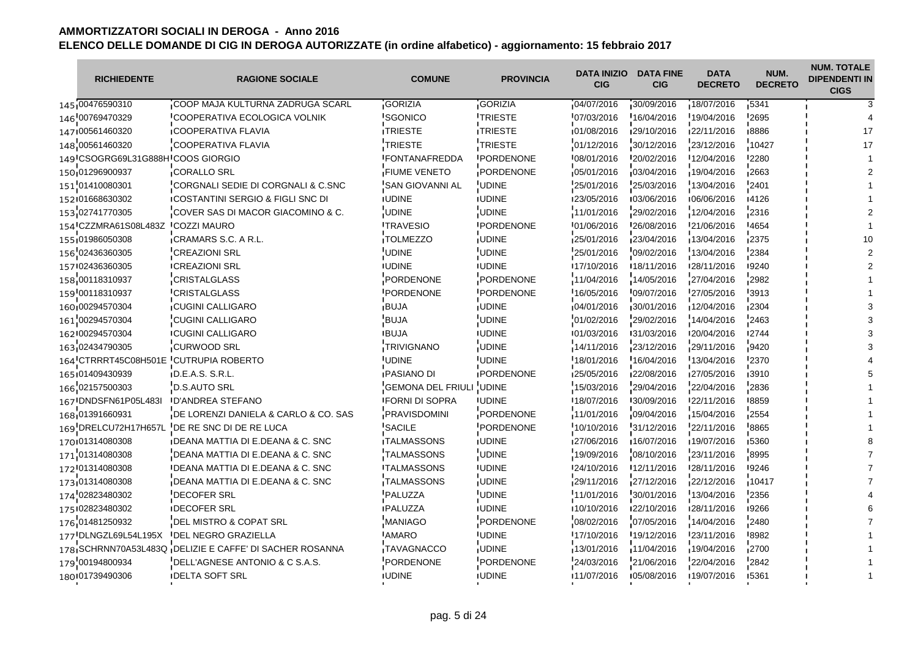| <b>RICHIEDENTE</b>                | <b>RAGIONE SOCIALE</b>                                  | <b>COMUNE</b>             | <b>PROVINCIA</b>  | <b>DATA INIZIO</b><br><b>CIG</b> | <b>DATA FINE</b><br><b>CIG</b> | <b>DATA</b><br><b>DECRETO</b> | NUM.<br><b>DECRETO</b> | <b>NUM. TOTALE</b><br><b>DIPENDENTI IN</b><br><b>CIGS</b> |
|-----------------------------------|---------------------------------------------------------|---------------------------|-------------------|----------------------------------|--------------------------------|-------------------------------|------------------------|-----------------------------------------------------------|
| 145 00476590310                   | COOP MAJA KULTURNA ZADRUGA SCARL                        | <b>GORIZIA</b>            | GORIZIA           | 04/07/2016                       | 30/09/2016                     | 18/07/2016                    | $-5341$                |                                                           |
| 146 00769470329                   | COOPERATIVA ECOLOGICA VOLNIK                            | 'SGONICO                  | <b>TRIESTE</b>    | 07/03/2016                       | 16/04/2016                     | 19/04/2016                    | 2695                   |                                                           |
| 147100561460320                   | <b>ICOOPERATIVA FLAVIA</b>                              | <b>ITRIESTE</b>           | <b>ITRIESTE</b>   | 101/08/2016                      | 129/10/2016                    | 122/11/2016                   | 18886                  |                                                           |
| 148 00561460320                   | COOPERATIVA FLAVIA                                      | <b>TRIESTE</b>            | TRIESTE           | 01/12/2016                       | 30/12/2016                     | 23/12/2016                    | 10427                  | 17                                                        |
| 149 CSOGRG69L31G888H COOS GIORGIO |                                                         | <b>IFONTANAFREDDA</b>     | <b>IPORDENONE</b> | 108/01/2016                      | 120/02/2016                    | 12/04/2016                    | <b>'2280</b>           |                                                           |
| 150 01296900937                   | <b>CORALLO SRL</b>                                      | <b>FIUME VENETO</b>       | PORDENONE         | 05/01/2016                       | 03/04/2016                     | 19/04/2016                    | 12663                  |                                                           |
| 151'01410080301                   | CORGNALI SEDIE DI CORGNALI & C.SNC                      | <b>SAN GIOVANNI AL</b>    | <b>UDINE</b>      | 25/01/2016                       | 25/03/2016                     | 13/04/2016                    | $-2401$                |                                                           |
| 152101668630302                   | <b>ICOSTANTINI SERGIO &amp; FIGLI SNC DI</b>            | <b>IUDINE</b>             | <b>IUDINE</b>     | 123/05/2016                      | 103/06/2016                    | 106/06/2016                   | 14126                  |                                                           |
| 153 02741770305                   | COVER SAS DI MACOR GIACOMINO & C.                       | <b>UDINE</b>              | <b>UDINE</b>      | 11/01/2016                       | 29/02/2016                     | 12/04/2016                    | 2316                   |                                                           |
| 154 CZZMRA61S08L483Z              | <b>ICOZZI MAURO</b>                                     | <b>ITRAVESIO</b>          | <b>IPORDENONE</b> | 01/06/2016                       | 126/08/2016                    | 21/06/2016                    | -4654                  |                                                           |
| 155 01986050308                   | CRAMARS S.C. A R.L.                                     | TOLMEZZO                  | <b>UDINE</b>      | 25/01/2016                       | 23/04/2016                     | 13/04/2016                    | 12375                  |                                                           |
| 156 02436360305                   | <b>CREAZIONI SRL</b>                                    | UDINE                     | <b>UDINE</b>      | 25/01/2016                       | 09/02/2016                     | 13/04/2016                    | 2384                   |                                                           |
| 157 02436360305                   | <b>ICREAZIONI SRL</b>                                   | <b>IUDINE</b>             | <b>IUDINE</b>     | 17/10/2016                       | 18/11/2016                     | 128/11/2016                   | ∎9240                  |                                                           |
| 158 00118310937                   | <b>CRISTALGLASS</b>                                     | PORDENONE                 | PORDENONE         | 11/04/2016                       | 14/05/2016                     | 27/04/2016                    | 2982                   |                                                           |
| 159 00118310937                   | <b>CRISTALGLASS</b>                                     | <b>PORDENONE</b>          | <b>PORDENONE</b>  | 16/05/2016                       | 09/07/2016                     | 27/05/2016                    | 3913                   |                                                           |
| 160 00294570304                   | <b>CUGINI CALLIGARO</b>                                 | <b>BUJA</b>               | <b>UDINE</b>      | 04/01/2016                       | 30/01/2016                     | 12/04/2016                    | 2304                   |                                                           |
| 161 00294570304                   | <b>CUGINI CALLIGARO</b>                                 | <b>BUJA</b>               | <b>UDINE</b>      | 01/02/2016                       | 29/02/2016                     | 14/04/2016                    | 2463                   |                                                           |
| 162 00294570304                   | <b>ICUGINI CALLIGARO</b>                                | <b>IBUJA</b>              | <b>IUDINE</b>     | 101/03/2016                      | 131/03/2016                    | 120/04/2016                   | 12744                  |                                                           |
| 163 02434790305                   | <b>CURWOOD SRL</b>                                      | <b>TRIVIGNANO</b>         | <b>UDINE</b>      | 14/11/2016                       | 23/12/2016                     | 29/11/2016                    | 9420                   |                                                           |
| 164 CTRRRT45C08H501E              | <b>CUTRUPIA ROBERTO</b>                                 | <b>UDINE</b>              | <b>UDINE</b>      | 18/01/2016                       | 16/04/2016                     | 13/04/2016                    | 2370                   |                                                           |
| 165 01409430939                   | D.E.A.S. S.R.L.                                         | <b>PASIANO DI</b>         | <b>IPORDENONE</b> | 25/05/2016                       | 122/08/2016                    | 27/05/2016                    | 3910                   |                                                           |
| 166 02157500303                   | D.S.AUTO SRL                                            | <b>GEMONA DEL FRIULI</b>  | <b>UDINE</b>      | 15/03/2016                       | 29/04/2016                     | 22/04/2016                    | 2836                   |                                                           |
| 167 DNDSFN61P05L483I              | <b>ID'ANDREA STEFANO</b>                                | <b>IFORNI DI SOPRA</b>    | <b>IUDINE</b>     | 18/07/2016                       | 130/09/2016                    | 122/11/2016                   | 8859                   |                                                           |
| 168 01391660931                   | DE LORENZI DANIELA & CARLO & CO. SAS                    | PRAVISDOMINI              | PORDENONE         | 11/01/2016                       | 109/04/2016                    | 15/04/2016                    | 2554                   |                                                           |
| 169 DRELCU72H17H657L              | DE RE SNC DI DE RE LUCA                                 | <b>SACILE</b>             | PORDENONE         | 10/10/2016                       | 31/12/2016                     | 22/11/2016                    | 8865                   |                                                           |
| 170 01314080308                   | <b>IDEANA MATTIA DI E.DEANA &amp; C. SNC</b>            | <b>ITALMASSONS</b>        | <b>IUDINE</b>     | 127/06/2016                      | ■16/07/2016                    | 19/07/2016                    | 15360                  |                                                           |
| 171 01314080308                   | DEANA MATTIA DI E.DEANA & C. SNC                        | <b>TALMASSONS</b>         | <b>UDINE</b>      | 19/09/2016                       | 08/10/2016                     | 23/11/2016                    | 8995                   |                                                           |
| 172 01314080308                   | IDEANA MATTIA DI E.DEANA & C. SNC                       | <b><i>ITALMASSONS</i></b> | <b>UDINE</b>      | 24/10/2016                       | 12/11/2016                     | 128/11/2016                   | 19246                  |                                                           |
| 173 01314080308                   | DEANA MATTIA DI E.DEANA & C. SNC                        | <b>TALMASSONS</b>         | <b>UDINE</b>      | 29/11/2016                       | 27/12/2016                     | 22/12/2016                    | 10417                  |                                                           |
| 174 02823480302                   | <b>DECOFER SRL</b>                                      | PALUZZA                   | <b>UDINE</b>      | 11/01/2016                       | 30/01/2016                     | 13/04/2016                    | 2356                   |                                                           |
| 175 02823480302                   | <b>IDECOFER SRL</b>                                     | <b>IPALUZZA</b>           | <b>IUDINE</b>     | 10/10/2016                       | 122/10/2016                    | 128/11/2016                   | ■9266                  |                                                           |
| 176 01481250932                   | DEL MISTRO & COPAT SRL                                  | <b>MANIAGO</b>            | PORDENONE         | 08/02/2016                       | 07/05/2016                     | 14/04/2016                    | 2480                   |                                                           |
| 177 DLNGZL69L54L195X              | <b>IDEL NEGRO GRAZIELLA</b>                             | <b>AMARO</b>              | <b>UDINE</b>      | 17/10/2016                       | 19/12/2016                     | 23/11/2016                    | 8982                   |                                                           |
|                                   | 178 SCHRNN70A53L483Q DELIZIE E CAFFE' DI SACHER ROSANNA | TAVAGNACCO                | <b>UDINE</b>      | 13/01/2016                       | 11/04/2016                     | 19/04/2016                    | <b>2700</b>            |                                                           |
| 179'00194800934                   | DELL'AGNESE ANTONIO & C S.A.S.                          | PORDENONE                 | PORDENONE         | 24/03/2016                       | 21/06/2016                     | 22/04/2016                    | 2842                   |                                                           |
| 180 01739490306                   | <b>IDELTA SOFT SRL</b>                                  | <b>IUDINE</b>             | <b>IUDINE</b>     | 11/07/2016                       | 105/08/2016                    | ■19/07/2016                   | 15361                  |                                                           |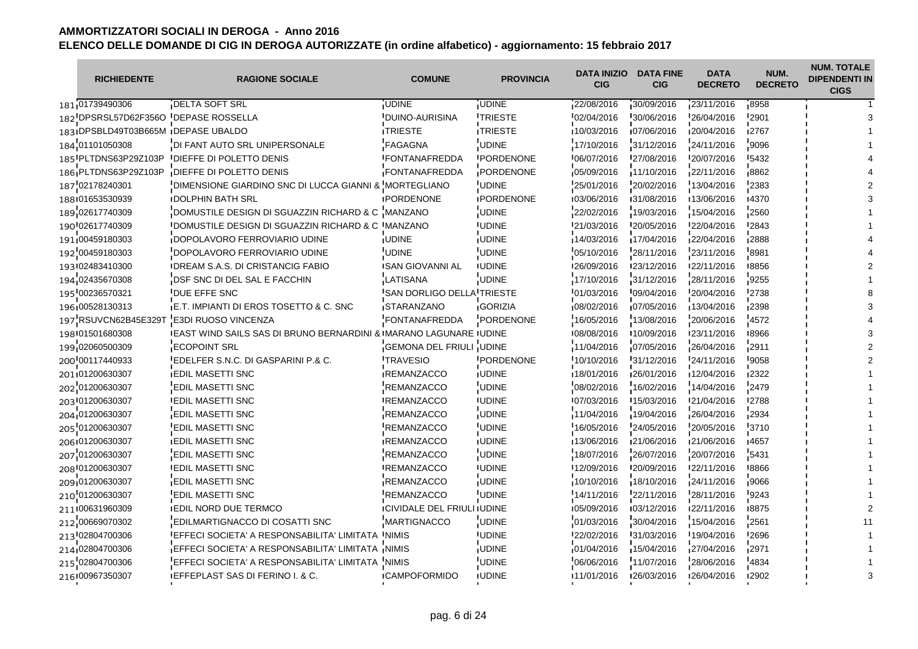| <b>RICHIEDENTE</b>                 | <b>RAGIONE SOCIALE</b>                                             | <b>COMUNE</b>                      | <b>PROVINCIA</b>  | <b>DATA INIZIO</b><br><b>CIG</b> | <b>DATA FINE</b><br><b>CIG</b> | <b>DATA</b><br><b>DECRETO</b> | NUM.<br><b>DECRETO</b> | <b>NUM. TOTALE</b><br><b>DIPENDENTI IN</b><br><b>CIGS</b> |
|------------------------------------|--------------------------------------------------------------------|------------------------------------|-------------------|----------------------------------|--------------------------------|-------------------------------|------------------------|-----------------------------------------------------------|
| 181 01739490306                    | DELTA SOFT SRL                                                     | `UDINE                             | <b>UDINE</b>      | 22/08/2016                       | 30/09/2016                     | 23/11/2016                    | 8958                   |                                                           |
|                                    | 182 DPSRSL57D62F356O DEPASE ROSSELLA                               | <b>DUINO-AURISINA</b>              | <b>TRIESTE</b>    | 02/04/2016                       | 30/06/2016                     | 26/04/2016                    | 2901                   |                                                           |
| 183 DPSBLD49T03B665M DEPASE UBALDO |                                                                    | <b>ITRIESTE</b>                    | <b>ITRIESTE</b>   | 10/03/2016                       | 07/06/2016                     | 120/04/2016                   | 12767                  |                                                           |
| 184 01101050308                    | DI FANT AUTO SRL UNIPERSONALE                                      | <b>FAGAGNA</b>                     | <b>UDINE</b>      | 17/10/2016                       | 31/12/2016                     | 24/11/2016                    | 9096                   |                                                           |
| 185 PLTDNS63P29Z103P               | <b>IDIEFFE DI POLETTO DENIS</b>                                    | <b>IFONTANAFREDDA</b>              | <b>PORDENONE</b>  | 06/07/2016                       | 127/08/2016                    | 120/07/2016                   | 15432                  |                                                           |
| 186 PLTDNS63P29Z103P               | DIEFFE DI POLETTO DENIS                                            | FONTANAFREDDA                      | PORDENONE         | 05/09/2016                       | 11/10/2016                     | 22/11/2016                    | $-8862$                |                                                           |
| 187'02178240301                    | DIMENSIONE GIARDINO SNC DI LUCCA GIANNI & MORTEGLIANO              |                                    | <b>UDINE</b>      | 25/01/2016                       | 20/02/2016                     | 13/04/2016                    | 2383                   |                                                           |
| 188 01653530939                    | <b>IDOLPHIN BATH SRL</b>                                           | <b>IPORDENONE</b>                  | <b>IPORDENONE</b> | 03/06/2016                       | 131/08/2016                    | ■13/06/2016                   | 14370                  |                                                           |
| 189 02617740309                    | DOMUSTILE DESIGN DI SGUAZZIN RICHARD & C MANZANO                   |                                    | <b>UDINE</b>      | 22/02/2016                       | 19/03/2016                     | 15/04/2016                    | 2560                   |                                                           |
| 190 02617740309                    | IDOMUSTILE DESIGN DI SGUAZZIN RICHARD & C IMANZANO                 |                                    | <b>IUDINE</b>     | 21/03/2016                       | 120/05/2016                    | 22/04/2016                    | 2843                   |                                                           |
| 191 00459180303                    | DOPOLAVORO FERROVIARIO UDINE                                       | <b>UDINE</b>                       | <b>UDINE</b>      | 14/03/2016                       | 17/04/2016                     | 22/04/2016                    | 2888                   |                                                           |
| 192 00459180303                    | DOPOLAVORO FERROVIARIO UDINE                                       | <b>UDINE</b>                       | <b>UDINE</b>      | 05/10/2016                       | 28/11/2016                     | 23/11/2016                    | 8981                   |                                                           |
| 193 02483410300                    | <b>IDREAM S.A.S. DI CRISTANCIG FABIO</b>                           | <b>ISAN GIOVANNI AL</b>            | <b>IUDINE</b>     | 126/09/2016                      | 123/12/2016                    | 122/11/2016                   | 18856                  |                                                           |
| 194 02435670308                    | DSF SNC DI DEL SAL E FACCHIN                                       | <b>LATISANA</b>                    | <b>UDINE</b>      | 17/10/2016                       | 31/12/2016                     | 28/11/2016                    | 9255                   |                                                           |
| 195 00236570321                    | <b>DUE EFFE SNC</b>                                                | <b>SAN DORLIGO DELLA TRIESTE</b>   |                   | 01/03/2016                       | '09/04/2016                    | 20/04/2016                    | 2738                   |                                                           |
| 196 00528130313                    | E.T. IMPIANTI DI EROS TOSETTO & C. SNC                             | <b>STARANZANO</b>                  | <b>GORIZIA</b>    | 08/02/2016                       | 07/05/2016                     | 13/04/2016                    | 2398                   |                                                           |
| 197 RSUVCN62B45E329T               | E3DI RUOSO VINCENZA                                                | <b>FONTANAFREDDA</b>               | PORDENONE         | 16/05/2016                       | 13/08/2016                     | 20/06/2016                    | 4572                   |                                                           |
| 198 01501680308                    | IEAST WIND SAILS SAS DI BRUNO BERNARDINI & IMARANO LAGUNARE IUDINE |                                    |                   | 108/08/2016                      | ■10/09/2016                    | 123/11/2016                   | 18966                  |                                                           |
| 199 02060500309                    | <b>ECOPOINT SRL</b>                                                | GEMONA DEL FRIULI UDINE            |                   | 11/04/2016                       | 07/05/2016                     | 26/04/2016                    | 2911                   |                                                           |
| 200'00117440933                    | EDELFER S.N.C. DI GASPARINI P.& C.                                 | <b>TRAVESIO</b>                    | PORDENONE         | 10/10/2016                       | 31/12/2016                     | 24/11/2016                    | 9058                   |                                                           |
| 201 01200630307                    | <b>EDIL MASETTI SNC</b>                                            | <b>REMANZACCO</b>                  | <b>UDINE</b>      | 18/01/2016                       | 126/01/2016                    | 12/04/2016                    | 2322                   |                                                           |
| 202 01200630307                    | <b>EDIL MASETTI SNC</b>                                            | <b>REMANZACCO</b>                  | <b>UDINE</b>      | 08/02/2016                       | 16/02/2016                     | 14/04/2016                    | 2479                   |                                                           |
| 203 01200630307                    | <b>IEDIL MASETTI SNC</b>                                           | <b>IREMANZACCO</b>                 | <b>IUDINE</b>     | 107/03/2016                      | 15/03/2016                     | 121/04/2016                   | <b>'2788</b>           |                                                           |
| 204 01200630307                    | <b>EDIL MASETTI SNC</b>                                            | REMANZACCO                         | <b>UDINE</b>      | 11/04/2016                       | 19/04/2016                     | 26/04/2016                    | 2934                   |                                                           |
| 205 01200630307                    | <b>EDIL MASETTI SNC</b>                                            | <b>REMANZACCO</b>                  | <b>UDINE</b>      | 16/05/2016                       | 24/05/2016                     | 20/05/2016                    | 3710                   |                                                           |
| 206101200630307                    | <b>IEDIL MASETTI SNC</b>                                           | <b>IREMANZACCO</b>                 | <b>IUDINE</b>     | 13/06/2016                       | 121/06/2016                    | 121/06/2016                   | 14657                  |                                                           |
| 207 01200630307                    | <b>EDIL MASETTI SNC</b>                                            | <b>REMANZACCO</b>                  | <b>UDINE</b>      | 18/07/2016                       | 26/07/2016                     | 20/07/2016                    | 5431                   |                                                           |
| 208 01200630307                    | <b>IEDIL MASETTI SNC</b>                                           | <b>IREMANZACCO</b>                 | <b>UDINE</b>      | 12/09/2016                       | 120/09/2016                    | <b>22/11/2016</b>             | 8866                   |                                                           |
| 209 01200630307                    | <b>EDIL MASETTI SNC</b>                                            | REMANZACCO                         | <b>UDINE</b>      | 10/10/2016                       | 18/10/2016                     | 24/11/2016                    | ,9066                  |                                                           |
| 210 01200630307                    | <b>EDIL MASETTI SNC</b>                                            | <b>REMANZACCO</b>                  | UDINE             | 14/11/2016                       | 22/11/2016                     | 28/11/2016                    | 9243                   |                                                           |
| 211 00631960309                    | <b>IEDIL NORD DUE TERMCO</b>                                       | <b>ICIVIDALE DEL FRIULI IUDINE</b> |                   | 105/09/2016                      | 103/12/2016                    | 122/11/2016                   | ∎8875                  |                                                           |
| 212 00669070302                    | EDILMARTIGNACCO DI COSATTI SNC                                     | MARTIGNACCO                        | <b>UDINE</b>      | 01/03/2016                       | 30/04/2016                     | 15/04/2016                    | 2561                   |                                                           |
| 213 02804700306                    | EFFECI SOCIETA' A RESPONSABILITA' LIMITATA INIMIS                  |                                    | <b>UDINE</b>      | 22/02/2016                       | 31/03/2016                     | 19/04/2016                    | 2696                   |                                                           |
| 214,02804700306                    | EFFECI SOCIETA' A RESPONSABILITA' LIMITATA INIMIS                  |                                    | <b>UDINE</b>      | 01/04/2016                       | 15/04/2016                     | 27/04/2016                    | 2971ء                  |                                                           |
| 215 02804700306                    | EFFECI SOCIETA' A RESPONSABILITA' LIMITATA 'NIMIS                  |                                    | <b>UDINE</b>      | 06/06/2016                       | 11/07/2016                     | 28/06/2016                    | 4834                   |                                                           |
| 216 00967350307                    | <b>IEFFEPLAST SAS DI FERINO I. &amp; C.</b>                        | <b>ICAMPOFORMIDO</b>               | <b>IUDINE</b>     | 11/01/2016                       | 126/03/2016                    | 126/04/2016                   | 12902                  |                                                           |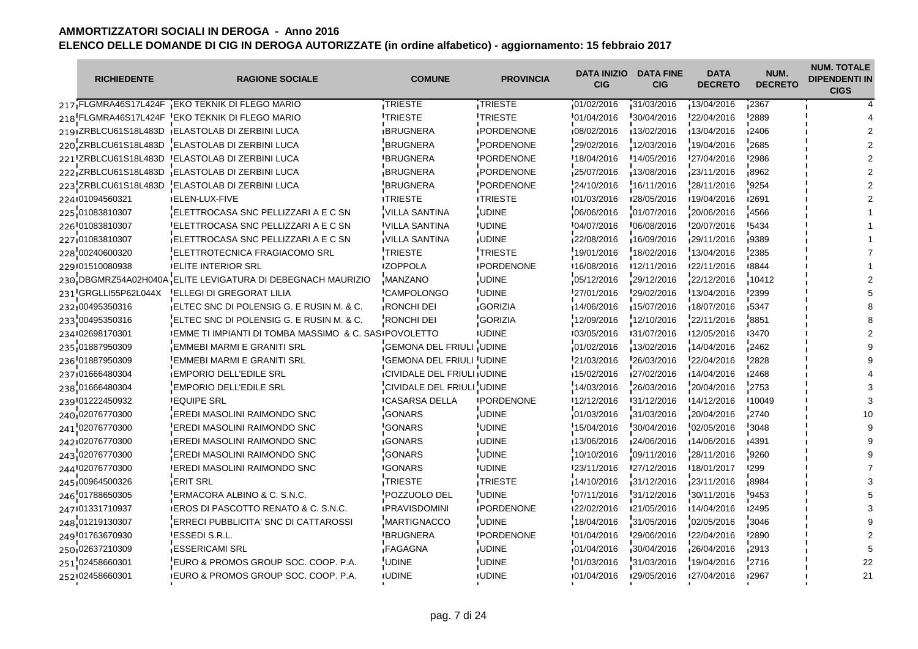| <b>RICHIEDENTE</b>   | <b>RAGIONE SOCIALE</b>                                      | <b>COMUNE</b>                  | <b>PROVINCIA</b>  | DATA INIZIO<br><b>CIG</b> | <b>DATA FINE</b><br><b>CIG</b> | <b>DATA</b><br><b>DECRETO</b> | NUM.<br><b>DECRETO</b> | <b>NUM. TOTALE</b><br><b>DIPENDENTI IN</b><br><b>CIGS</b> |
|----------------------|-------------------------------------------------------------|--------------------------------|-------------------|---------------------------|--------------------------------|-------------------------------|------------------------|-----------------------------------------------------------|
|                      | 217 FLGMRA46S17L424F EKO TEKNIK DI FLEGO MARIO              | TRIESTE                        | TRIESTE           | 01/02/2016                | 31/03/2016                     | 13/04/2016                    | 12367                  |                                                           |
|                      | 218 FLGMRA46S17L424F EKO TEKNIK DI FLEGO MARIO              | <b>TRIESTE</b>                 | <b>TRIESTE</b>    | 01/04/2016                | $-30/04/2016$                  | 22/04/2016                    | 2889                   |                                                           |
|                      | 219 ZRBLCU61S18L483D IELASTOLAB DI ZERBINI LUCA             | <b>IBRUGNERA</b>               | <b>IPORDENONE</b> | 08/02/2016                | 13/02/2016                     | 13/04/2016                    | <b>12406</b>           |                                                           |
|                      | 220 ZRBLCU61S18L483D ELASTOLAB DI ZERBINI LUCA              | <b>BRUGNERA</b>                | PORDENONE         | 29/02/2016                | 12/03/2016                     | 19/04/2016                    | 2685                   |                                                           |
|                      | 221 ZRBLCU61S18L483D ELASTOLAB DI ZERBINI LUCA              | <b>IBRUGNERA</b>               | <b>IPORDENONE</b> | 18/04/2016                | 14/05/2016                     | 127/04/2016                   | <b>'2986</b>           |                                                           |
| 222 ZRBLCU61S18L483D | <b>ELASTOLAB DI ZERBINI LUCA</b>                            | BRUGNERA                       | PORDENONE         | 25/07/2016                | 13/08/2016                     | 23/11/2016                    | 8962                   |                                                           |
| 223 ZRBLCU61S18L483D | ELASTOLAB DI ZERBINI LUCA                                   | <b>BRUGNERA</b>                | PORDENONE         | 24/10/2016                | 16/11/2016                     | 28/11/2016                    | 9254                   |                                                           |
| 224101094560321      | <b>IELEN-LUX-FIVE</b>                                       | <b>ITRIESTE</b>                | <b>ITRIESTE</b>   | 01/03/2016                | 128/05/2016                    | 19/04/2016                    | ∎2691                  |                                                           |
| 225 01083810307      | ELETTROCASA SNC PELLIZZARI A E C SN                         | <b>VILLA SANTINA</b>           | <b>UDINE</b>      | 06/06/2016                | 01/07/2016                     | 20/06/2016                    | 4566                   |                                                           |
| 226 01083810307      | <b>IELETTROCASA SNC PELLIZZARI A E C SN</b>                 | <b>VILLA SANTINA</b>           | <b>UDINE</b>      | 04/07/2016                | '06/08/2016                    | <b>20/07/2016</b>             | 5434                   |                                                           |
| 227 01083810307      | ELETTROCASA SNC PELLIZZARI A E C SN                         | VILLA SANTINA                  | <b>UDINE</b>      | 22/08/2016                | 16/09/2016                     | 29/11/2016                    | 9389                   |                                                           |
| 228 00240600320      | ELETTROTECNICA FRAGIACOMO SRL                               | <b>TRIESTE</b>                 | <b>TRIESTE</b>    | 19/01/2016                | 18/02/2016                     | 13/04/2016                    | 2385                   |                                                           |
| 229 01510080938      | <b>IELITE INTERIOR SRL</b>                                  | <b>IZOPPOLA</b>                | <b>IPORDENONE</b> | ■16/08/2016               | 12/11/2016                     | 122/11/2016                   | 18844                  |                                                           |
|                      | 230 DBGMRZ54A02H040A ELITE LEVIGATURA DI DEBEGNACH MAURIZIO | MANZANO                        | <b>UDINE</b>      | 05/12/2016                | 29/12/2016                     | 22/12/2016                    | 10412                  |                                                           |
| 231 GRGLLI55P62L044X | <b>IELLEGI DI GREGORAT LILIA</b>                            | <b>CAMPOLONGO</b>              | <b>UDINE</b>      | 27/01/2016                | 29/02/2016                     | 13/04/2016                    | 2399                   |                                                           |
| 232 00495350316      | ELTEC SNC DI POLENSIG G. E RUSIN M. & C.                    | <b>RONCHI DEI</b>              | <b>GORIZIA</b>    | 14/06/2016                | 15/07/2016                     | 18/07/2016                    | 5347ء                  |                                                           |
| 233 00495350316      | ELTEC SNC DI POLENSIG G. E RUSIN M. & C.                    | RONCHI DEI                     | <b>GORIZIA</b>    | 12/09/2016                | 12/10/2016                     | 22/11/2016                    | 8851                   |                                                           |
| 234 02698170301      | IEMME TI IMPIANTI DI TOMBA MASSIMO & C. SASIPOVOLETTO       |                                | <b>IUDINE</b>     | 03/05/2016                | 131/07/2016                    | 12/05/2016                    | 13470                  |                                                           |
| 235 01887950309      | <b>EMMEBI MARMI E GRANITI SRL</b>                           | GEMONA DEL FRIULI              | <b>UDINE</b>      | 01/02/2016                | 13/02/2016                     | 14/04/2016                    | 2462                   |                                                           |
| 236 01887950309      | <b>EMMEBI MARMI E GRANITI SRL</b>                           | <b>GEMONA DEL FRIULI UDINE</b> |                   | 21/03/2016                | 26/03/2016                     | 22/04/2016                    | 2828                   |                                                           |
| 237 01666480304      | <b>EMPORIO DELL'EDILE SRL</b>                               | CIVIDALE DEL FRIULI IUDINE     |                   | 15/02/2016                | 27/02/2016                     | 14/04/2016                    | ∎2468                  |                                                           |
| 238 01666480304      | <b>EMPORIO DELL'EDILE SRL</b>                               | CIVIDALE DEL FRIULI UDINE      |                   | 14/03/2016                | 26/03/2016                     | 20/04/2016                    | 2753                   |                                                           |
| 239 01222450932      | <b>IEQUIPE SRL</b>                                          | <b>ICASARSA DELLA</b>          | <b>IPORDENONE</b> | 12/12/2016                | 131/12/2016                    | 14/12/2016                    | <b>'10049</b>          |                                                           |
| 240 02076770300      | <b>EREDI MASOLINI RAIMONDO SNC</b>                          | <b>GONARS</b>                  | <b>UDINE</b>      | 01/03/2016                | $-31/03/2016$                  | 20/04/2016                    | 2740                   |                                                           |
| 241 02076770300      | <b>EREDI MASOLINI RAIMONDO SNC</b>                          | 'GONARS                        | <b>UDINE</b>      | 15/04/2016                | 30/04/2016                     | 02/05/2016                    | 3048                   |                                                           |
| 242 02076770300      | <b>IEREDI MASOLINI RAIMONDO SNC</b>                         | <b>IGONARS</b>                 | <b>IUDINE</b>     | 13/06/2016                | 124/06/2016                    | 14/06/2016                    | 14391                  |                                                           |
| 243 02076770300      | EREDI MASOLINI RAIMONDO SNC                                 | <b>GONARS</b>                  | <b>UDINE</b>      | 10/10/2016                | 09/11/2016                     | 28/11/2016                    | '9260                  |                                                           |
| 244 02076770300      | <b>IEREDI MASOLINI RAIMONDO SNC</b>                         | <b>IGONARS</b>                 | <b>UDINE</b>      | 23/11/2016                | 27/12/2016                     | 18/01/2017                    | <sup>299</sup>         |                                                           |
| 245 00964500326      | <b>ERIT SRL</b>                                             | TRIESTE                        | TRIESTE           | 14/10/2016                | 31/12/2016                     | 23/11/2016                    | 8984                   |                                                           |
| 246 01788650305      | ERMACORA ALBINO & C. S.N.C.                                 | POZZUOLO DEL                   | <b>UDINE</b>      | 07/11/2016                | 31/12/2016                     | 30/11/2016                    | 9453                   |                                                           |
| 247 01331710937      | <b>IEROS DI PASCOTTO RENATO &amp; C. S.N.C.</b>             | <b>IPRAVISDOMINI</b>           | <b>IPORDENONE</b> | 122/02/2016               | 121/05/2016                    | ■14/04/2016                   | <b>12495</b>           |                                                           |
| 248 01219130307      | <b>ERRECI PUBBLICITA' SNC DI CATTAROSSI</b>                 | <b>MARTIGNACCO</b>             | <b>UDINE</b>      | 18/04/2016                | 31/05/2016                     | 02/05/2016                    | 3046                   |                                                           |
| 249 01763670930      | <b>ESSEDI S.R.L.</b>                                        | <b>BRUGNERA</b>                | <b>PORDENONE</b>  | 01/04/2016                | 29/06/2016                     | 22/04/2016                    | '2890                  |                                                           |
| 250 02637210309      | <b>IESSERICAMI SRL</b>                                      | <b>FAGAGNA</b>                 | <b>UDINE</b>      | 01/04/2016                | 30/04/2016                     | 26/04/2016                    | 2913                   |                                                           |
| 251 02458660301      | EURO & PROMOS GROUP SOC. COOP. P.A.                         | <b>UDINE</b>                   | <b>UDINE</b>      | 01/03/2016                | 31/03/2016                     | 19/04/2016                    | 2716                   | 22                                                        |
| 252 02458660301      | <b>IEURO &amp; PROMOS GROUP SOC. COOP. P.A.</b>             | <b>IUDINE</b>                  | <b>IUDINE</b>     | 101/04/2016               | 129/05/2016                    | 127/04/2016                   | <b>2967</b>            | 21                                                        |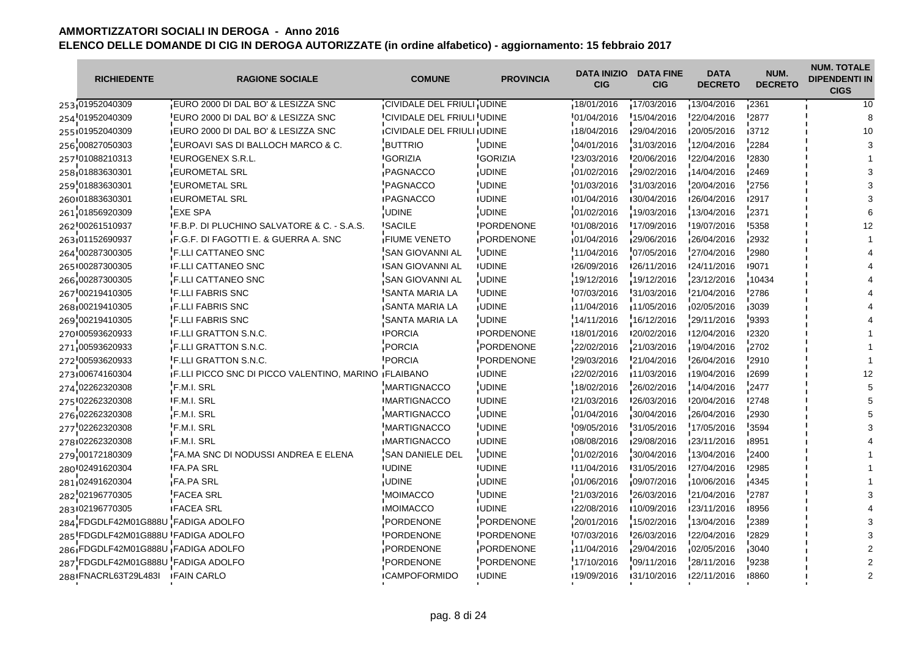| <b>RICHIEDENTE</b>                 | <b>RAGIONE SOCIALE</b>                                 | <b>COMUNE</b>                     | <b>PROVINCIA</b>  | <b>DATA INIZIO</b><br><b>CIG</b> | <b>DATA FINE</b><br><b>CIG</b> | <b>DATA</b><br><b>DECRETO</b> | NUM.<br><b>DECRETO</b> | <b>NUM. TOTALE</b><br><b>DIPENDENTI IN</b><br><b>CIGS</b> |
|------------------------------------|--------------------------------------------------------|-----------------------------------|-------------------|----------------------------------|--------------------------------|-------------------------------|------------------------|-----------------------------------------------------------|
| 253 01952040309                    | EURO 2000 DI DAL BO' & LESIZZA SNC                     | CIVIDALE DEL FRIULI UDINE         |                   | 18/01/2016                       | 17/03/2016                     | 13/04/2016                    | 12361                  | 10                                                        |
| 254 01952040309                    | EURO 2000 DI DAL BO' & LESIZZA SNC                     | CIVIDALE DEL FRIULI UDINE         |                   | 01/04/2016                       | 15/04/2016                     | 22/04/2016                    | 2877                   |                                                           |
| 255101952040309                    | <b>IEURO 2000 DI DAL BO' &amp; LESIZZA SNC</b>         | <b>CIVIDALE DEL FRIULI IUDINE</b> |                   | 18/04/2016                       | 129/04/2016                    | 120/05/2016                   | 13712                  | 10                                                        |
| 256 00827050303                    | EUROAVI SAS DI BALLOCH MARCO & C.                      | <b>BUTTRIO</b>                    | <b>UDINE</b>      | 04/01/2016                       | 31/03/2016                     | 12/04/2016                    | 2284                   |                                                           |
| 257 01088210313                    | <b>EUROGENEX S.R.L.</b>                                | <b>GORIZIA</b>                    | <b>IGORIZIA</b>   | 123/03/2016                      | 120/06/2016                    | 122/04/2016                   | '2830                  |                                                           |
| 258 01883630301                    | <b>EUROMETAL SRL</b>                                   | PAGNACCO                          | <b>UDINE</b>      | 01/02/2016                       | 29/02/2016                     | 14/04/2016                    | 2469                   |                                                           |
| 259 01883630301                    | <b>EUROMETAL SRL</b>                                   | <b>PAGNACCO</b>                   | <b>UDINE</b>      | 01/03/2016                       | 31/03/2016                     | 20/04/2016                    | 2756                   |                                                           |
| 260 01883630301                    | <b>IEUROMETAL SRL</b>                                  | <b>IPAGNACCO</b>                  | <b>IUDINE</b>     | 101/04/2016                      | 130/04/2016                    | 126/04/2016                   | ∎2917                  |                                                           |
| 261 01856920309                    | <b>EXE SPA</b>                                         | <b>UDINE</b>                      | <b>UDINE</b>      | 01/02/2016                       | 19/03/2016                     | 13/04/2016                    | 2371                   |                                                           |
| 262 00261510937                    | <b>IF.B.P. DI PLUCHINO SALVATORE &amp; C. - S.A.S.</b> | <b>ISACILE</b>                    | <b>IPORDENONE</b> | 101/08/2016                      | 17/09/2016                     | 19/07/2016                    | '5358                  |                                                           |
| 263 01152690937                    | F.G.F. DI FAGOTTI E. & GUERRA A. SNC                   | <b>FIUME VENETO</b>               | PORDENONE         | 01/04/2016                       | 29/06/2016                     | 26/04/2016                    | 2932                   |                                                           |
| 264 00287300305                    | F.LLI CATTANEO SNC                                     | <b>SAN GIOVANNI AL</b>            | <b>UDINE</b>      | 11/04/2016                       | 07/05/2016                     | 27/04/2016                    | 2980                   |                                                           |
| 265 00287300305                    | <b>IF.LLI CATTANEO SNC</b>                             | <b>ISAN GIOVANNI AL</b>           | <b>IUDINE</b>     | 126/09/2016                      | 126/11/2016                    | 124/11/2016                   | 19071                  |                                                           |
| 266 00287300305                    | F.LLI CATTANEO SNC                                     | SAN GIOVANNI AL                   | <b>UDINE</b>      | 19/12/2016                       | 19/12/2016                     | 23/12/2016                    | 10434                  |                                                           |
| 267 00219410305                    | <b>F.LLI FABRIS SNC</b>                                | <b>SANTA MARIA LA</b>             | <b>UDINE</b>      | 07/03/2016                       | 31/03/2016                     | 21/04/2016                    | 2786                   |                                                           |
| 268 00219410305                    | <b>F.LLI FABRIS SNC</b>                                | <b>SANTA MARIA LA</b>             | <b>UDINE</b>      | 11/04/2016                       | 11/05/2016                     | 02/05/2016                    | 3039                   |                                                           |
| 269 00219410305                    | <b>F.LLI FABRIS SNC</b>                                | SANTA MARIA LA                    | <b>UDINE</b>      | 14/11/2016                       | 16/12/2016                     | 29/11/2016                    | 9393                   |                                                           |
| 270 00593620933                    | <b>IF.LLI GRATTON S.N.C.</b>                           | <b>IPORCIA</b>                    | <b>IPORDENONE</b> | 18/01/2016                       | 120/02/2016                    | 12/04/2016                    | 12320                  |                                                           |
| 271 00593620933                    | F.LLI GRATTON S.N.C.                                   | <b>PORCIA</b>                     | PORDENONE         | 22/02/2016                       | 21/03/2016                     | 19/04/2016                    | 2702                   |                                                           |
| 272 00593620933                    | <b>F.LLI GRATTON S.N.C.</b>                            | <b>PORCIA</b>                     | <b>PORDENONE</b>  | 29/03/2016                       | 21/04/2016                     | 26/04/2016                    | 2910                   |                                                           |
| 273 00674160304                    | IF.LLI PICCO SNC DI PICCO VALENTINO, MARINO IFLAIBANO  |                                   | <b>UDINE</b>      | 22/02/2016                       | 11/03/2016                     | 19/04/2016                    | 12699                  |                                                           |
| 274 02262320308                    | F.M.I. SRL                                             | <b>MARTIGNACCO</b>                | <b>UDINE</b>      | 18/02/2016                       | 26/02/2016                     | 14/04/2016                    | 2477                   |                                                           |
| 275 02262320308                    | <b>IF.M.I. SRL</b>                                     | <b>IMARTIGNACCO</b>               | <b>IUDINE</b>     | 21/03/2016                       | 126/03/2016                    | 120/04/2016                   | 12748                  |                                                           |
| 276 02262320308                    | F.M.I. SRL                                             | MARTIGNACCO                       | <b>UDINE</b>      | 01/04/2016                       | 30/04/2016                     | 26/04/2016                    | 2930                   |                                                           |
| 277 02262320308                    | F.M.I. SRL                                             | <b>MARTIGNACCO</b>                | <b>UDINE</b>      | 09/05/2016                       | 31/05/2016                     | 17/05/2016                    | 3594                   |                                                           |
| 278 02262320308                    | <b>IF.M.I. SRL</b>                                     | <b>IMARTIGNACCO</b>               | <b>IUDINE</b>     | 108/08/2016                      | 129/08/2016                    | 123/11/2016                   | 18951                  |                                                           |
| 279 00172180309                    | FA.MA SNC DI NODUSSI ANDREA E ELENA                    | SAN DANIELE DEL                   | <b>UDINE</b>      | 01/02/2016                       | 30/04/2016                     | 13/04/2016                    | 2400                   |                                                           |
| 280 02491620304                    | <b>FA.PA SRL</b>                                       | <b>UDINE</b>                      | <b>UDINE</b>      | 11/04/2016                       | 131/05/2016                    | 27/04/2016                    | '2985                  |                                                           |
| 281 02491620304                    | <b>FA.PA SRL</b>                                       | <b>UDINE</b>                      | <b>UDINE</b>      | 01/06/2016                       | 109/07/2016                    | 10/06/2016                    | 4345                   |                                                           |
| 282 02196770305                    | <b>FACEA SRL</b>                                       | <b>MOIMACCO</b>                   | <b>UDINE</b>      | 21/03/2016                       | 26/03/2016                     | 21/04/2016                    | 2787                   |                                                           |
| 283 02196770305                    | <b>IFACEA SRL</b>                                      | <b>IMOIMACCO</b>                  | <b>IUDINE</b>     | 122/08/2016                      | ■10/09/2016                    | 123/11/2016                   | ∎8956                  |                                                           |
| 284 FDGDLF42M01G888U FADIGA ADOLFO |                                                        | PORDENONE                         | PORDENONE         | 20/01/2016                       | 15/02/2016                     | 13/04/2016                    | 2389                   |                                                           |
| 285 FDGDLF42M01G888U FADIGA ADOLFO |                                                        | <b>PORDENONE</b>                  | <b>PORDENONE</b>  | 07/03/2016                       | 26/03/2016                     | 22/04/2016                    | 2829                   |                                                           |
| 286 FDGDLF42M01G888U FADIGA ADOLFO |                                                        | PORDENONE                         | PORDENONE         | 11/04/2016                       | 29/04/2016                     | 02/05/2016                    | <b>3040</b>            |                                                           |
| 287 FDGDLF42M01G888U FADIGA ADOLFO |                                                        | <b>PORDENONE</b>                  | PORDENONE         | 17/10/2016                       | 09/11/2016                     | 28/11/2016                    | 9238                   |                                                           |
| 288 FNACRL63T29L483I               | <b>FAIN CARLO</b>                                      | <b>ICAMPOFORMIDO</b>              | <b>IUDINE</b>     | 19/09/2016                       | 131/10/2016                    | 122/11/2016                   | 18860                  |                                                           |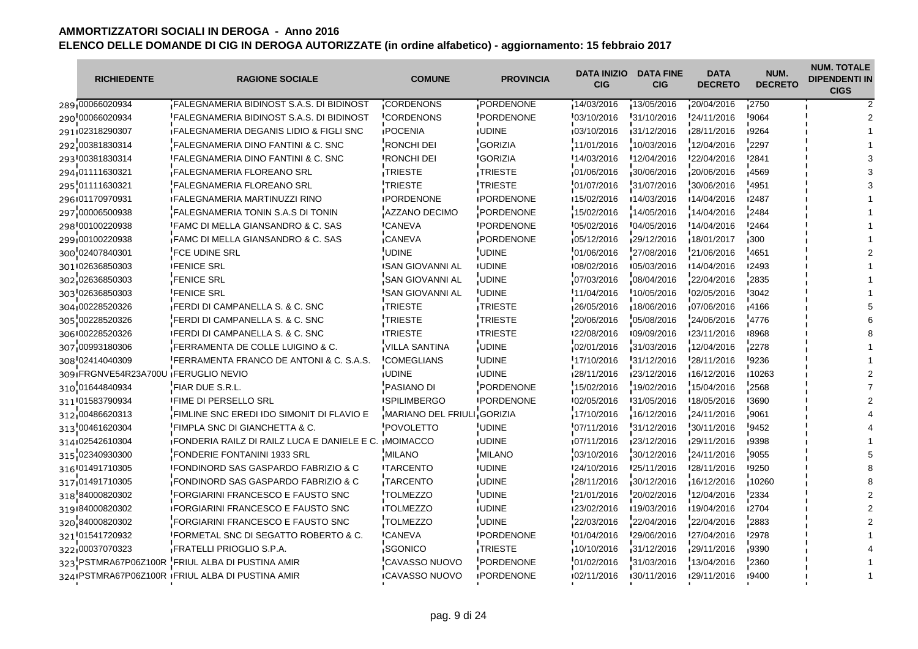| <b>RICHIEDENTE</b>                  | <b>RAGIONE SOCIALE</b>                                        | <b>COMUNE</b>              | <b>PROVINCIA</b>  | <b>DATA INIZIO</b><br><b>CIG</b> | <b>DATA FINE</b><br><b>CIG</b> | <b>DATA</b><br><b>DECRETO</b> | NUM.<br><b>DECRETO</b> | <b>NUM. TOTALE</b><br><b>DIPENDENTI IN</b><br><b>CIGS</b> |
|-------------------------------------|---------------------------------------------------------------|----------------------------|-------------------|----------------------------------|--------------------------------|-------------------------------|------------------------|-----------------------------------------------------------|
| 289 00066020934                     | <b>FALEGNAMERIA BIDINOST S.A.S. DI BIDINOST</b>               | CORDENONS                  | PORDENONE         | 14/03/2016                       | 13/05/2016                     | 20/04/2016                    | 2750                   |                                                           |
| 290 00066020934                     | FALEGNAMERIA BIDINOST S.A.S. DI BIDINOST                      | <b>CORDENONS</b>           | <b>PORDENONE</b>  | 03/10/2016                       | 31/10/2016                     | 24/11/2016                    | 9064                   |                                                           |
| 291102318290307                     | <b>IFALEGNAMERIA DEGANIS LIDIO &amp; FIGLI SNC</b>            | <b>IPOCENIA</b>            | <b>IUDINE</b>     | 03/10/2016                       | 31/12/2016                     | 128/11/2016                   | 19264                  |                                                           |
| 292 00381830314                     | FALEGNAMERIA DINO FANTINI & C. SNC                            | RONCHI DEI                 | <b>GORIZIA</b>    | 11/01/2016                       | 10/03/2016                     | 12/04/2016                    | 2297                   |                                                           |
| 293 00381830314                     | <b>IFALEGNAMERIA DINO FANTINI &amp; C. SNC</b>                | <b>RONCHI DEI</b>          | <b>IGORIZIA</b>   | 14/03/2016                       | 12/04/2016                     | 122/04/2016                   | <b>'2841</b>           |                                                           |
| 294 01111630321                     | <b>FALEGNAMERIA FLOREANO SRL</b>                              | TRIESTE                    | TRIESTE           | 01/06/2016                       | 30/06/2016                     | 20/06/2016                    | 4569                   |                                                           |
| 295 01111630321                     | <b>FALEGNAMERIA FLOREANO SRL</b>                              | TRIESTE                    | <b>TRIESTE</b>    | 01/07/2016                       | 31/07/2016                     | 30/06/2016                    | 4951                   |                                                           |
| 296 01170970931                     | <b>IFALEGNAMERIA MARTINUZZI RINO</b>                          | <b>IPORDENONE</b>          | <b>IPORDENONE</b> | 15/02/2016                       | 14/03/2016                     | 14/04/2016                    | ∎2487                  |                                                           |
| 297 00006500938                     | FALEGNAMERIA TONIN S.A.S DI TONIN                             | AZZANO DECIMO              | PORDENONE         | 15/02/2016                       | 14/05/2016                     | 14/04/2016                    | 2484                   |                                                           |
| 298 00100220938                     | <b>IFAMC DI MELLA GIANSANDRO &amp; C. SAS</b>                 | <b>CANEVA</b>              | <b>IPORDENONE</b> | 05/02/2016                       | '04/05/2016                    | 14/04/2016                    | <b>'2464</b>           |                                                           |
| 299 00100220938                     | FAMC DI MELLA GIANSANDRO & C. SAS                             | CANEVA                     | PORDENONE         | 05/12/2016                       | 29/12/2016                     | 18/01/2017                    | 300                    |                                                           |
| 300 02407840301                     | <b>FCE UDINE SRL</b>                                          | UDINE                      | <b>UDINE</b>      | 01/06/2016                       | 27/08/2016                     | 21/06/2016                    | 4651                   |                                                           |
| 301 02636850303                     | <b>IFENICE SRL</b>                                            | <b>ISAN GIOVANNI AL</b>    | <b>IUDINE</b>     | 108/02/2016                      | 105/03/2016                    | 14/04/2016                    | <b>12493</b>           |                                                           |
| 302 02636850303                     | <b>FENICE SRL</b>                                             | <b>SAN GIOVANNI AL</b>     | <b>UDINE</b>      | 07/03/2016                       | 08/04/2016                     | 22/04/2016                    | 2835                   |                                                           |
| 303 02636850303                     | <b>FENICE SRL</b>                                             | <b>SAN GIOVANNI AL</b>     | <b>UDINE</b>      | 11/04/2016                       | 10/05/2016                     | 02/05/2016                    | 3042                   |                                                           |
| 304 00228520326                     | <b>FERDI DI CAMPANELLA S. &amp; C. SNC</b>                    | <b>TRIESTE</b>             | <b>TRIESTE</b>    | 26/05/2016                       | 18/06/2016                     | 07/06/2016                    | <b>4166</b>            |                                                           |
| 305 00228520326                     | FERDI DI CAMPANELLA S. & C. SNC                               | <b>TRIESTE</b>             | TRIESTE           | 20/06/2016                       | 105/08/2016                    | 24/06/2016                    | 4776                   |                                                           |
| 306 00228520326                     | <b>IFERDI DI CAMPANELLA S. &amp; C. SNC</b>                   | <b>ITRIESTE</b>            | <b>ITRIESTE</b>   | 122/08/2016                      | 109/09/2016                    | 123/11/2016                   | 18968                  |                                                           |
| 307 00993180306                     | FERRAMENTA DE COLLE LUIGINO & C.                              | <b>VILLA SANTINA</b>       | <b>UDINE</b>      | 02/01/2016                       | 31/03/2016                     | 12/04/2016                    | 2278                   |                                                           |
| 308 02414040309                     | FERRAMENTA FRANCO DE ANTONI & C. S.A.S.                       | <b>COMEGLIANS</b>          | <b>UDINE</b>      | 17/10/2016                       | 31/12/2016                     | 28/11/2016                    | 9236                   |                                                           |
| 309 FRGNVE54R23A700U FERUGLIO NEVIO |                                                               | <b>JUDINE</b>              | <b>IUDINE</b>     | 128/11/2016                      | 123/12/2016                    | 16/12/2016                    | ∎10263                 |                                                           |
| 310 01644840934                     | FIAR DUE S.R.L.                                               | <b>PASIANO DI</b>          | PORDENONE         | 15/02/2016                       | 19/02/2016                     | 15/04/2016                    | 2568                   |                                                           |
| 311 01583790934                     | <b>IFIME DI PERSELLO SRL</b>                                  | <b>ISPILIMBERGO</b>        | <b>IPORDENONE</b> | 102/05/2016                      | 131/05/2016                    | 18/05/2016                    | <b>'3690</b>           |                                                           |
| 312 00486620313                     | <b>FIMLINE SNC EREDI IDO SIMONIT DI FLAVIO E</b>              | MARIANO DEL FRIULI GORIZIA |                   | 17/10/2016                       | 16/12/2016                     | 24/11/2016                    | ,9061                  |                                                           |
| 313 00461620304                     | FIMPLA SNC DI GIANCHETTA & C.                                 | <b>POVOLETTO</b>           | <b>UDINE</b>      | 07/11/2016                       | 31/12/2016                     | 30/11/2016                    | 9452                   |                                                           |
| 314102542610304                     | <b>IFONDERIA RAILZ DI RAILZ LUCA E DANIELE E C. IMOIMACCO</b> |                            | <b>IUDINE</b>     | 107/11/2016                      | 123/12/2016                    | 129/11/2016                   | 19398                  |                                                           |
| 315 02340930300                     | <b>FONDERIE FONTANINI 1933 SRL</b>                            | <b>MILANO</b>              | <b>MILANO</b>     | 03/10/2016                       | 30/12/2016                     | 24/11/2016                    | 9055                   |                                                           |
| 316 01491710305                     | <b>IFONDINORD SAS GASPARDO FABRIZIO &amp; C</b>               | <b>ITARCENTO</b>           | <b>UDINE</b>      | 24/10/2016                       | '25/11/2016                    | 128/11/2016                   | <b>'9250</b>           |                                                           |
| 317 01491710305                     | <b>FONDINORD SAS GASPARDO FABRIZIO &amp; C</b>                | TARCENTO                   | <b>UDINE</b>      | 28/11/2016                       | 30/12/2016                     | 16/12/2016                    | 10260                  |                                                           |
| 318 84000820302                     | FORGIARINI FRANCESCO E FAUSTO SNC                             | <b>TOLMEZZO</b>            | <b>UDINE</b>      | 21/01/2016                       | 20/02/2016                     | 12/04/2016                    | 2334                   |                                                           |
| 319184000820302                     | <b>IFORGIARINI FRANCESCO E FAUSTO SNC</b>                     | <b>ITOLMEZZO</b>           | <b>IUDINE</b>     | 123/02/2016                      | 19/03/2016                     | 19/04/2016                    | ■2704                  |                                                           |
| 320 84000820302                     | <b>FORGIARINI FRANCESCO E FAUSTO SNC</b>                      | <b>TOLMEZZO</b>            | <b>UDINE</b>      | 22/03/2016                       | 22/04/2016                     | 22/04/2016                    | 2883                   |                                                           |
| 321 01541720932                     | FORMETAL SNC DI SEGATTO ROBERTO & C.                          | <b>CANEVA</b>              | <b>PORDENONE</b>  | 01/04/2016                       | 29/06/2016                     | 27/04/2016                    | '2978                  |                                                           |
| 322 00037070323                     | FRATELLI PRIOGLIO S.P.A.                                      | SGONICO                    | TRIESTE           | 10/10/2016                       | 31/12/2016                     | 29/11/2016                    | ,9390                  |                                                           |
|                                     | 323 PSTMRA67P06Z100R FRIUL ALBA DI PUSTINA AMIR               | CAVASSO NUOVO              | PORDENONE         | 01/02/2016                       | 31/03/2016                     | 13/04/2016                    | 2360                   |                                                           |
|                                     | 324 PSTMRA67P06Z100R IFRIUL ALBA DI PUSTINA AMIR              | <b>ICAVASSO NUOVO</b>      | <b>PORDENONE</b>  | 02/11/2016                       | 130/11/2016                    | 129/11/2016                   | ∎9400                  |                                                           |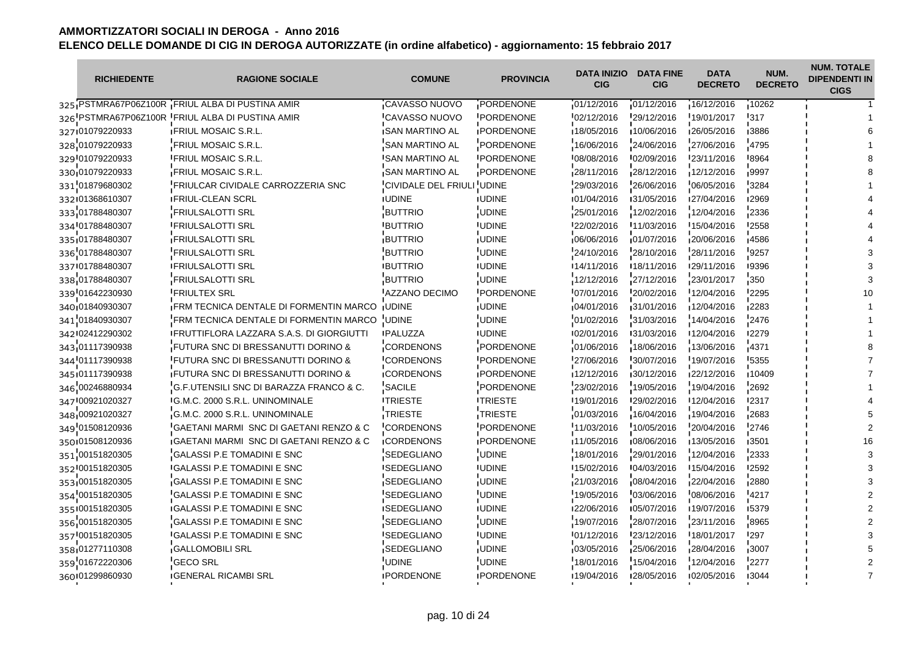| <b>RICHIEDENTE</b> | <b>RAGIONE SOCIALE</b>                             | <b>COMUNE</b>                    | <b>PROVINCIA</b>  | <b>DATA INIZIO</b><br><b>CIG</b> | <b>DATA FINE</b><br><b>CIG</b> | <b>DATA</b><br><b>DECRETO</b> | NUM.<br><b>DECRETO</b> | <b>NUM. TOTALE</b><br><b>DIPENDENTI IN</b><br><b>CIGS</b> |
|--------------------|----------------------------------------------------|----------------------------------|-------------------|----------------------------------|--------------------------------|-------------------------------|------------------------|-----------------------------------------------------------|
|                    | 325 PSTMRA67P06Z100R FRIUL ALBA DI PUSTINA AMIR    | CAVASSO NUOVO                    | PORDENONE         | 01/12/2016                       | 101/12/2016                    | 16/12/2016                    | 10262                  |                                                           |
|                    | 326 PSTMRA67P06Z100R FRIUL ALBA DI PUSTINA AMIR    | <b>CAVASSO NUOVO</b>             | PORDENONE         | 02/12/2016                       | $-29/12/2016$                  | 19/01/2017                    | '317                   |                                                           |
| 327 01079220933    | <b>IFRIUL MOSAIC S.R.L.</b>                        | <b>ISAN MARTINO AL</b>           | <b>IPORDENONE</b> | 18/05/2016                       | 10/06/2016                     | 126/05/2016                   | 13886                  |                                                           |
| 328 01079220933    | FRIUL MOSAIC S.R.L.                                | SAN MARTINO AL                   | PORDENONE         | 16/06/2016                       | 24/06/2016                     | 27/06/2016                    | 4795                   |                                                           |
| 329 01079220933    | <b>FRIUL MOSAIC S.R.L.</b>                         | <b>ISAN MARTINO AL</b>           | <b>IPORDENONE</b> | 108/08/2016                      | 102/09/2016                    | 123/11/2016                   | <b>8964</b>            |                                                           |
| 330.01079220933    | <b>FRIUL MOSAIC S.R.L.</b>                         | SAN MARTINO AL                   | PORDENONE         | 28/11/2016                       | 28/12/2016                     | 12/12/2016                    | ,9997                  |                                                           |
| 331 01879680302    | <b>FRIULCAR CIVIDALE CARROZZERIA SNC</b>           | <b>CIVIDALE DEL FRIULI UDINE</b> |                   | 29/03/2016                       | 26/06/2016                     | 06/05/2016                    | '3284                  |                                                           |
| 332101368610307    | <b>IFRIUL-CLEAN SCRL</b>                           | <b>IUDINE</b>                    | <b>IUDINE</b>     | 01/04/2016                       | 131/05/2016                    | 127/04/2016                   | <b>12969</b>           |                                                           |
| 333 01788480307    | FRIULSALOTTI SRL                                   | <b>BUTTRIO</b>                   | <b>UDINE</b>      | 25/01/2016                       | 12/02/2016                     | 12/04/2016                    | 2336                   |                                                           |
| 334 01788480307    | <b>FRIULSALOTTI SRL</b>                            | <b>BUTTRIO</b>                   | <b>IUDINE</b>     | 22/02/2016                       | 11/03/2016                     | 15/04/2016                    | '2558                  |                                                           |
| 335 01788480307    | <b>FRIULSALOTTI SRL</b>                            | <b>BUTTRIO</b>                   | <b>UDINE</b>      | 06/06/2016                       | 01/07/2016                     | 20/06/2016                    | 4586                   |                                                           |
| 336 01788480307    | <b>FRIULSALOTTI SRL</b>                            | <b>BUTTRIO</b>                   | <b>UDINE</b>      | 24/10/2016                       | 28/10/2016                     | 28/11/2016                    | 9257                   |                                                           |
| 337 01788480307    | <b>FRIULSALOTTI SRL</b>                            | <b>IBUTTRIO</b>                  | <b>IUDINE</b>     | 14/11/2016                       | 18/11/2016                     | 129/11/2016                   | <b>19396</b>           |                                                           |
| 338 01788480307    | FRIULSALOTTI SRL                                   | <b>BUTTRIO</b>                   | <b>UDINE</b>      | 12/12/2016                       | 27/12/2016                     | 23/01/2017                    | 350                    |                                                           |
| 339 01642230930    | <b>FRIULTEX SRL</b>                                | AZZANO DECIMO                    | <b>PORDENONE</b>  | 07/01/2016                       | 20/02/2016                     | 12/04/2016                    | 2295                   |                                                           |
| 340 01840930307    | <b>FRM TECNICA DENTALE DI FORMENTIN MARCO</b>      | <b>JUDINE</b>                    | <b>UDINE</b>      | 04/01/2016                       | 31/01/2016                     | 12/04/2016                    | ∎2283                  |                                                           |
| 341 01840930307    | FRM TECNICA DENTALE DI FORMENTIN MARCO             | <b>UDINE</b>                     | <b>UDINE</b>      | 01/02/2016                       | 31/03/2016                     | 14/04/2016                    | 2476                   |                                                           |
| 342 02412290302    | <b>IFRUTTIFLORA LAZZARA S.A.S. DI GIORGIUTTI</b>   | <b>IPALUZZA</b>                  | <b>IUDINE</b>     | 102/01/2016                      | 131/03/2016                    | 12/04/2016                    | <b>12279</b>           |                                                           |
| 343 01117390938    | FUTURA SNC DI BRESSANUTTI DORINO &                 | <b>CORDENONS</b>                 | PORDENONE         | 01/06/2016                       | 18/06/2016                     | 13/06/2016                    | $-4371$                |                                                           |
| 344'01117390938    | FUTURA SNC DI BRESSANUTTI DORINO &                 | <b>CORDENONS</b>                 | PORDENONE         | 27/06/2016                       | 30/07/2016                     | 19/07/2016                    | '5355                  |                                                           |
| 345 01117390938    | <b>FUTURA SNC DI BRESSANUTTI DORINO &amp;</b>      | <b>CORDENONS</b>                 | <b>PORDENONE</b>  | 12/12/2016                       | 30/12/2016                     | 122/12/2016                   | 10409                  |                                                           |
| 346 00246880934    | G.F.UTENSILI SNC DI BARAZZA FRANCO & C.            | SACILE                           | PORDENONE         | 23/02/2016                       | 19/05/2016                     | 19/04/2016                    | 2692                   |                                                           |
| 347 00921020327    | IG.M.C. 2000 S.R.L. UNINOMINALE                    | <b>ITRIESTE</b>                  | <b>ITRIESTE</b>   | 19/01/2016                       | 129/02/2016                    | 12/04/2016                    | <b>'2317</b>           |                                                           |
| 348 00921020327    | G.M.C. 2000 S.R.L. UNINOMINALE                     | TRIESTE                          | TRIESTE           | 01/03/2016                       | 16/04/2016                     | 19/04/2016                    | 12683                  |                                                           |
| 349 01508120936    | GAETANI MARMI SNC DI GAETANI RENZO & C             | <b>CORDENONS</b>                 | <b>PORDENONE</b>  | 11/03/2016                       | 10/05/2016                     | 20/04/2016                    | 2746                   |                                                           |
| 350 01508120936    | <b>IGAETANI MARMI SNC DI GAETANI RENZO &amp; C</b> | <b>ICORDENONS</b>                | <b>IPORDENONE</b> | ∎11/05/2016                      | 108/06/2016                    | 13/05/2016                    | ∎3501                  |                                                           |
| 351 00151820305    | <b>GALASSI P.E TOMADINI E SNC</b>                  | SEDEGLIANO                       | <b>UDINE</b>      | 18/01/2016                       | 29/01/2016                     | 12/04/2016                    | 2333                   |                                                           |
| 352 00151820305    | <b>IGALASSI P.E TOMADINI E SNC</b>                 | <b>I</b> SEDEGLIANO              | <b>UDINE</b>      | 15/02/2016                       | 104/03/2016                    | 15/04/2016                    | '2592                  |                                                           |
| 353,00151820305    | <b>GALASSI P.E TOMADINI E SNC</b>                  | SEDEGLIANO                       | <b>UDINE</b>      | 21/03/2016                       | 08/04/2016                     | 22/04/2016                    | 2880                   |                                                           |
| 354 00151820305    | <b>GALASSI P.E TOMADINI E SNC</b>                  | <b>SEDEGLIANO</b>                | <b>UDINE</b>      | 19/05/2016                       | 03/06/2016                     | 08/06/2016                    | 4217                   |                                                           |
| 355 00151820305    | <b>IGALASSI P.E TOMADINI E SNC</b>                 | <b>ISEDEGLIANO</b>               | <b>IUDINE</b>     | 122/06/2016                      | 105/07/2016                    | 19/07/2016                    | 15379                  |                                                           |
| 356 00151820305    | GALASSI P.E TOMADINI E SNC                         | SEDEGLIANO                       | <b>UDINE</b>      | 19/07/2016                       | 28/07/2016                     | 23/11/2016                    | 8965                   |                                                           |
| 357 00151820305    | <b>GALASSI P.E TOMADINI E SNC</b>                  | <b>SEDEGLIANO</b>                | <b>UDINE</b>      | 01/12/2016                       | 23/12/2016                     | 18/01/2017                    | '297                   |                                                           |
| 358 01277110308    | <b>GALLOMOBILI SRL</b>                             | <b>SEDEGLIANO</b>                | <b>UDINE</b>      | 03/05/2016                       | 25/06/2016                     | 28/04/2016                    | 3007                   |                                                           |
| 359 01672220306    | <b>GECO SRL</b>                                    | UDINE                            | <b>UDINE</b>      | 18/01/2016                       | 15/04/2016                     | 12/04/2016                    | 2277                   |                                                           |
| 360 01299860930    | <b>IGENERAL RICAMBI SRL</b>                        | <b>IPORDENONE</b>                | <b>IPORDENONE</b> | 19/04/2016                       | 128/05/2016                    | 102/05/2016                   | 13044                  |                                                           |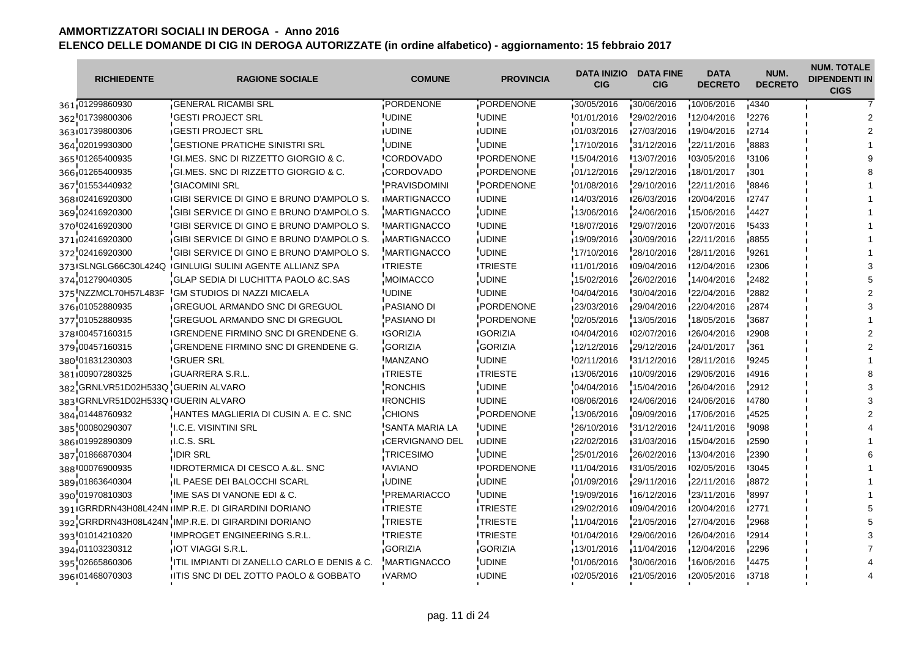| <b>RICHIEDENTE</b>                 | <b>RAGIONE SOCIALE</b>                                     | <b>COMUNE</b>          | <b>PROVINCIA</b>  | <b>DATA INIZIO</b><br><b>CIG</b> | <b>DATA FINE</b><br><b>CIG</b> | <b>DATA</b><br><b>DECRETO</b> | NUM.<br><b>DECRETO</b> | <b>NUM. TOTALE</b><br><b>DIPENDENTI IN</b><br><b>CIGS</b> |
|------------------------------------|------------------------------------------------------------|------------------------|-------------------|----------------------------------|--------------------------------|-------------------------------|------------------------|-----------------------------------------------------------|
| 361 01299860930                    | <b>GENERAL RICAMBI SRL</b>                                 | PORDENONE              | PORDENONE         | 30/05/2016                       | 30/06/2016                     | 10/06/2016                    | $-4340$                |                                                           |
| 362 01739800306                    | <b>GESTI PROJECT SRL</b>                                   | <b>UDINE</b>           | UDINE             | 01/01/2016                       | 29/02/2016                     | 12/04/2016                    | 2276                   |                                                           |
| 363 01739800306                    | <b>IGESTI PROJECT SRL</b>                                  | <b>IUDINE</b>          | <b>IUDINE</b>     | 01/03/2016                       | 127/03/2016                    | 19/04/2016                    | 12714                  |                                                           |
| 364 02019930300                    | GESTIONE PRATICHE SINISTRI SRL                             | UDINE                  | <b>UDINE</b>      | 17/10/2016                       | 31/12/2016                     | 22/11/2016                    | 8883                   |                                                           |
| 365 01265400935                    | <b>IGI.MES. SNC DI RIZZETTO GIORGIO &amp; C.</b>           | <b>ICORDOVADO</b>      | <b>IPORDENONE</b> | 15/04/2016                       | 13/07/2016                     | 103/05/2016                   | <b>13106</b>           |                                                           |
| 366 01265400935                    | GI.MES. SNC DI RIZZETTO GIORGIO & C.                       | CORDOVADO              | PORDENONE         | 01/12/2016                       | 29/12/2016                     | 18/01/2017                    | $-301$                 |                                                           |
| 367 01553440932                    | <b>GIACOMINI SRL</b>                                       | <b>PRAVISDOMINI</b>    | PORDENONE         | 01/08/2016                       | 29/10/2016                     | 22/11/2016                    | 8846                   |                                                           |
| 368 02416920300                    | <b>IGIBI SERVICE DI GINO E BRUNO D'AMPOLO S.</b>           | <b>IMARTIGNACCO</b>    | <b>IUDINE</b>     | 14/03/2016                       | 126/03/2016                    | 120/04/2016                   | 12747                  |                                                           |
| 369 02416920300                    | GIBI SERVICE DI GINO E BRUNO D'AMPOLO S.                   | <b>MARTIGNACCO</b>     | <b>UDINE</b>      | 13/06/2016                       | 24/06/2016                     | 15/06/2016                    | 4427                   |                                                           |
| 370 02416920300                    | <b>IGIBI SERVICE DI GINO E BRUNO D'AMPOLO S.</b>           | <b>IMARTIGNACCO</b>    | <b>IUDINE</b>     | 18/07/2016                       | 129/07/2016                    | 20/07/2016                    | <b>'5433</b>           |                                                           |
| 371 02416920300                    | GIBI SERVICE DI GINO E BRUNO D'AMPOLO S.                   | <b>MARTIGNACCO</b>     | <b>UDINE</b>      | 19/09/2016                       | 30/09/2016                     | 22/11/2016                    | 8855                   |                                                           |
| 372 02416920300                    | GIBI SERVICE DI GINO E BRUNO D'AMPOLO S.                   | <b>MARTIGNACCO</b>     | <b>UDINE</b>      | 17/10/2016                       | 28/10/2016                     | 28/11/2016                    | 9261                   |                                                           |
|                                    | 373 ISLNGLG66C30L424Q  IGINLUIGI SULINI AGENTE ALLIANZ SPA | <b>ITRIESTE</b>        | <b>ITRIESTE</b>   | 11/01/2016                       | 109/04/2016                    | 12/04/2016                    | <b>12306</b>           |                                                           |
| 374 01279040305                    | GLAP SEDIA DI LUCHITTA PAOLO &C.SAS                        | <b>MOIMACCO</b>        | <b>UDINE</b>      | 15/02/2016                       | 26/02/2016                     | 14/04/2016                    | 2482                   |                                                           |
| 375 NZZMCL70H57L483F               | <b>IGM STUDIOS DI NAZZI MICAELA</b>                        | <b>UDINE</b>           | <b>UDINE</b>      | 04/04/2016                       | 30/04/2016                     | 22/04/2016                    | '2882                  |                                                           |
| 376 01052880935                    | <b>GREGUOL ARMANDO SNC DI GREGUOL</b>                      | PASIANO DI             | PORDENONE         | 23/03/2016                       | 29/04/2016                     | 22/04/2016                    | 2874                   |                                                           |
| 377 01052880935                    | <b>GREGUOL ARMANDO SNC DI GREGUOL</b>                      | <b>PASIANO DI</b>      | PORDENONE         | 02/05/2016                       | 13/05/2016                     | 18/05/2016                    | 3687                   |                                                           |
| 378 00457160315                    | <b>IGRENDENE FIRMINO SNC DI GRENDENE G.</b>                | <b>IGORIZIA</b>        | <b>IGORIZIA</b>   | 104/04/2016                      | 102/07/2016                    | 126/04/2016                   | <b>2908</b>            |                                                           |
| 379 00457160315                    | GRENDENE FIRMINO SNC DI GRENDENE G.                        | <b>GORIZIA</b>         | <b>GORIZIA</b>    | 12/12/2016                       | 29/12/2016                     | 24/01/2017                    | 361                    |                                                           |
| 380'01831230303                    | <b>GRUER SRL</b>                                           | <b>MANZANO</b>         | <b>UDINE</b>      | 02/11/2016                       | 31/12/2016                     | 28/11/2016                    | 9245                   |                                                           |
| 381 00907280325                    | <b>GUARRERA S.R.L.</b>                                     | <b>TRIESTE</b>         | <b>TRIESTE</b>    | 13/06/2016                       | 10/09/2016                     | 29/06/2016                    | 14916                  |                                                           |
| 382 GRNLVR51D02H533Q GUERIN ALVARO |                                                            | <b>RONCHIS</b>         | <b>UDINE</b>      | 04/04/2016                       | 15/04/2016                     | 26/04/2016                    | 2912                   |                                                           |
| 383 GRNLVR51D02H533Q GUERIN ALVARO |                                                            | <b>IRONCHIS</b>        | <b>UDINE</b>      | 108/06/2016                      | 124/06/2016                    | 124/06/2016                   | 14780                  |                                                           |
| 384 01448760932                    | <b>HANTES MAGLIERIA DI CUSIN A. E C. SNC</b>               | <b>CHIONS</b>          | PORDENONE         | 13/06/2016                       | 09/09/2016                     | 17/06/2016                    | 4525                   |                                                           |
| 385 00080290307                    | <b>I.C.E. VISINTINI SRL</b>                                | <b>SANTA MARIA LA</b>  | <b>UDINE</b>      | 26/10/2016                       | 31/12/2016                     | 24/11/2016                    | 9098                   |                                                           |
| 386 01992890309                    | II.C.S. SRL                                                | <b>ICERVIGNANO DEL</b> | <b>IUDINE</b>     | 122/02/2016                      | 131/03/2016                    | 15/04/2016                    | 12590                  |                                                           |
| 387 01866870304                    | <b>IDIR SRL</b>                                            | <b>TRICESIMO</b>       | <b>UDINE</b>      | 25/01/2016                       | 26/02/2016                     | 13/04/2016                    | 2390                   |                                                           |
| 388 00076900935                    | <b>IDROTERMICA DI CESCO A.&amp;L. SNC</b>                  | <b>AVIANO</b>          | <b>IPORDENONE</b> | 11/04/2016                       | 131/05/2016                    | 102/05/2016                   | <b>'3045</b>           |                                                           |
| 389 01863640304                    | IL PAESE DEI BALOCCHI SCARL                                | <b>UDINE</b>           | <b>UDINE</b>      | 01/09/2016                       | 29/11/2016                     | 22/11/2016                    | 8872                   |                                                           |
| 390 01970810303                    | IME SAS DI VANONE EDI & C.                                 | <b>PREMARIACCO</b>     | <b>UDINE</b>      | 19/09/2016                       | 16/12/2016                     | 23/11/2016                    | 8997                   |                                                           |
|                                    | 391 GRRDRN43H08L424N IIMP.R.E. DI GIRARDINI DORIANO        | <b>ITRIESTE</b>        | <b>ITRIESTE</b>   | 129/02/2016                      | 109/04/2016                    | 120/04/2016                   | 12771                  |                                                           |
|                                    | 392 GRRDRN43H08L424N IMP.R.E. DI GIRARDINI DORIANO         | <b>TRIESTE</b>         | TRIESTE           | 11/04/2016                       | 21/05/2016                     | 27/04/2016                    | 2968                   |                                                           |
| 393 01014210320                    | IMPROGET ENGINEERING S.R.L.                                | <b>ITRIESTE</b>        | <b>ITRIESTE</b>   | 01/04/2016                       | 29/06/2016                     | 26/04/2016                    | '2914                  |                                                           |
| 394 01103230312                    | <b>IOT VIAGGI S.R.L.</b>                                   | <b>GORIZIA</b>         | <b>GORIZIA</b>    | 13/01/2016                       | 11/04/2016                     | 12/04/2016                    | 2296                   |                                                           |
| 395 02665860306                    | ITIL IMPIANTI DI ZANELLO CARLO E DENIS & C.                | <b>MARTIGNACCO</b>     | <b>UDINE</b>      | 01/06/2016                       | 30/06/2016                     | 16/06/2016                    | 4475                   |                                                           |
| 396 01468070303                    | ITIS SNC DI DEL ZOTTO PAOLO & GOBBATO                      | <b>IVARMO</b>          | <b>IUDINE</b>     | 02/05/2016                       | 121/05/2016                    | 120/05/2016                   | 13718                  |                                                           |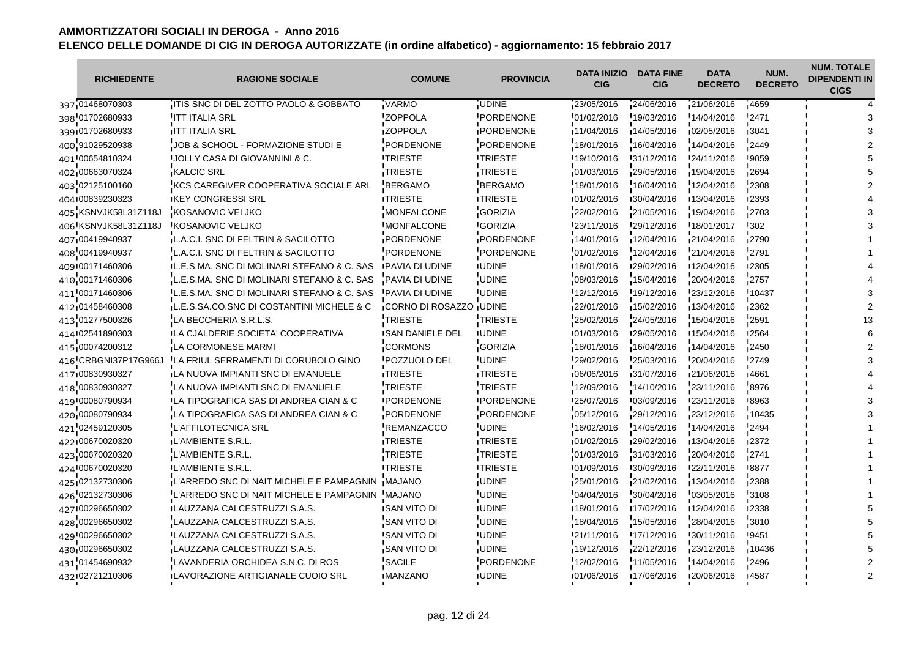| <b>RICHIEDENTE</b>   | <b>RAGIONE SOCIALE</b>                            | <b>COMUNE</b>           | <b>PROVINCIA</b>  | <b>DATA INIZIO</b><br><b>CIG</b> | <b>DATA FINE</b><br><b>CIG</b> | <b>DATA</b><br><b>DECRETO</b> | NUM.<br><b>DECRETO</b> | <b>NUM. TOTALE</b><br><b>DIPENDENTI IN</b><br><b>CIGS</b> |
|----------------------|---------------------------------------------------|-------------------------|-------------------|----------------------------------|--------------------------------|-------------------------------|------------------------|-----------------------------------------------------------|
| 397 01468070303      | ITIS SNC DI DEL ZOTTO PAOLO & GOBBATO             | VARMO                   | <b>UDINE</b>      | 23/05/2016                       | 24/06/2016                     | 21/06/2016                    | 14659                  |                                                           |
| 398 01702680933      | <b>ITT ITALIA SRL</b>                             | <b>ZOPPOLA</b>          | PORDENONE         | 01/02/2016                       | 19/03/2016                     | 14/04/2016                    | 2471                   |                                                           |
| 399101702680933      | <b>IITT ITALIA SRL</b>                            | <b>IZOPPOLA</b>         | <b>IPORDENONE</b> | 11/04/2016                       | 14/05/2016                     | 02/05/2016                    | ∎3041                  |                                                           |
| 400 91029520938      | JOB & SCHOOL - FORMAZIONE STUDI E                 | PORDENONE               | PORDENONE         | 18/01/2016                       | 16/04/2016                     | 14/04/2016                    | 2449                   |                                                           |
| 401 00654810324      | <b>JOLLY CASA DI GIOVANNINI &amp; C.</b>          | <b>ITRIESTE</b>         | <b>ITRIESTE</b>   | 19/10/2016                       | 131/12/2016                    | 124/11/2016                   | <b>19059</b>           |                                                           |
| 402 00663070324      | <b>KALCIC SRL</b>                                 | <b>TRIESTE</b>          | TRIESTE           | 01/03/2016                       | 29/05/2016                     | 19/04/2016                    | 12694                  |                                                           |
| 403 02125100160      | KCS CAREGIVER COOPERATIVA SOCIALE ARL             | <b>BERGAMO</b>          | <b>BERGAMO</b>    | 18/01/2016                       | 16/04/2016                     | 12/04/2016                    | '2308                  |                                                           |
| 404100839230323      | <b>IKEY CONGRESSI SRL</b>                         | <b>ITRIESTE</b>         | <b>ITRIESTE</b>   | 101/02/2016                      | 130/04/2016                    | 13/04/2016                    | ∎2393                  |                                                           |
| 405 KSNVJK58L31Z118J | KOSANOVIC VELJKO                                  | <b>MONFALCONE</b>       | <b>GORIZIA</b>    | 22/02/2016                       | 21/05/2016                     | 19/04/2016                    | 2703                   |                                                           |
| 406 KSNVJK58L31Z118J | <b>KOSANOVIC VELJKO</b>                           | <b>IMONFALCONE</b>      | <b>IGORIZIA</b>   | 23/11/2016                       | 29/12/2016                     | 18/01/2017                    | '302                   |                                                           |
| 407 00419940937      | L.A.C.I. SNC DI FELTRIN & SACILOTTO               | PORDENONE               | PORDENONE         | 14/01/2016                       | 12/04/2016                     | 21/04/2016                    | 2790                   |                                                           |
| 408 00419940937      | L.A.C.I. SNC DI FELTRIN & SACILOTTO               | PORDENONE               | PORDENONE         | 01/02/2016                       | 12/04/2016                     | 21/04/2016                    | 2791                   |                                                           |
| 409 00171460306      | IL.E.S.MA. SNC DI MOLINARI STEFANO & C. SAS       | <b>IPAVIA DI UDINE</b>  | <b>IUDINE</b>     | 18/01/2016                       | 129/02/2016                    | 12/04/2016                    | <b>2305</b>            |                                                           |
| 410 00171460306      | L.E.S.MA. SNC DI MOLINARI STEFANO & C. SAS        | PAVIA DI UDINE          | <b>UDINE</b>      | 08/03/2016                       | 15/04/2016                     | 20/04/2016                    | 2757                   |                                                           |
| 411 00171460306      | IL.E.S.MA. SNC DI MOLINARI STEFANO & C. SAS       | <b>PAVIA DI UDINE</b>   | <b>UDINE</b>      | 12/12/2016                       | 19/12/2016                     | 23/12/2016                    | 10437                  |                                                           |
| 412 01458460308      | L.E.S.SA.CO.SNC DI COSTANTINI MICHELE & C         | CORNO DI ROSAZZO UDINE  |                   | 22/01/2016                       | 15/02/2016                     | 13/04/2016                    | ∎2362                  |                                                           |
| 413 01277500326      | LA BECCHERIA S.R.L.S.                             | <b>TRIESTE</b>          | TRIESTE           | 25/02/2016                       | 24/05/2016                     | 15/04/2016                    | 2591                   |                                                           |
| 414 02541890303      | <b>ILA CJALDERIE SOCIETA' COOPERATIVA</b>         | <b>ISAN DANIELE DEL</b> | <b>IUDINE</b>     | 01/03/2016                       | 129/05/2016                    | 15/04/2016                    | <b>2564</b>            |                                                           |
| 415 00074200312      | LA CORMONESE MARMI                                | <b>CORMONS</b>          | <b>GORIZIA</b>    | 18/01/2016                       | 16/04/2016                     | 14/04/2016                    | $-2450$                |                                                           |
| 416 CRBGNI37P17G966J | LA FRIUL SERRAMENTI DI CORUBOLO GINO              | POZZUOLO DEL            | <b>UDINE</b>      | 29/02/2016                       | 25/03/2016                     | 20/04/2016                    | 2749                   |                                                           |
| 417 00830930327      | LA NUOVA IMPIANTI SNC DI EMANUELE                 | <b>ITRIESTE</b>         | <b>ITRIESTE</b>   | 06/06/2016                       | 31/07/2016                     | 121/06/2016                   | <b>4661</b>            |                                                           |
| 418 00830930327      | LA NUOVA IMPIANTI SNC DI EMANUELE                 | TRIESTE                 | TRIESTE           | 12/09/2016                       | 14/10/2016                     | 23/11/2016                    | 8976                   |                                                           |
| 419 00080790934      | <b>ILA TIPOGRAFICA SAS DI ANDREA CIAN &amp; C</b> | <b>IPORDENONE</b>       | <b>IPORDENONE</b> | 125/07/2016                      | 103/09/2016                    | 123/11/2016                   | 18963                  |                                                           |
| 420 00080790934      | LA TIPOGRAFICA SAS DI ANDREA CIAN & C             | PORDENONE               | PORDENONE         | 05/12/2016                       | 129/12/2016                    | 23/12/2016                    | $-10435$               |                                                           |
| 421 02459120305      | <b>L'AFFILOTECNICA SRL</b>                        | <b>REMANZACCO</b>       | <b>UDINE</b>      | 16/02/2016                       | 14/05/2016                     | 14/04/2016                    | 2494                   |                                                           |
| 422100670020320      | <b>IL'AMBIENTE S.R.L.</b>                         | <b>ITRIESTE</b>         | <b>ITRIESTE</b>   | 01/02/2016                       | 129/02/2016                    | 13/04/2016                    | ■2372                  |                                                           |
| 423 00670020320      | L'AMBIENTE S.R.L.                                 | <b>TRIESTE</b>          | <b>TRIESTE</b>    | 01/03/2016                       | 31/03/2016                     | 20/04/2016                    | 2741                   |                                                           |
| 424 00670020320      | <b>IL'AMBIENTE S.R.L.</b>                         | <b>ITRIESTE</b>         | <b>ITRIESTE</b>   | 01/09/2016                       | 30/09/2016                     | 122/11/2016                   | <b>8877</b>            |                                                           |
| 425 02132730306      | L'ARREDO SNC DI NAIT MICHELE E PAMPAGNIN          | <b>MAJANO</b>           | <b>UDINE</b>      | 25/01/2016                       | 21/02/2016                     | 13/04/2016                    | 2388                   |                                                           |
| 426 02132730306      | L'ARREDO SNC DI NAIT MICHELE E PAMPAGNIN MAJANO   |                         | <b>UDINE</b>      | 04/04/2016                       | 30/04/2016                     | 03/05/2016                    | 3108                   |                                                           |
| 427 00296650302      | <b>ILAUZZANA CALCESTRUZZI S.A.S.</b>              | <b>ISAN VITO DI</b>     | <b>IUDINE</b>     | 18/01/2016                       | ■17/02/2016                    | ■12/04/2016                   | 12338                  |                                                           |
| 428 00296650302      | LAUZZANA CALCESTRUZZI S.A.S.                      | SAN VITO DI             | <b>UDINE</b>      | 18/04/2016                       | 15/05/2016                     | 28/04/2016                    | 3010                   |                                                           |
| 429 00296650302      | <b>LAUZZANA CALCESTRUZZI S.A.S.</b>               | <b>SAN VITO DI</b>      | <b>UDINE</b>      | 21/11/2016                       | 17/12/2016                     | 30/11/2016                    | '9451                  |                                                           |
| 430,00296650302      | LAUZZANA CALCESTRUZZI S.A.S.                      | <b>SAN VITO DI</b>      | <b>UDINE</b>      | 19/12/2016                       | 22/12/2016                     | 23/12/2016                    | ∎10436                 |                                                           |
| 431 01454690932      | LAVANDERIA ORCHIDEA S.N.C. DI ROS                 | <b>SACILE</b>           | PORDENONE         | 12/02/2016                       | 11/05/2016                     | 14/04/2016                    | 2496                   |                                                           |
| 432 02721210306      | <b>ILAVORAZIONE ARTIGIANALE CUOIO SRL</b>         | <b>IMANZANO</b>         | <b>IUDINE</b>     | 01/06/2016                       | 17/06/2016                     | 120/06/2016                   | 14587                  |                                                           |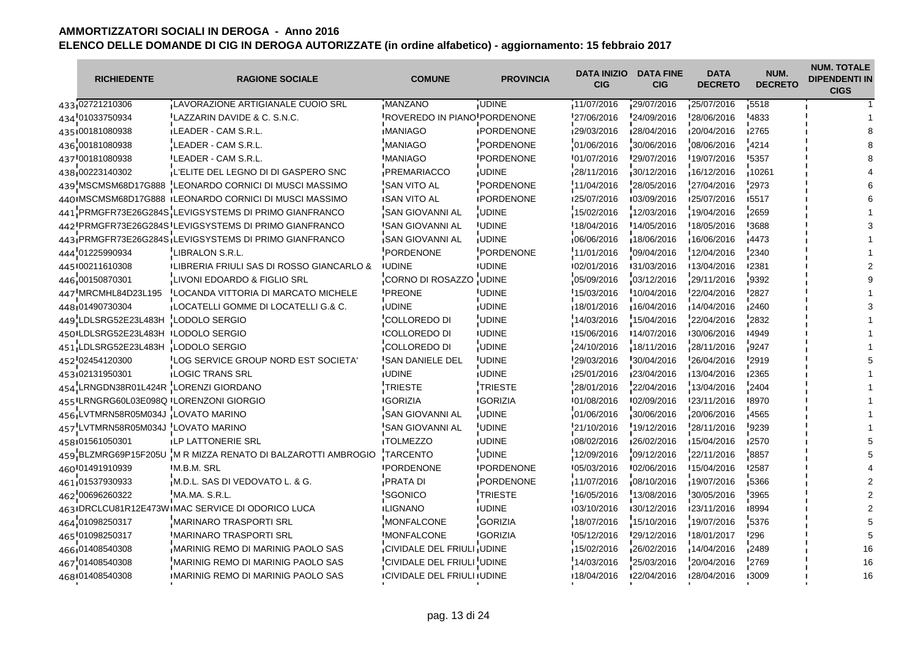| <b>RICHIEDENTE</b>                    | <b>RAGIONE SOCIALE</b>                                  | <b>COMUNE</b>                      | <b>PROVINCIA</b>  | <b>DATA INIZIO</b><br><b>CIG</b> | <b>DATA FINE</b><br><b>CIG</b> | <b>DATA</b><br><b>DECRETO</b> | NUM.<br><b>DECRETO</b> | <b>NUM. TOTALE</b><br><b>DIPENDENTI IN</b><br><b>CIGS</b> |
|---------------------------------------|---------------------------------------------------------|------------------------------------|-------------------|----------------------------------|--------------------------------|-------------------------------|------------------------|-----------------------------------------------------------|
| 433 02721210306                       | LAVORAZIONE ARTIGIANALE CUOIO SRL                       | MANZANO                            | <b>UDINE</b>      | 11/07/2016                       | 29/07/2016                     | 25/07/2016                    | 15518                  |                                                           |
| 434 01033750934                       | LAZZARIN DAVIDE & C. S.N.C.                             | ROVEREDO IN PIANO PORDENONE        |                   | 27/06/2016                       | 24/09/2016                     | 28/06/2016                    | '4833                  |                                                           |
| 435100181080938                       | <b>ILEADER - CAM S.R.L.</b>                             | <b>IMANIAGO</b>                    | <b>IPORDENONE</b> | 129/03/2016                      | 128/04/2016                    | 120/04/2016                   | ∎2765                  |                                                           |
| 436 00181080938                       | LEADER - CAM S.R.L.                                     | MANIAGO                            | PORDENONE         | 01/06/2016                       | 30/06/2016                     | 08/06/2016                    | 4214                   |                                                           |
| 437 00181080938                       | <b>LEADER - CAM S.R.L.</b>                              | <b>IMANIAGO</b>                    | <b>IPORDENONE</b> | 101/07/2016                      | 129/07/2016                    | 19/07/2016                    | <b>'5357</b>           |                                                           |
| 438 00223140302                       | L'ELITE DEL LEGNO DI DI GASPERO SNC                     | PREMARIACCO                        | <b>UDINE</b>      | 28/11/2016                       | 30/12/2016                     | 16/12/2016                    | $-10261$               |                                                           |
| 439 MSCMSM68D17G888                   | LEONARDO CORNICI DI MUSCI MASSIMO                       | <b>SAN VITO AL</b>                 | PORDENONE         | 11/04/2016                       | 28/05/2016                     | 27/04/2016                    | 2973                   |                                                           |
|                                       | 440 IMSCMSM68D17G888 ILEONARDO CORNICI DI MUSCI MASSIMO | <b>ISAN VITO AL</b>                | <b>IPORDENONE</b> | 125/07/2016                      | 103/09/2016                    | 125/07/2016                   | 15517                  |                                                           |
|                                       | 441 PRMGFR73E26G284S LEVIGSYSTEMS DI PRIMO GIANFRANCO   | SAN GIOVANNI AL                    | <b>UDINE</b>      | 15/02/2016                       | 12/03/2016                     | 19/04/2016                    | 2659                   |                                                           |
|                                       | 442 PRMGFR73E26G284S ILEVIGSYSTEMS DI PRIMO GIANFRANCO  | <b>SAN GIOVANNI AL</b>             | <b>IUDINE</b>     | 18/04/2016                       | 14/05/2016                     | 18/05/2016                    | '3688                  |                                                           |
|                                       | 443 PRMGFR73E26G284S LEVIGSYSTEMS DI PRIMO GIANFRANCO   | SAN GIOVANNI AL                    | <b>UDINE</b>      | 06/06/2016                       | 18/06/2016                     | 16/06/2016                    | 4473                   |                                                           |
| 444 01225990934                       | LIBRALON S.R.L.                                         | <b>PORDENONE</b>                   | PORDENONE         | 11/01/2016                       | 09/04/2016                     | 12/04/2016                    | 2340                   |                                                           |
| 445 00211610308                       | LIBRERIA FRIULI SAS DI ROSSO GIANCARLO &                | <b>IUDINE</b>                      | <b>IUDINE</b>     | 102/01/2016                      | 131/03/2016                    | ■13/04/2016                   | <b>2381</b>            |                                                           |
| 446 00150870301                       | LIVONI EDOARDO & FIGLIO SRL                             | CORNO DI ROSAZZO                   | <b>UDINE</b>      | 05/09/2016                       | 03/12/2016                     | 29/11/2016                    | 9392                   |                                                           |
| 447 MRCMHL84D23L195                   | <b>ILOCANDA VITTORIA DI MARCATO MICHELE</b>             | <b>PREONE</b>                      | <b>UDINE</b>      | 15/03/2016                       | 10/04/2016                     | 22/04/2016                    | '2827                  |                                                           |
| 448 01490730304                       | LOCATELLI GOMME DI LOCATELLI G.& C.                     | <b>JUDINE</b>                      | <b>UDINE</b>      | 18/01/2016                       | 16/04/2016                     | 14/04/2016                    | 2460                   |                                                           |
| 449 LDLSRG52E23L483H                  | LODOLO SERGIO                                           | COLLOREDO DI                       | <b>UDINE</b>      | 14/03/2016                       | 15/04/2016                     | 22/04/2016                    | 2832                   |                                                           |
| 450 LDLSRG52E23L483H LODOLO SERGIO    |                                                         | <b>ICOLLOREDO DI</b>               | <b>IUDINE</b>     | ■15/06/2016                      | 14/07/2016                     | 130/06/2016                   | 14949                  |                                                           |
| 451 LDLSRG52E23L483H                  | LODOLO SERGIO                                           | COLLOREDO DI                       | <b>UDINE</b>      | 24/10/2016                       | 18/11/2016                     | 28/11/2016                    | 9247                   |                                                           |
| 452 02454120300                       | LOG SERVICE GROUP NORD EST SOCIETA'                     | <b>SAN DANIELE DEL</b>             | <b>UDINE</b>      | 29/03/2016                       | 30/04/2016                     | 26/04/2016                    | '2919                  |                                                           |
| 453 02131950301                       | <b>LOGIC TRANS SRL</b>                                  | <b>JUDINE</b>                      | <b>UDINE</b>      | 25/01/2016                       | 23/04/2016                     | 13/04/2016                    | <b>2365</b>            |                                                           |
| 454 LRNGDN38R01L424R LORENZI GIORDANO |                                                         | <b>TRIESTE</b>                     | TRIESTE           | 28/01/2016                       | 22/04/2016                     | 13/04/2016                    | 2404                   |                                                           |
|                                       | 455 LRNGRG60L03E098Q LORENZONI GIORGIO                  | <b>IGORIZIA</b>                    | <b>IGORIZIA</b>   | 101/08/2016                      | 102/09/2016                    | 123/11/2016                   | 18970                  |                                                           |
| 456 LVTMRN58R05M034J LOVATO MARINO    |                                                         | SAN GIOVANNI AL                    | <b>UDINE</b>      | 01/06/2016                       | 30/06/2016                     | 20/06/2016                    | 4565                   |                                                           |
| 457 LVTMRN58R05M034J LOVATO MARINO    |                                                         | <b>SAN GIOVANNI AL</b>             | <b>UDINE</b>      | 21/10/2016                       | 19/12/2016                     | 28/11/2016                    | 9239                   |                                                           |
| 458 01561050301                       | <b>ILP LATTONERIE SRL</b>                               | <b>TOLMEZZO</b>                    | <b>IUDINE</b>     | 108/02/2016                      | 126/02/2016                    | 15/04/2016                    | 12570                  |                                                           |
| 459 BLZMRG69P15F205U                  | M R MIZZA RENATO DI BALZAROTTI AMBROGIO                 | <b>TARCENTO</b>                    | <b>UDINE</b>      | 12/09/2016                       | 09/12/2016                     | 22/11/2016                    | 8857                   |                                                           |
| 460 01491910939                       | <b>M.B.M. SRL</b>                                       | <b>PORDENONE</b>                   | <b>IPORDENONE</b> | 05/03/2016                       | 02/06/2016                     | 15/04/2016                    | '2587                  |                                                           |
| 461 01537930933                       | M.D.L. SAS DI VEDOVATO L. & G.                          | <b>PRATA DI</b>                    | PORDENONE         | 11/07/2016                       | 08/10/2016                     | 19/07/2016                    | 5366                   |                                                           |
| 462 00696260322                       | MA.MA. S.R.L.                                           | 'SGONICO                           | TRIESTE           | 16/05/2016                       | 13/08/2016                     | 30/05/2016                    | 3965                   |                                                           |
|                                       | 463 DRCLCU81R12E473W MAC SERVICE DI ODORICO LUCA        | <b>ILIGNANO</b>                    | <b>IUDINE</b>     | 03/10/2016                       | 130/12/2016                    | 123/11/2016                   | 18994                  |                                                           |
| 464 01098250317                       | <b>MARINARO TRASPORTI SRL</b>                           | MONFALCONE                         | <b>GORIZIA</b>    | 18/07/2016                       | 15/10/2016                     | 19/07/2016                    | 5376                   |                                                           |
| 465 01098250317                       | <b>MARINARO TRASPORTI SRL</b>                           | <b>MONFALCONE</b>                  | <b>GORIZIA</b>    | 05/12/2016                       | 29/12/2016                     | 18/01/2017                    | '296                   |                                                           |
| 466.01408540308                       | <b>MARINIG REMO DI MARINIG PAOLO SAS</b>                | CIVIDALE DEL FRIULI UDINE          |                   | 15/02/2016                       | 26/02/2016                     | 14/04/2016                    | 2489                   | 16                                                        |
| 467 01408540308                       | MARINIG REMO DI MARINIG PAOLO SAS                       | CIVIDALE DEL FRIULI UDINE          |                   | 14/03/2016                       | 25/03/2016                     | 20/04/2016                    | 2769                   | 16                                                        |
| 468 01408540308                       | IMARINIG REMO DI MARINIG PAOLO SAS                      | <b>ICIVIDALE DEL FRIULI IUDINE</b> |                   | 18/04/2016                       | 122/04/2016                    | 128/04/2016                   | <b>13009</b>           | 16                                                        |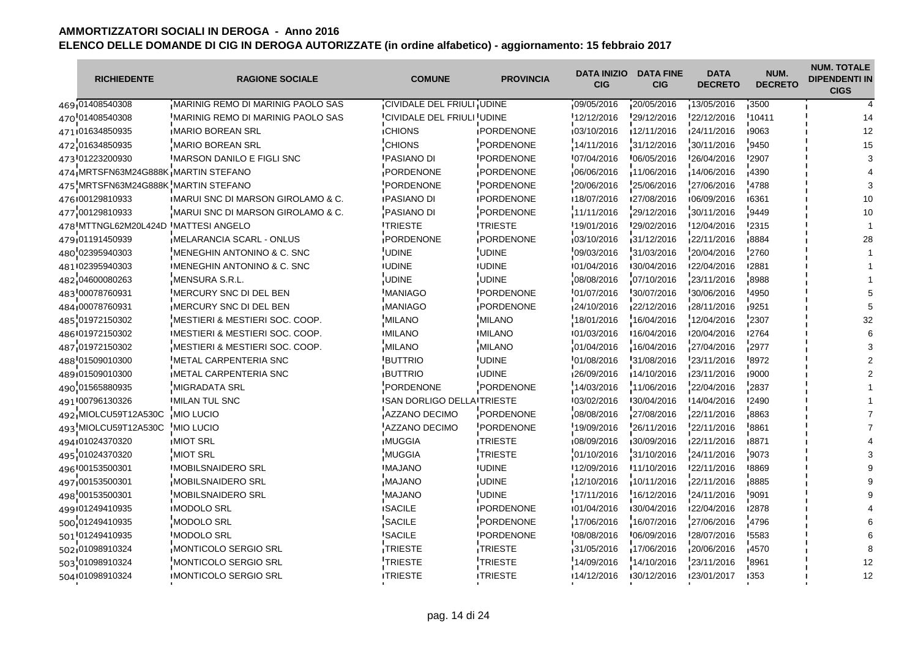| <b>RICHIEDENTE</b>                  | <b>RAGIONE SOCIALE</b>                        | <b>COMUNE</b>                     | <b>PROVINCIA</b>  | <b>DATA INIZIO</b><br><b>CIG</b> | <b>DATA FINE</b><br><b>CIG</b> | <b>DATA</b><br><b>DECRETO</b> | NUM.<br><b>DECRETO</b> | <b>NUM. TOTALE</b><br><b>DIPENDENTI IN</b><br><b>CIGS</b> |
|-------------------------------------|-----------------------------------------------|-----------------------------------|-------------------|----------------------------------|--------------------------------|-------------------------------|------------------------|-----------------------------------------------------------|
| 469 01408540308                     | MARINIG REMO DI MARINIG PAOLO SAS             | CIVIDALE DEL FRIULI UDINE         |                   | 09/05/2016                       | 20/05/2016                     | 13/05/2016                    | 3500                   |                                                           |
| 470'01408540308                     | MARINIG REMO DI MARINIG PAOLO SAS             | CIVIDALE DEL FRIULI UDINE         |                   | 12/12/2016                       | 29/12/2016                     | 22/12/2016                    | 10411                  | 14                                                        |
| 471 01634850935                     | <b>IMARIO BOREAN SRL</b>                      | <b>CHIONS</b>                     | <b>IPORDENONE</b> | 103/10/2016                      | 12/11/2016                     | 124/11/2016                   | 19063                  | 12                                                        |
| 472 01634850935                     | <b>MARIO BOREAN SRL</b>                       | <b>CHIONS</b>                     | PORDENONE         | 14/11/2016                       | 31/12/2016                     | 30/11/2016                    | 9450                   | 15                                                        |
| 473 01223200930                     | IMARSON DANILO E FIGLI SNC                    | <b>IPASIANO DI</b>                | <b>IPORDENONE</b> | 107/04/2016                      | 106/05/2016                    | 126/04/2016                   | <b>'2907</b>           |                                                           |
| 474 MRTSFN63M24G888K MARTIN STEFANO |                                               | PORDENONE                         | PORDENONE         | 06/06/2016                       | 11/06/2016                     | 14/06/2016                    | 4390                   |                                                           |
| 475 MRTSFN63M24G888K MARTIN STEFANO |                                               | <b>PORDENONE</b>                  | PORDENONE         | 20/06/2016                       | 25/06/2016                     | 27/06/2016                    | '4788                  |                                                           |
| 476 00129810933                     | <b>IMARUI SNC DI MARSON GIROLAMO &amp; C.</b> | <b>IPASIANO DI</b>                | <b>IPORDENONE</b> | ■18/07/2016                      | 127/08/2016                    | 106/09/2016                   | ■6361                  | 10                                                        |
| 477 00129810933                     | MARUI SNC DI MARSON GIROLAMO & C.             | PASIANO DI                        | PORDENONE         | 11/11/2016                       | 29/12/2016                     | 30/11/2016                    | 9449                   | 10                                                        |
| 478 MTTNGL62M20L424D                | <b>MATTESI ANGELO</b>                         | <b>ITRIESTE</b>                   | <b>ITRIESTE</b>   | 19/01/2016                       | 129/02/2016                    | 12/04/2016                    | '2315                  |                                                           |
| 479 01191450939                     | MELARANCIA SCARL - ONLUS                      | PORDENONE                         | PORDENONE         | 03/10/2016                       | 31/12/2016                     | 22/11/2016                    | 8884                   | 28                                                        |
| 480 02395940303                     | MENEGHIN ANTONINO & C. SNC                    | UDINE                             | <b>UDINE</b>      | 09/03/2016                       | 31/03/2016                     | 20/04/2016                    | 2760                   |                                                           |
| 481 02395940303                     | IMENEGHIN ANTONINO & C. SNC                   | <b>IUDINE</b>                     | <b>IUDINE</b>     | 101/04/2016                      | 130/04/2016                    | 122/04/2016                   | 12881                  |                                                           |
| 482 04600080263                     | MENSURA S.R.L.                                | <b>UDINE</b>                      | <b>UDINE</b>      | 08/08/2016                       | 07/10/2016                     | 23/11/2016                    | 8988                   |                                                           |
| 483 00078760931                     | MERCURY SNC DI DEL BEN                        | <b>MANIAGO</b>                    | <b>PORDENONE</b>  | 01/07/2016                       | 30/07/2016                     | 30/06/2016                    | 4950                   |                                                           |
| 484 00078760931                     | MERCURY SNC DI DEL BEN                        | <b>MANIAGO</b>                    | PORDENONE         | 24/10/2016                       | 22/12/2016                     | 28/11/2016                    | ,9251                  |                                                           |
| 485 01972150302                     | MESTIERI & MESTIERI SOC. COOP.                | <b>MILANO</b>                     | <b>MILANO</b>     | 18/01/2016                       | 16/04/2016                     | 12/04/2016                    | 2307                   | 32                                                        |
| 486 01972150302                     | <b>IMESTIERI &amp; MESTIERI SOC. COOP.</b>    | <b>IMILANO</b>                    | <b>IMILANO</b>    | 101/03/2016                      | 16/04/2016                     | 120/04/2016                   | 12764                  |                                                           |
| 487 01972150302                     | <b>MESTIERI &amp; MESTIERI SOC. COOP.</b>     | <b>MILANO</b>                     | <b>MILANO</b>     | 01/04/2016                       | 16/04/2016                     | 27/04/2016                    | 2977                   |                                                           |
| 488 01509010300                     | METAL CARPENTERIA SNC                         | <b>BUTTRIO</b>                    | <b>UDINE</b>      | 01/08/2016                       | 31/08/2016                     | 23/11/2016                    | 8972                   |                                                           |
| 489101509010300                     | <b>METAL CARPENTERIA SNC</b>                  | <b>BUTTRIO</b>                    | <b>JUDINE</b>     | 26/09/2016                       | 14/10/2016                     | 23/11/2016                    | ,9000                  |                                                           |
| 490 01565880935                     | <b>MIGRADATA SRL</b>                          | <b>PORDENONE</b>                  | PORDENONE         | 14/03/2016                       | 11/06/2016                     | 22/04/2016                    | 2837                   |                                                           |
| 491 00796130326                     | <b>IMILAN TUL SNC</b>                         | <b>ISAN DORLIGO DELLA TRIESTE</b> |                   | 03/02/2016                       | 130/04/2016                    | I14/04/2016                   | <b>'2490</b>           |                                                           |
| 492 MIOLCU59T12A530C                | <b>MIO LUCIO</b>                              | AZZANO DECIMO                     | PORDENONE         | 08/08/2016                       | 27/08/2016                     | 22/11/2016                    | 8863                   |                                                           |
| 493 MIOLCU59T12A530C                | MIO LUCIO                                     | AZZANO DECIMO                     | PORDENONE         | 19/09/2016                       | 26/11/2016                     | 22/11/2016                    | 8861                   |                                                           |
| 494 01024370320                     | <b>IMIOT SRL</b>                              | <b>IMUGGIA</b>                    | <b>ITRIESTE</b>   | 108/09/2016                      | 130/09/2016                    | 122/11/2016                   | ∎8871                  |                                                           |
| 495 01024370320                     | <b>MIOT SRL</b>                               | <b>MUGGIA</b>                     | TRIESTE           | 01/10/2016                       | 31/10/2016                     | 24/11/2016                    | 9073                   |                                                           |
| 496 00153500301                     | <b>MOBILSNAIDERO SRL</b>                      | <b>MAJANO</b>                     | <b>IUDINE</b>     | 12/09/2016                       | 11/10/2016                     | 22/11/2016                    | 8869                   |                                                           |
| 497 00153500301                     | <b>MOBILSNAIDERO SRL</b>                      | <b>MAJANO</b>                     | <b>UDINE</b>      | 12/10/2016                       | 10/11/2016                     | 22/11/2016                    | 8885                   |                                                           |
| 498 00153500301                     | <b>MOBILSNAIDERO SRL</b>                      | <b>MAJANO</b>                     | <b>UDINE</b>      | 17/11/2016                       | 16/12/2016                     | 24/11/2016                    | 9091                   |                                                           |
| 499 01249410935                     | <b>IMODOLO SRL</b>                            | <b>ISACILE</b>                    | <b>IPORDENONE</b> | 101/04/2016                      | 130/04/2016                    | 122/04/2016                   | 12878                  |                                                           |
| 500 01249410935                     | MODOLO SRL                                    | SACILE                            | PORDENONE         | 17/06/2016                       | 16/07/2016                     | 27/06/2016                    | 4796                   |                                                           |
| 501 01249410935                     | MODOLO SRL                                    | <b>SACILE</b>                     | <b>IPORDENONE</b> | 08/08/2016                       | 06/09/2016                     | 28/07/2016                    | '5583                  |                                                           |
| 502101098910324                     | MONTICOLO SERGIO SRL                          | TRIESTE                           | TRIESTE           | 31/05/2016                       | 17/06/2016                     | 20/06/2016                    | 14570                  |                                                           |
| 503 01098910324                     | MONTICOLO SERGIO SRL                          | <b>TRIESTE</b>                    | TRIESTE           | 14/09/2016                       | 14/10/2016                     | 23/11/2016                    | 8961                   | 12                                                        |
| 504 01098910324                     | IMONTICOLO SERGIO SRL                         | <b>ITRIESTE</b>                   | <b>ITRIESTE</b>   | 14/12/2016                       | 130/12/2016                    | 123/01/2017                   | 1353                   | 12                                                        |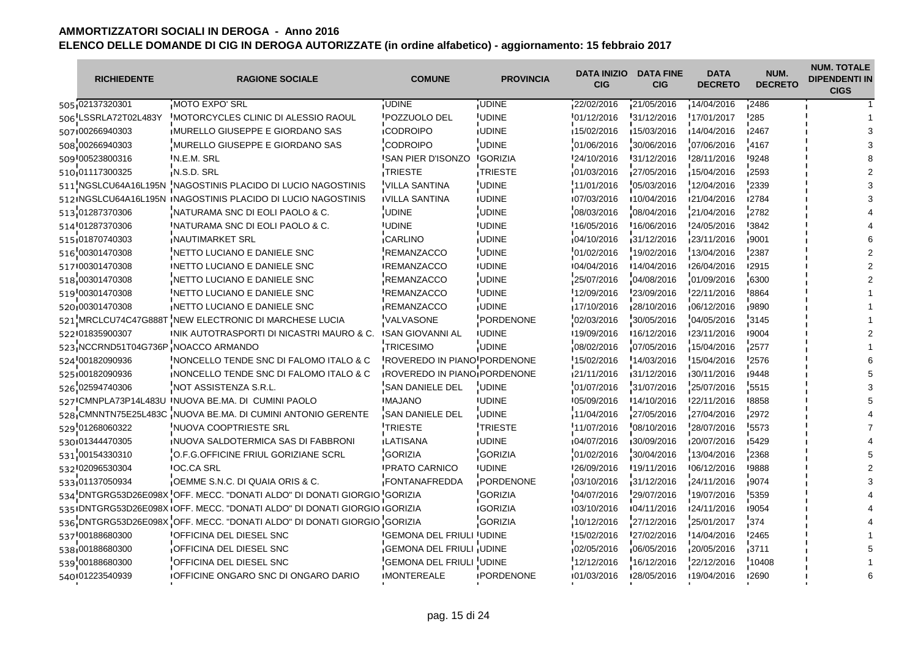| <b>RICHIEDENTE</b>                  | <b>RAGIONE SOCIALE</b>                                                     | <b>COMUNE</b>                      | <b>PROVINCIA</b>  | <b>DATA INIZIO</b><br><b>CIG</b> | <b>DATA FINE</b><br><b>CIG</b> | <b>DATA</b><br><b>DECRETO</b> | NUM.<br><b>DECRETO</b> | <b>NUM. TOTALE</b><br><b>DIPENDENTI IN</b><br><b>CIGS</b> |
|-------------------------------------|----------------------------------------------------------------------------|------------------------------------|-------------------|----------------------------------|--------------------------------|-------------------------------|------------------------|-----------------------------------------------------------|
| 505 02137320301                     | MOTO EXPO' SRL                                                             | <b>JUDINE</b>                      | <b>UDINE</b>      | 22/02/2016                       | 21/05/2016                     | 14/04/2016                    | 12486                  |                                                           |
| 506 LSSRLA72T02L483Y                | MOTORCYCLES CLINIC DI ALESSIO RAOUL                                        | <b>POZZUOLO DEL</b>                | <b>UDINE</b>      | 01/12/2016                       | 31/12/2016                     | 17/01/2017                    | '285                   |                                                           |
| 507 00266940303                     | IMURELLO GIUSEPPE E GIORDANO SAS                                           | <b>ICODROIPO</b>                   | <b>IUDINE</b>     | 15/02/2016                       | 15/03/2016                     | 14/04/2016                    | ∎2467                  |                                                           |
| 508 00266940303                     | MURELLO GIUSEPPE E GIORDANO SAS                                            | <b>CODROIPO</b>                    | <b>UDINE</b>      | 01/06/2016                       | 30/06/2016                     | 07/06/2016                    | 4167                   |                                                           |
| 509 00523800316                     | IN.E.M. SRL                                                                | <b>ISAN PIER D'ISONZO</b>          | <b>IGORIZIA</b>   | 124/10/2016                      | 131/12/2016                    | 128/11/2016                   | 19248                  |                                                           |
| 510 01117300325                     | N.S.D. SRL                                                                 | TRIESTE                            | TRIESTE           | 01/03/2016                       | 27/05/2016                     | 15/04/2016                    | 2593                   |                                                           |
| 511 NGSLCU64A16L195N                | NAGOSTINIS PLACIDO DI LUCIO NAGOSTINIS                                     | <b>VILLA SANTINA</b>               | <b>UDINE</b>      | 11/01/2016                       | 05/03/2016                     | 12/04/2016                    | $-2339$                |                                                           |
| 512 NGSLCU64A16L195N                | INAGOSTINIS PLACIDO DI LUCIO NAGOSTINIS                                    | <b>IVILLA SANTINA</b>              | <b>IUDINE</b>     | 107/03/2016                      | ■10/04/2016                    | 121/04/2016                   | ■2784                  |                                                           |
| 513 01287370306                     | NATURAMA SNC DI EOLI PAOLO & C.                                            | <b>UDINE</b>                       | <b>UDINE</b>      | 08/03/2016                       | 08/04/2016                     | 21/04/2016                    | 2782                   |                                                           |
| 514 01287370306                     | INATURAMA SNC DI EOLI PAOLO & C.                                           | <b>UDINE</b>                       | <b>IUDINE</b>     | 16/05/2016                       | 16/06/2016                     | 24/05/2016                    | <b>3842</b>            |                                                           |
| 515 01870740303                     | NAUTIMARKET SRL                                                            | CARLINO                            | <b>UDINE</b>      | 04/10/2016                       | 31/12/2016                     | 23/11/2016                    | .9001                  |                                                           |
| 516 00301470308                     | NETTO LUCIANO E DANIELE SNC                                                | <b>REMANZACCO</b>                  | <b>UDINE</b>      | 01/02/2016                       | 19/02/2016                     | 13/04/2016                    | 2387                   |                                                           |
| 517 00301470308                     | INETTO LUCIANO E DANIELE SNC                                               | <b>IREMANZACCO</b>                 | <b>IUDINE</b>     | 104/04/2016                      | 14/04/2016                     | 126/04/2016                   | 12915                  |                                                           |
| 518 00301470308                     | NETTO LUCIANO E DANIELE SNC                                                | REMANZACCO                         | <b>UDINE</b>      | 25/07/2016                       | 04/08/2016                     | 01/09/2016                    | 6300                   |                                                           |
| 519 00301470308                     | INETTO LUCIANO E DANIELE SNC                                               | <b>REMANZACCO</b>                  | <b>UDINE</b>      | 12/09/2016                       | 23/09/2016                     | 22/11/2016                    | 8864                   |                                                           |
| 520 00301470308                     | NETTO LUCIANO E DANIELE SNC                                                | <b>REMANZACCO</b>                  | <b>UDINE</b>      | 17/10/2016                       | 28/10/2016                     | 06/12/2016                    | ∎9890                  |                                                           |
| 521 MRCLCU74C47G888T                | NEW ELECTRONIC DI MARCHESE LUCIA                                           | VALVASONE                          | PORDENONE         | 02/03/2016                       | 30/05/2016                     | 04/05/2016                    | 3145                   |                                                           |
| 522 01835900307                     | INIK AUTOTRASPORTI DI NICASTRI MAURO & C.                                  | <b>ISAN GIOVANNI AL</b>            | <b>IUDINE</b>     | 19/09/2016                       | 16/12/2016                     | 123/11/2016                   | 19004                  |                                                           |
| 523 NCCRND51T04G736P NOACCO ARMANDO |                                                                            | <b>TRICESIMO</b>                   | <b>UDINE</b>      | 08/02/2016                       | 07/05/2016                     | 15/04/2016                    | 2577                   |                                                           |
| 524 00182090936                     | NONCELLO TENDE SNC DI FALOMO ITALO & C                                     | <b>ROVEREDO IN PIANO PORDENONE</b> |                   | 15/02/2016                       | 14/03/2016                     | 15/04/2016                    | '2576                  |                                                           |
| 525 00182090936                     | INONCELLO TENDE SNC DI FALOMO ITALO & C                                    | ROVEREDO IN PIANO PORDENONE        |                   | 21/11/2016                       | 31/12/2016                     | 30/11/2016                    | 19448                  |                                                           |
| 526 02594740306                     | NOT ASSISTENZA S.R.L.                                                      | SAN DANIELE DEL                    | <b>UDINE</b>      | 01/07/2016                       | 31/07/2016                     | 25/07/2016                    | 5515                   |                                                           |
|                                     | 527 CMNPLA73P14L483U INUOVA BE.MA. DI CUMINI PAOLO                         | <b>IMAJANO</b>                     | <b>IUDINE</b>     | 05/09/2016                       | 14/10/2016                     | 122/11/2016                   | 8858                   |                                                           |
|                                     | 528 CMNNTN75E25L483C NUOVA BE.MA. DI CUMINI ANTONIO GERENTE                | SAN DANIELE DEL                    | <b>UDINE</b>      | 11/04/2016                       | 27/05/2016                     | 27/04/2016                    | 12972                  |                                                           |
| 529 01268060322                     | NUOVA COOPTRIESTE SRL                                                      | <b>TRIESTE</b>                     | <b>TRIESTE</b>    | 11/07/2016                       | 08/10/2016                     | 28/07/2016                    | 5573                   |                                                           |
| 530 01344470305                     | INUOVA SALDOTERMICA SAS DI FABBRONI                                        | <b>ILATISANA</b>                   | <b>IUDINE</b>     | 04/07/2016                       | 130/09/2016                    | 120/07/2016                   | 15429                  |                                                           |
| 531 00154330310                     | O.F.G.OFFICINE FRIUL GORIZIANE SCRL                                        | <b>GORIZIA</b>                     | <b>GORIZIA</b>    | 01/02/2016                       | 30/04/2016                     | 13/04/2016                    | 2368                   |                                                           |
| 532 02096530304                     | <b>IOC.CA SRL</b>                                                          | <b>IPRATO CARNICO</b>              | <b>IUDINE</b>     | 26/09/2016                       | 19/11/2016                     | 106/12/2016                   | !9888                  |                                                           |
| 533.01137050934                     | OEMME S.N.C. DI QUAIA ORIS & C.                                            | FONTANAFREDDA                      | PORDENONE         | 03/10/2016                       | 31/12/2016                     | 24/11/2016                    | 9074                   |                                                           |
|                                     | 534 DNTGRG53D26E098X OFF. MECC. "DONATI ALDO" DI DONATI GIORGIO GORIZIA    |                                    | <b>GORIZIA</b>    | 04/07/2016                       | 29/07/2016                     | 19/07/2016                    | 5359                   |                                                           |
|                                     | 535 IDNTGRG53D26E098X IOFF. MECC. "DONATI ALDO" DI DONATI GIORGIO IGORIZIA |                                    | <b>IGORIZIA</b>   | 103/10/2016                      | 104/11/2016                    | 124/11/2016                   | ■9054                  |                                                           |
|                                     | 536 DNTGRG53D26E098X OFF. MECC. "DONATI ALDO" DI DONATI GIORGIO GORIZIA    |                                    | <b>GORIZIA</b>    | 10/12/2016                       | 27/12/2016                     | 25/01/2017                    | 374                    |                                                           |
| 537 00188680300                     | OFFICINA DEL DIESEL SNC                                                    | <b>GEMONA DEL FRIULI UDINE</b>     |                   | 15/02/2016                       | 27/02/2016                     | 14/04/2016                    | 2465                   |                                                           |
| 538 00188680300                     | OFFICINA DEL DIESEL SNC                                                    | <b>GEMONA DEL FRIULI UDINE</b>     |                   | 02/05/2016                       | 06/05/2016                     | 20/05/2016                    | 3711                   |                                                           |
| 539 00188680300                     | OFFICINA DEL DIESEL SNC                                                    | GEMONA DEL FRIULI UDINE            |                   | 12/12/2016                       | 16/12/2016                     | 22/12/2016                    | 10408                  |                                                           |
| 540 01223540939                     | <b>IOFFICINE ONGARO SNC DI ONGARO DARIO</b>                                | <b>IMONTEREALE</b>                 | <b>IPORDENONE</b> | 101/03/2016                      | 128/05/2016                    | 19/04/2016                    | <b>'2690</b>           |                                                           |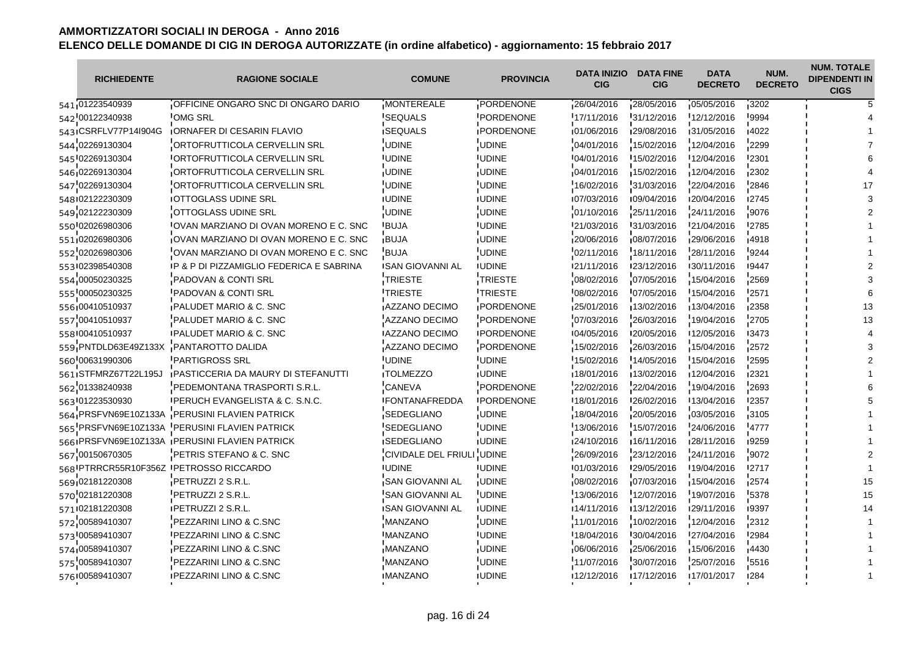| <b>RICHIEDENTE</b>                     | <b>RAGIONE SOCIALE</b>                        | <b>COMUNE</b>             | <b>PROVINCIA</b>  | DATA INIZIO<br><b>CIG</b> | <b>DATA FINE</b><br><b>CIG</b> | <b>DATA</b><br><b>DECRETO</b> | NUM.<br><b>DECRETO</b> | <b>NUM. TOTALE</b><br><b>DIPENDENTI IN</b><br><b>CIGS</b> |
|----------------------------------------|-----------------------------------------------|---------------------------|-------------------|---------------------------|--------------------------------|-------------------------------|------------------------|-----------------------------------------------------------|
| 541 01223540939                        | OFFICINE ONGARO SNC DI ONGARO DARIO           | <b>MONTEREALE</b>         | PORDENONE         | 26/04/2016                | 28/05/2016                     | 05/05/2016                    | 3202                   |                                                           |
| 542 00122340938                        | <b>OMG SRL</b>                                | 'SEQUALS                  | PORDENONE         | 17/11/2016                | 31/12/2016                     | 12/12/2016                    | 9994                   |                                                           |
| 543 ICSRFLV77P14l904G                  | <b>IORNAFER DI CESARIN FLAVIO</b>             | <b>ISEQUALS</b>           | <b>IPORDENONE</b> | 01/06/2016                | 129/08/2016                    | 131/05/2016                   | 14022                  |                                                           |
| 544 02269130304                        | ORTOFRUTTICOLA CERVELLIN SRL                  | UDINE                     | <b>UDINE</b>      | 04/01/2016                | 15/02/2016                     | 12/04/2016                    | 2299                   |                                                           |
| 545 02269130304                        | <b>IORTOFRUTTICOLA CERVELLIN SRL</b>          | <b>IUDINE</b>             | <b>IUDINE</b>     | 104/01/2016               | 15/02/2016                     | 12/04/2016                    | '2301                  |                                                           |
| 546 02269130304                        | ORTOFRUTTICOLA CERVELLIN SRL                  | <b>UDINE</b>              | <b>UDINE</b>      | 04/01/2016                | 15/02/2016                     | 12/04/2016                    | 2302                   |                                                           |
| 547 02269130304                        | ORTOFRUTTICOLA CERVELLIN SRL                  | <b>UDINE</b>              | <b>UDINE</b>      | 16/02/2016                | 31/03/2016                     | 22/04/2016                    | 2846                   |                                                           |
| 548 02122230309                        | <b>IOTTOGLASS UDINE SRL</b>                   | <b>IUDINE</b>             | <b>IUDINE</b>     | 07/03/2016                | 109/04/2016                    | 120/04/2016                   | ■2745                  |                                                           |
| 549 02122230309                        | OTTOGLASS UDINE SRL                           | <b>UDINE</b>              | <b>UDINE</b>      | 01/10/2016                | 25/11/2016                     | 24/11/2016                    | 9076                   |                                                           |
| 550 02026980306                        | IOVAN MARZIANO DI OVAN MORENO E C. SNC        | <b>BUJA</b>               | <b>IUDINE</b>     | 21/03/2016                | 31/03/2016                     | 21/04/2016                    | '2785                  |                                                           |
| 551 02026980306                        | OVAN MARZIANO DI OVAN MORENO E C. SNC         | <b>BUJA</b>               | <b>UDINE</b>      | 20/06/2016                | 08/07/2016                     | 29/06/2016                    | 4918                   |                                                           |
| 552 02026980306                        | OVAN MARZIANO DI OVAN MORENO E C. SNC         | <b>BUJA</b>               | <b>UDINE</b>      | 02/11/2016                | 18/11/2016                     | 28/11/2016                    | 9244                   |                                                           |
| 553 02398540308                        | IP & P DI PIZZAMIGLIO FEDERICA E SABRINA      | <b>ISAN GIOVANNI AL</b>   | <b>IUDINE</b>     | 121/11/2016               | 123/12/2016                    | 130/11/2016                   | 19447                  |                                                           |
| 554 00050230325                        | <b>PADOVAN &amp; CONTI SRL</b>                | TRIESTE                   | TRIESTE           | 08/02/2016                | 07/05/2016                     | 15/04/2016                    | 2569                   |                                                           |
| 555 00050230325                        | <b>PADOVAN &amp; CONTI SRL</b>                | <b>TRIESTE</b>            | <b>ITRIESTE</b>   | 08/02/2016                | 07/05/2016                     | 15/04/2016                    | 2571                   |                                                           |
| 556 00410510937                        | <b>PALUDET MARIO &amp; C. SNC</b>             | <b>AZZANO DECIMO</b>      | PORDENONE         | 25/01/2016                | 13/02/2016                     | 13/04/2016                    | ∎2358                  |                                                           |
| 557 00410510937                        | PALUDET MARIO & C. SNC                        | AZZANO DECIMO             | PORDENONE         | 07/03/2016                | 26/03/2016                     | 19/04/2016                    | 2705                   |                                                           |
| 558 00410510937                        | <b>IPALUDET MARIO &amp; C. SNC</b>            | <b>AZZANO DECIMO</b>      | <b>IPORDENONE</b> | 104/05/2016               | 120/05/2016                    | 12/05/2016                    | 13473                  |                                                           |
| 559 PNTDLD63E49Z133X                   | PANTAROTTO DALIDA                             | AZZANO DECIMO             | PORDENONE         | 15/02/2016                | 26/03/2016                     | 15/04/2016                    | 2572                   |                                                           |
| 560 00631990306                        | <b>PARTIGROSS SRL</b>                         | <b>UDINE</b>              | <b>UDINE</b>      | 15/02/2016                | 14/05/2016                     | 15/04/2016                    | '2595                  |                                                           |
| 561 STFMRZ67T22L195J                   | <b>PASTICCERIA DA MAURY DI STEFANUTTI</b>     | <b>TOLMEZZO</b>           | <b>UDINE</b>      | 18/01/2016                | 13/02/2016                     | 12/04/2016                    | 12321                  |                                                           |
| 562 01338240938                        | PEDEMONTANA TRASPORTI S.R.L.                  | <b>CANEVA</b>             | PORDENONE         | 22/02/2016                | 22/04/2016                     | 19/04/2016                    | 2693                   |                                                           |
| 563 01223530930                        | <b>IPERUCH EVANGELISTA &amp; C. S.N.C.</b>    | <b>IFONTANAFREDDA</b>     | <b>IPORDENONE</b> | 18/01/2016                | 126/02/2016                    | 13/04/2016                    | '2357                  |                                                           |
| 564 PRSFVN69E10Z133A                   | PERUSINI FLAVIEN PATRICK                      | SEDEGLIANO                | <b>UDINE</b>      | 18/04/2016                | 20/05/2016                     | 03/05/2016                    | $-3105$                |                                                           |
|                                        | 565 PRSFVN69E10Z133A PERUSINI FLAVIEN PATRICK | 'SEDEGLIANO               | <b>UDINE</b>      | 13/06/2016                | 15/07/2016                     | 24/06/2016                    | 4777                   |                                                           |
|                                        | 566 PRSFVN69E10Z133A PERUSINI FLAVIEN PATRICK | <b>ISEDEGLIANO</b>        | <b>IUDINE</b>     | 124/10/2016               | 16/11/2016                     | 128/11/2016                   | 19259                  |                                                           |
| 567 00150670305                        | PETRIS STEFANO & C. SNC                       | CIVIDALE DEL FRIULI UDINE |                   | 26/09/2016                | 23/12/2016                     | 24/11/2016                    | 9072                   |                                                           |
| 568 PTRRCR55R10F356Z PETROSSO RICCARDO |                                               | <b>UDINE</b>              | <b>UDINE</b>      | 101/03/2016               | '29/05/2016                    | 19/04/2016                    | '2717                  |                                                           |
| 569 02181220308                        | PETRUZZI 2 S.R.L.                             | SAN GIOVANNI AL           | <b>UDINE</b>      | 08/02/2016                | 07/03/2016                     | 15/04/2016                    | 2574                   |                                                           |
| 570 02181220308                        | PETRUZZI 2 S.R.L.                             | 'SAN GIOVANNI AL          | <b>UDINE</b>      | 13/06/2016                | 12/07/2016                     | 19/07/2016                    | 5378                   | 15                                                        |
| 571 02181220308                        | <b>IPETRUZZI 2 S.R.L.</b>                     | <b>ISAN GIOVANNI AL</b>   | <b>IUDINE</b>     | 14/11/2016                | 13/12/2016                     | 129/11/2016                   | 19397                  |                                                           |
| 572 00589410307                        | PEZZARINI LINO & C.SNC                        | MANZANO                   | <b>UDINE</b>      | 11/01/2016                | 10/02/2016                     | 12/04/2016                    | 2312                   |                                                           |
| 573 00589410307                        | <b>PEZZARINI LINO &amp; C.SNC</b>             | <b>MANZANO</b>            | <b>UDINE</b>      | 18/04/2016                | 30/04/2016                     | 27/04/2016                    | '2984                  |                                                           |
| 574 00589410307                        | PEZZARINI LINO & C.SNC                        | <b>MANZANO</b>            | <b>UDINE</b>      | 06/06/2016                | 25/06/2016                     | 15/06/2016                    | 14430                  |                                                           |
| 575 00589410307                        | PEZZARINI LINO & C.SNC                        | <b>MANZANO</b>            | <b>UDINE</b>      | 11/07/2016                | 30/07/2016                     | 25/07/2016                    | 5516                   |                                                           |
| 576 00589410307                        | <b>IPEZZARINI LINO &amp; C.SNC</b>            | <b>IMANZANO</b>           | <b>IUDINE</b>     | 12/12/2016                | 17/12/2016                     | 17/01/2017                    | 1284                   |                                                           |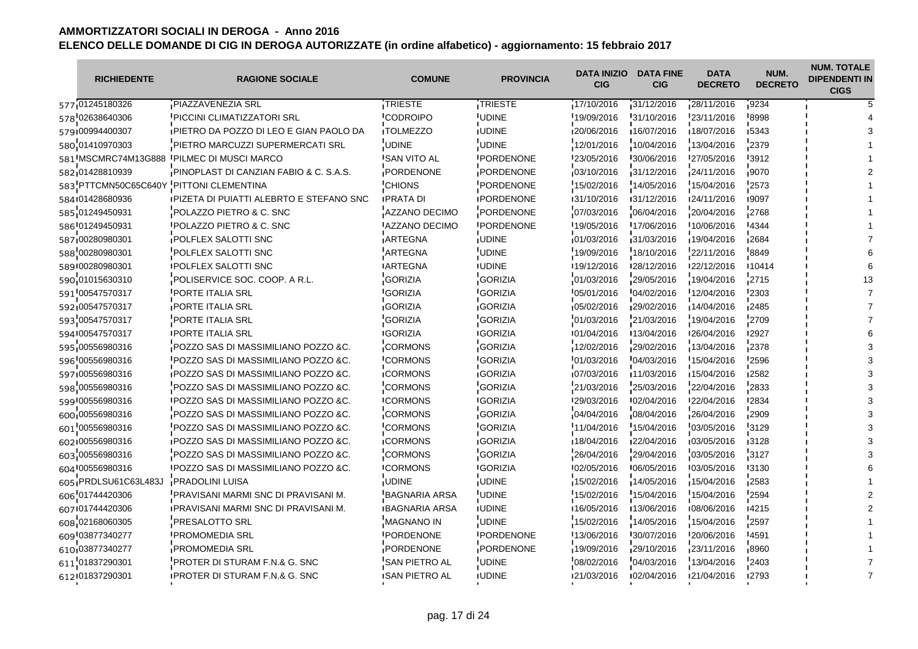| <b>RICHIEDENTE</b>   | <b>RAGIONE SOCIALE</b>                          | <b>COMUNE</b>         | <b>PROVINCIA</b>  | <b>DATA INIZIO</b><br><b>CIG</b> | <b>DATA FINE</b><br><b>CIG</b> | <b>DATA</b><br><b>DECRETO</b> | NUM.<br><b>DECRETO</b> | <b>NUM. TOTALE</b><br><b>DIPENDENTI IN</b><br><b>CIGS</b> |
|----------------------|-------------------------------------------------|-----------------------|-------------------|----------------------------------|--------------------------------|-------------------------------|------------------------|-----------------------------------------------------------|
| 577 01245180326      | PIAZZAVENEZIA SRL                               | TRIESTE               | TRIESTE           | 17/10/2016                       | 31/12/2016                     | 28/11/2016                    | $-9234$                |                                                           |
| 578 02638640306      | <b>PICCINI CLIMATIZZATORI SRL</b>               | <b>CODROIPO</b>       | UDINE             | 19/09/2016                       | $-31/10/2016$                  | 23/11/2016                    | 8998                   |                                                           |
| 579 00994400307      | <b>IPIETRO DA POZZO DI LEO E GIAN PAOLO DA</b>  | <b>ITOLMEZZO</b>      | <b>IUDINE</b>     | 120/06/2016                      | 16/07/2016                     | 18/07/2016                    | ∎5343                  |                                                           |
| 580 01410970303      | PIETRO MARCUZZI SUPERMERCATI SRL                | <b>UDINE</b>          | <b>UDINE</b>      | 12/01/2016                       | 10/04/2016                     | 13/04/2016                    | 2379                   |                                                           |
| 581 MSCMRC74M13G888  | <b>IPILMEC DI MUSCI MARCO</b>                   | <b>ISAN VITO AL</b>   | <b>IPORDENONE</b> | 123/05/2016                      | 130/06/2016                    | 127/05/2016                   | 13912                  |                                                           |
| 582 01428810939      | PINOPLAST DI CANZIAN FABIO & C. S.A.S.          | PORDENONE             | PORDENONE         | 03/10/2016                       | 31/12/2016                     | 24/11/2016                    | ,9070                  |                                                           |
| 583 PTTCMN50C65C640Y | <b>PITTONI CLEMENTINA</b>                       | <b>CHIONS</b>         | PORDENONE         | 15/02/2016                       | 14/05/2016                     | 15/04/2016                    | '2573                  |                                                           |
| 584 01428680936      | <b>IPIZETA DI PUIATTI ALEBRTO E STEFANO SNC</b> | <b>IPRATA DI</b>      | <b>IPORDENONE</b> | 31/10/2016                       | 131/12/2016                    | 124/11/2016                   | ∎9097                  |                                                           |
| 585 01249450931      | POLAZZO PIETRO & C. SNC                         | AZZANO DECIMO         | PORDENONE         | 07/03/2016                       | 06/04/2016                     | 20/04/2016                    | 2768                   |                                                           |
| 586 01249450931      | <b>IPOLAZZO PIETRO &amp; C. SNC</b>             | AZZANO DECIMO         | <b>IPORDENONE</b> | 19/05/2016                       | 17/06/2016                     | 10/06/2016                    | -4344                  |                                                           |
| 587 00280980301      | POLFLEX SALOTTI SNC                             | ARTEGNA               | <b>UDINE</b>      | 01/03/2016                       | 31/03/2016                     | 19/04/2016                    | 2684                   |                                                           |
| 588 00280980301      | POLFLEX SALOTTI SNC                             | <b>ARTEGNA</b>        | <b>UDINE</b>      | 19/09/2016                       | 18/10/2016                     | 22/11/2016                    | 8849                   |                                                           |
| 589 00280980301      | <b>IPOLFLEX SALOTTI SNC</b>                     | <b>IARTEGNA</b>       | <b>IUDINE</b>     | 19/12/2016                       | 128/12/2016                    | 122/12/2016                   | 10414                  |                                                           |
| 590 01015630310      | POLISERVICE SOC. COOP. A R.L.                   | <b>GORIZIA</b>        | <b>GORIZIA</b>    | 01/03/2016                       | 29/05/2016                     | 19/04/2016                    | 2715                   |                                                           |
| 591 00547570317      | <b>PORTE ITALIA SRL</b>                         | <b>GORIZIA</b>        | <b>GORIZIA</b>    | 05/01/2016                       | $-04/02/2016$                  | 12/04/2016                    | 2303                   |                                                           |
| 592 00547570317      | <b>PORTE ITALIA SRL</b>                         | <b>GORIZIA</b>        | <b>GORIZIA</b>    | 05/02/2016                       | 29/02/2016                     | 14/04/2016                    | <b>2485</b>            |                                                           |
| 593 00547570317      | PORTE ITALIA SRL                                | <b>GORIZIA</b>        | <b>GORIZIA</b>    | 01/03/2016                       | 21/03/2016                     | 19/04/2016                    | 2709                   |                                                           |
| 594 00547570317      | <b>IPORTE ITALIA SRL</b>                        | <b>IGORIZIA</b>       | <b>IGORIZIA</b>   | 101/04/2016                      | 13/04/2016                     | 126/04/2016                   | 12927                  |                                                           |
| 595 00556980316      | POZZO SAS DI MASSIMILIANO POZZO &C.             | <b>CORMONS</b>        | <b>GORIZIA</b>    | 12/02/2016                       | 29/02/2016                     | 13/04/2016                    | 2378                   |                                                           |
| 596 00556980316      | POZZO SAS DI MASSIMILIANO POZZO & C.            | <b>CORMONS</b>        | <b>GORIZIA</b>    | 01/03/2016                       | '04/03/2016                    | 15/04/2016                    | 2596                   |                                                           |
| 597 00556980316      | POZZO SAS DI MASSIMILIANO POZZO &C.             | CORMONS               | <b>GORIZIA</b>    | 07/03/2016                       | 11/03/2016                     | 15/04/2016                    | ∎2582                  |                                                           |
| 598 00556980316      | POZZO SAS DI MASSIMILIANO POZZO &C.             | <b>CORMONS</b>        | <b>GORIZIA</b>    | 21/03/2016                       | 25/03/2016                     | 22/04/2016                    | 2833                   |                                                           |
| 599 00556980316      | <b>IPOZZO SAS DI MASSIMILIANO POZZO &amp;C.</b> | <b>ICORMONS</b>       | <b>IGORIZIA</b>   | 129/03/2016                      | 102/04/2016                    | 122/04/2016                   | '2834                  |                                                           |
| 600 00556980316      | POZZO SAS DI MASSIMILIANO POZZO &C.             | CORMONS               | <b>GORIZIA</b>    | 04/04/2016                       | 08/04/2016                     | 26/04/2016                    | 2909                   |                                                           |
| 601 00556980316      | POZZO SAS DI MASSIMILIANO POZZO &C.             | <b>CORMONS</b>        | <b>GORIZIA</b>    | 11/04/2016                       | 15/04/2016                     | 03/05/2016                    | $-3129$                |                                                           |
| 602100556980316      | IPOZZO SAS DI MASSIMILIANO POZZO &C.            | <b>ICORMONS</b>       | <b>GORIZIA</b>    | 18/04/2016                       | 122/04/2016                    | 103/05/2016                   | ∎3128                  |                                                           |
| 603 00556980316      | POZZO SAS DI MASSIMILIANO POZZO & C.            | <b>CORMONS</b>        | <b>GORIZIA</b>    | 26/04/2016                       | 29/04/2016                     | 03/05/2016                    | 3127                   |                                                           |
| 604 00556980316      | <b>IPOZZO SAS DI MASSIMILIANO POZZO &amp;C.</b> | <b><i>CORMONS</i></b> | <b>GORIZIA</b>    | 02/05/2016                       | '06/05/2016                    | 03/05/2016                    | <b>'3130</b>           |                                                           |
| 605 PRDLSU61C63L483J | <b>PRADOLINI LUISA</b>                          | <b>UDINE</b>          | <b>UDINE</b>      | 15/02/2016                       | 14/05/2016                     | 15/04/2016                    | 2583                   |                                                           |
| 606'01744420306      | PRAVISANI MARMI SNC DI PRAVISANI M.             | <b>BAGNARIA ARSA</b>  | <b>UDINE</b>      | 15/02/2016                       | 15/04/2016                     | 15/04/2016                    | 2594                   |                                                           |
| 607 01744420306      | <b>IPRAVISANI MARMI SNC DI PRAVISANI M.</b>     | <b>BAGNARIA ARSA</b>  | <b>IUDINE</b>     | 16/05/2016                       | 13/06/2016                     | 108/06/2016                   | 14215                  |                                                           |
| 608 02168060305      | <b>PRESALOTTO SRL</b>                           | MAGNANO IN            | <b>UDINE</b>      | 15/02/2016                       | 14/05/2016                     | 15/04/2016                    | 2597                   |                                                           |
| 609 03877340277      | <b>PROMOMEDIA SRL</b>                           | <b>PORDENONE</b>      | <b>PORDENONE</b>  | 13/06/2016                       | 30/07/2016                     | 20/06/2016                    | 4591                   |                                                           |
| 610 03877340277      | <b>PROMOMEDIA SRL</b>                           | PORDENONE             | PORDENONE         | 19/09/2016                       | 29/10/2016                     | 23/11/2016                    | 18960                  |                                                           |
| 611 01837290301      | <b>PROTER DI STURAM F.N.&amp; G. SNC</b>        | SAN PIETRO AL         | <b>UDINE</b>      | 08/02/2016                       | 04/03/2016                     | 13/04/2016                    | 2403                   |                                                           |
| 612 01837290301      | <b>IPROTER DI STURAM F.N.&amp; G. SNC</b>       | ISAN PIETRO AL        | <b>IUDINE</b>     | 121/03/2016                      | 02/04/2016                     | 121/04/2016                   | 12793                  |                                                           |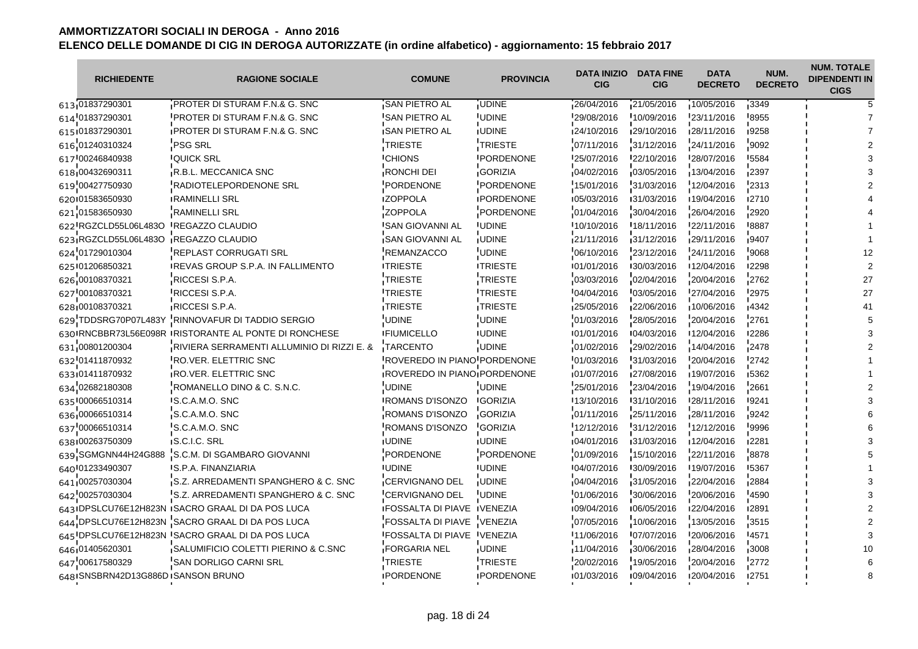| <b>RICHIEDENTE</b>                 | <b>RAGIONE SOCIALE</b>                                | <b>COMUNE</b>                      | <b>PROVINCIA</b>  | DATA INIZIO<br><b>CIG</b> | <b>DATA FINE</b><br><b>CIG</b> | <b>DATA</b><br><b>DECRETO</b> | NUM.<br><b>DECRETO</b> | <b>NUM. TOTALE</b><br><b>DIPENDENTI IN</b><br><b>CIGS</b> |
|------------------------------------|-------------------------------------------------------|------------------------------------|-------------------|---------------------------|--------------------------------|-------------------------------|------------------------|-----------------------------------------------------------|
| 613 01837290301                    | <b>PROTER DI STURAM F.N.&amp; G. SNC</b>              | SAN PIETRO AL                      | <b>UDINE</b>      | 26/04/2016                | 21/05/2016                     | 10/05/2016                    | 3349                   |                                                           |
| 614 01837290301                    | PROTER DI STURAM F.N.& G. SNC                         | 'SAN PIETRO AL                     | <b>UDINE</b>      | 29/08/2016                | 10/09/2016                     | 23/11/2016                    | 8955                   |                                                           |
| 615101837290301                    | IPROTER DI STURAM F.N.& G. SNC                        | <b>ISAN PIETRO AL</b>              | <b>IUDINE</b>     | 124/10/2016               | 129/10/2016                    | 128/11/2016                   | 19258                  |                                                           |
| 616 01240310324                    | <b>PSG SRL</b>                                        | <b>TRIESTE</b>                     | TRIESTE           | 07/11/2016                | 31/12/2016                     | 24/11/2016                    | 9092                   |                                                           |
| 617 00246840938                    | <b>IQUICK SRL</b>                                     | <b><i>CHIONS</i></b>               | <b>IPORDENONE</b> | 125/07/2016               | 122/10/2016                    | 128/07/2016                   | <b>'5584</b>           |                                                           |
| 618 00432690311                    | <b>R.B.L. MECCANICA SNC</b>                           | RONCHI DEI                         | <b>GORIZIA</b>    | 04/02/2016                | 103/05/2016                    | 13/04/2016                    | 2397                   |                                                           |
| 619 00427750930                    | RADIOTELEPORDENONE SRL                                | PORDENONE                          | PORDENONE         | 15/01/2016                | 31/03/2016                     | 12/04/2016                    | 2313                   |                                                           |
| 620101583650930                    | RAMINELLI SRL                                         | <b>IZOPPOLA</b>                    | <b>IPORDENONE</b> | 105/03/2016               | 131/03/2016                    | 19/04/2016                    | ∎2710                  |                                                           |
| 621 01583650930                    | <b>RAMINELLI SRL</b>                                  | <b>ZOPPOLA</b>                     | PORDENONE         | 01/04/2016                | 30/04/2016                     | 26/04/2016                    | 2920                   |                                                           |
| 622 RGZCLD55L06L483O               | <b>IREGAZZO CLAUDIO</b>                               | <b>ISAN GIOVANNI AL</b>            | <b>UDINE</b>      | 10/10/2016                | 18/11/2016                     | 22/11/2016                    | !8887                  |                                                           |
| 623 RGZCLD55L06L483O               | <b>REGAZZO CLAUDIO</b>                                | <b>SAN GIOVANNI AL</b>             | <b>UDINE</b>      | 21/11/2016                | 31/12/2016                     | 29/11/2016                    | .9407                  |                                                           |
| 624 01729010304                    | REPLAST CORRUGATI SRL                                 | <b>REMANZACCO</b>                  | <b>UDINE</b>      | 06/10/2016                | 23/12/2016                     | 24/11/2016                    | 9068                   |                                                           |
| 625 01206850321                    | <b>IREVAS GROUP S.P.A. IN FALLIMENTO</b>              | <b>ITRIESTE</b>                    | <b>ITRIESTE</b>   | 101/01/2016               | 130/03/2016                    | 12/04/2016                    | 12298                  |                                                           |
| 626 00108370321                    | RICCESI S.P.A.                                        | <b>TRIESTE</b>                     | TRIESTE           | 03/03/2016                | 02/04/2016                     | 20/04/2016                    | 2762                   | 27                                                        |
| 627 00108370321                    | RICCESI S.P.A.                                        | <b>TRIESTE</b>                     | <b>ITRIESTE</b>   | 04/04/2016                | 03/05/2016                     | 27/04/2016                    | 2975                   | 27                                                        |
| 628,00108370321                    | RICCESI S.P.A.                                        | TRIESTE                            | TRIESTE           | 25/05/2016                | 22/06/2016                     | 10/06/2016                    | 4342                   | 41                                                        |
| 629 TDDSRG70P07L483Y               | RINNOVAFUR DI TADDIO SERGIO                           | <b>UDINE</b>                       | <b>UDINE</b>      | 01/03/2016                | 28/05/2016                     | 20/04/2016                    | 2761                   |                                                           |
|                                    | 630 RNCBBR73L56E098R IRISTORANTE AL PONTE DI RONCHESE | <b>IFIUMICELLO</b>                 | <b>IUDINE</b>     | 101/01/2016               | 104/03/2016                    | 12/04/2016                    | <b>I2286</b>           |                                                           |
| 631 00801200304                    | RIVIERA SERRAMENTI ALLUMINIO DI RIZZI E. &            | TARCENTO                           | <b>UDINE</b>      | 01/02/2016                | 29/02/2016                     | 14/04/2016                    | 2478                   |                                                           |
| 632 01411870932                    | RO.VER. ELETTRIC SNC                                  | ROVEREDO IN PIANO PORDENONE        |                   | 01/03/2016                | 31/03/2016                     | 20/04/2016                    | 2742                   |                                                           |
| 633 01411870932                    | <b>RO.VER. ELETTRIC SNC</b>                           | ROVEREDO IN PIANO PORDENONE        |                   | 01/07/2016                | 127/08/2016                    | 19/07/2016                    | 15362                  |                                                           |
| 634 02682180308                    | ROMANELLO DINO & C. S.N.C.                            | <b>UDINE</b>                       | <b>UDINE</b>      | 25/01/2016                | 23/04/2016                     | 19/04/2016                    | 2661                   |                                                           |
| 635 00066510314                    | <b>IS.C.A.M.O. SNC</b>                                | <b>IROMANS D'ISONZO</b>            | <b>IGORIZIA</b>   | 13/10/2016                | 131/10/2016                    | 128/11/2016                   | 19241                  |                                                           |
| 636 00066510314                    | S.C.A.M.O. SNC                                        | <b>ROMANS D'ISONZO</b>             | <b>GORIZIA</b>    | 01/11/2016                | 25/11/2016                     | 28/11/2016                    | 9242                   |                                                           |
| 637 00066510314                    | S.C.A.M.O. SNC                                        | ROMANS D'ISONZO                    | <b>GORIZIA</b>    | 12/12/2016                | 31/12/2016                     | 12/12/2016                    | 9996                   |                                                           |
| 638 00263750309                    | <b>IS.C.I.C. SRL</b>                                  | <b>IUDINE</b>                      | <b>IUDINE</b>     | 104/01/2016               | 131/03/2016                    | 12/04/2016                    | ∎2281                  |                                                           |
| 639 SGMGNN44H24G888                | S.C.M. DI SGAMBARO GIOVANNI                           | <b>PORDENONE</b>                   | PORDENONE         | 01/09/2016                | 15/10/2016                     | 22/11/2016                    | 8878                   |                                                           |
| 640 01233490307                    | 'S.P.A. FINANZIARIA                                   | <b>UDINE</b>                       | <b>UDINE</b>      | 04/07/2016                | 30/09/2016                     | 19/07/2016                    | '5367                  |                                                           |
| 641,00257030304                    | S.Z. ARREDAMENTI SPANGHERO & C. SNC                   | CERVIGNANO DEL                     | <b>UDINE</b>      | 04/04/2016                | 31/05/2016                     | 22/04/2016                    | 2884                   |                                                           |
| 642 00257030304                    | S.Z. ARREDAMENTI SPANGHERO & C. SNC                   | <b>CERVIGNANO DEL</b>              | <b>UDINE</b>      | 01/06/2016                | 30/06/2016                     | 20/06/2016                    | 4590                   |                                                           |
|                                    | 643 IDPSLCU76E12H823N ISACRO GRAAL DI DA POS LUCA     | <b>IFOSSALTA DI PIAVE IVENEZIA</b> |                   | 109/04/2016               | 106/05/2016                    | 122/04/2016                   | <b>2891</b>            |                                                           |
|                                    | 644 DPSLCU76E12H823N SACRO GRAAL DI DA POS LUCA       | FOSSALTA DI PIAVE VENEZIA          |                   | 07/05/2016                | 10/06/2016                     | 13/05/2016                    | 3515                   |                                                           |
|                                    | 645 DPSLCU76E12H823N 'SACRO GRAAL DI DA POS LUCA      | <b>FOSSALTA DI PIAVE VENEZIA</b>   |                   | 11/06/2016                | 07/07/2016                     | 20/06/2016                    | 4571                   |                                                           |
| 646 01405620301                    | SALUMIFICIO COLETTI PIERINO & C.SNC                   | <b>FORGARIA NEL</b>                | <b>UDINE</b>      | 11/04/2016                | 30/06/2016                     | 28/04/2016                    | 3008                   |                                                           |
| 647 00617580329                    | SAN DORLIGO CARNI SRL                                 | <b>TRIESTE</b>                     | TRIESTE           | 20/02/2016                | 19/05/2016                     | 20/04/2016                    | 2772                   |                                                           |
| 648 SNSBRN42D13G886D ISANSON BRUNO |                                                       | <b>IPORDENONE</b>                  | <b>IPORDENONE</b> | 101/03/2016               | 109/04/2016                    | 120/04/2016                   | <b>12751</b>           |                                                           |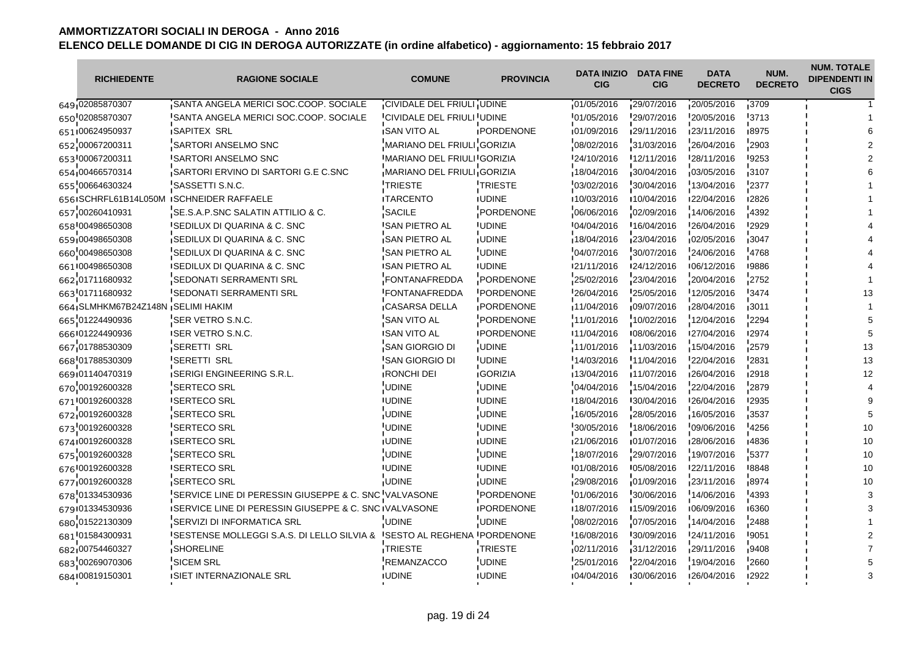$\overline{\phantom{a}}$ 

| <b>RICHIEDENTE</b>                | <b>RAGIONE SOCIALE</b>                                 | <b>COMUNE</b>                      | <b>PROVINCIA</b>  | <b>DATA INIZIO</b><br><b>CIG</b> | <b>DATA FINE</b><br><b>CIG</b> | <b>DATA</b><br><b>DECRETO</b> | NUM.<br><b>DECRETO</b> | <b>NUM. TOTALE</b><br><b>DIPENDENTI IN</b><br><b>CIGS</b> |
|-----------------------------------|--------------------------------------------------------|------------------------------------|-------------------|----------------------------------|--------------------------------|-------------------------------|------------------------|-----------------------------------------------------------|
| 649 02085870307                   | SANTA ANGELA MERICI SOC.COOP. SOCIALE                  | CIVIDALE DEL FRIULI UDINE          |                   | 01/05/2016                       | 29/07/2016                     | 20/05/2016                    | 13709                  |                                                           |
| 650 02085870307                   | SANTA ANGELA MERICI SOC.COOP. SOCIALE                  | CIVIDALE DEL FRIULI UDINE          |                   | 01/05/2016                       | 29/07/2016                     | 20/05/2016                    | 3713                   |                                                           |
| 651 00624950937                   | <b>ISAPITEX SRL</b>                                    | <b>ISAN VITO AL</b>                | <b>IPORDENONE</b> | 01/09/2016                       | 129/11/2016                    | 123/11/2016                   | 18975                  |                                                           |
| 652 00067200311                   | SARTORI ANSELMO SNC                                    | MARIANO DEL FRIULI GORIZIA         |                   | 08/02/2016                       | 31/03/2016                     | 26/04/2016                    | 2903                   |                                                           |
| 653 00067200311                   | <b>ISARTORI ANSELMO SNC</b>                            | IMARIANO DEL FRIULI GORIZIA        |                   | 124/10/2016                      | 12/11/2016                     | 128/11/2016                   | 19253                  |                                                           |
| 654 00466570314                   | SARTORI ERVINO DI SARTORI G.E C.SNC                    | MARIANO DEL FRIULI GORIZIA         |                   | 18/04/2016                       | 30/04/2016                     | 03/05/2016                    | $-3107$                |                                                           |
| 655 00664630324                   | SASSETTI S.N.C.                                        | <b>TRIESTE</b>                     | TRIESTE           | 03/02/2016                       | 30/04/2016                     | 13/04/2016                    | 2377                   |                                                           |
| 6561SCHRFL61B14L050M              | <b>ISCHNEIDER RAFFAELE</b>                             | <b>ITARCENTO</b>                   | <b>IUDINE</b>     | 10/03/2016                       | ■10/04/2016                    | 122/04/2016                   | ∎2826                  |                                                           |
| 657 00260410931                   | SE.S.A.P.SNC SALATIN ATTILIO & C.                      | SACILE                             | PORDENONE         | 06/06/2016                       | 02/09/2016                     | 14/06/2016                    | 4392                   |                                                           |
| 658 00498650308                   | <b>ISEDILUX DI QUARINA &amp; C. SNC</b>                | <b>I</b> SAN PIETRO AL             | <b>UDINE</b>      | 04/04/2016                       | 16/04/2016                     | 26/04/2016                    | 12929                  |                                                           |
| 659 00498650308                   | SEDILUX DI QUARINA & C. SNC                            | <b>SAN PIETRO AL</b>               | <b>UDINE</b>      | 18/04/2016                       | 23/04/2016                     | 02/05/2016                    | 3047                   |                                                           |
| 660 00498650308                   | SEDILUX DI QUARINA & C. SNC                            | <b>SAN PIETRO AL</b>               | <b>UDINE</b>      | 04/07/2016                       | 30/07/2016                     | 24/06/2016                    | 4768                   |                                                           |
| 661 00498650308                   | <b>ISEDILUX DI QUARINA &amp; C. SNC</b>                | <b>SAN PIETRO AL</b>               | <b>IUDINE</b>     | 121/11/2016                      | 124/12/2016                    | 106/12/2016                   | ■9886                  |                                                           |
| 662 01711680932                   | SEDONATI SERRAMENTI SRL                                | <b>FONTANAFREDDA</b>               | PORDENONE         | 25/02/2016                       | 23/04/2016                     | 20/04/2016                    | 2752                   |                                                           |
| 663 01711680932                   | <b>ISEDONATI SERRAMENTI SRL</b>                        | <b>FONTANAFREDDA</b>               | PORDENONE         | 26/04/2016                       | 25/05/2016                     | 12/05/2016                    | 3474                   |                                                           |
| 664 SLMHKM67B24Z148N SELIMI HAKIM |                                                        | CASARSA DELLA                      | PORDENONE         | 11/04/2016                       | 09/07/2016                     | 28/04/2016                    | 3011                   |                                                           |
| 665 01224490936                   | SER VETRO S.N.C.                                       | <b>SAN VITO AL</b>                 | PORDENONE         | 11/01/2016                       | 10/02/2016                     | 12/04/2016                    | 2294                   |                                                           |
| 666 01224490936                   | <b>ISER VETRO S.N.C.</b>                               | <b>ISAN VITO AL</b>                | <b>IPORDENONE</b> | 11/04/2016                       | 108/06/2016                    | 127/04/2016                   | 12974                  |                                                           |
| 667 01788530309                   | <b>SERETTI SRL</b>                                     | SAN GIORGIO DI                     | <b>UDINE</b>      | 11/01/2016                       | 11/03/2016                     | 15/04/2016                    | 2579                   | 13                                                        |
| 668 01788530309                   | <b>SERETTI SRL</b>                                     | <b>SAN GIORGIO DI</b>              | <b>UDINE</b>      | 14/03/2016                       | 11/04/2016                     | 22/04/2016                    | '2831                  | 13                                                        |
| 669.01140470319                   | <b>ISERIGI ENGINEERING S.R.L.</b>                      | <b>RONCHI DEI</b>                  | <b>GORIZIA</b>    | 13/04/2016                       | 11/07/2016                     | 26/04/2016                    | 12918                  | 12                                                        |
| 670 00192600328                   | <b>SERTECO SRL</b>                                     | <b>UDINE</b>                       | <b>UDINE</b>      | 04/04/2016                       | 15/04/2016                     | 22/04/2016                    | 2879                   |                                                           |
| 671 00192600328                   | <b>ISERTECO SRL</b>                                    | <b>IUDINE</b>                      | <b>IUDINE</b>     | 18/04/2016                       | 130/04/2016                    | 126/04/2016                   | <b>'2935</b>           |                                                           |
| 672,00192600328                   | <b>SERTECO SRL</b>                                     | <b>UDINE</b>                       | <b>UDINE</b>      | 16/05/2016                       | 28/05/2016                     | 16/05/2016                    | 3537                   |                                                           |
| 673 00192600328                   | <b>SERTECO SRL</b>                                     | <b>UDINE</b>                       | <b>UDINE</b>      | 30/05/2016                       | 18/06/2016                     | 09/06/2016                    | 4256                   | 10                                                        |
| 674100192600328                   | <b>ISERTECO SRL</b>                                    | <b>IUDINE</b>                      | <b>IUDINE</b>     | 121/06/2016                      | 101/07/2016                    | 128/06/2016                   | ∎4836                  | 10                                                        |
| 675 00192600328                   | <b>SERTECO SRL</b>                                     | <b>UDINE</b>                       | <b>UDINE</b>      | 18/07/2016                       | 29/07/2016                     | 19/07/2016                    | 5377                   | 10                                                        |
| 676 00192600328                   | <b>ISERTECO SRL</b>                                    | <b>UDINE</b>                       | <b>UDINE</b>      | 101/08/2016                      | '05/08/2016                    | 22/11/2016                    | <b>8848</b>            | 10                                                        |
| 677,00192600328                   | SERTECO SRL                                            | <b>UDINE</b>                       | <b>UDINE</b>      | 29/08/2016                       | 01/09/2016                     | 23/11/2016                    | 8974                   | 10                                                        |
| 678 01334530936                   | SERVICE LINE DI PERESSIN GIUSEPPE & C. SNC VALVASONE   |                                    | PORDENONE         | 01/06/2016                       | 30/06/2016                     | 14/06/2016                    | '4393                  |                                                           |
| 679 01334530936                   | ISERVICE LINE DI PERESSIN GIUSEPPE & C. SNC IVALVASONE |                                    | <b>IPORDENONE</b> | 18/07/2016                       | ■15/09/2016                    | 106/09/2016                   | ■6360                  |                                                           |
| 680 01522130309                   | SERVIZI DI INFORMATICA SRL                             | <b>UDINE</b>                       | <b>UDINE</b>      | 08/02/2016                       | 07/05/2016                     | 14/04/2016                    | 2488                   |                                                           |
| 681 01584300931                   | ISESTENSE MOLLEGGI S.A.S. DI LELLO SILVIA &            | <b>ISESTO AL REGHENA PORDENONE</b> |                   | 16/08/2016                       | 30/09/2016                     | 24/11/2016                    | '9051                  |                                                           |
| 682 00754460327                   | SHORELINE                                              | TRIESTE                            | <b>TRIESTE</b>    | 02/11/2016                       | 31/12/2016                     | 29/11/2016                    | ,9408                  |                                                           |
| 683 00269070306                   | <b>SICEM SRL</b>                                       | <b>REMANZACCO</b>                  | <b>UDINE</b>      | 25/01/2016                       | 22/04/2016                     | 19/04/2016                    | 2660                   |                                                           |
| 684 00819150301                   | <b>ISIET INTERNAZIONALE SRL</b>                        | <b>IUDINE</b>                      | <b>UDINE</b>      | 104/04/2016                      | 130/06/2016                    | 126/04/2016                   | 12922                  |                                                           |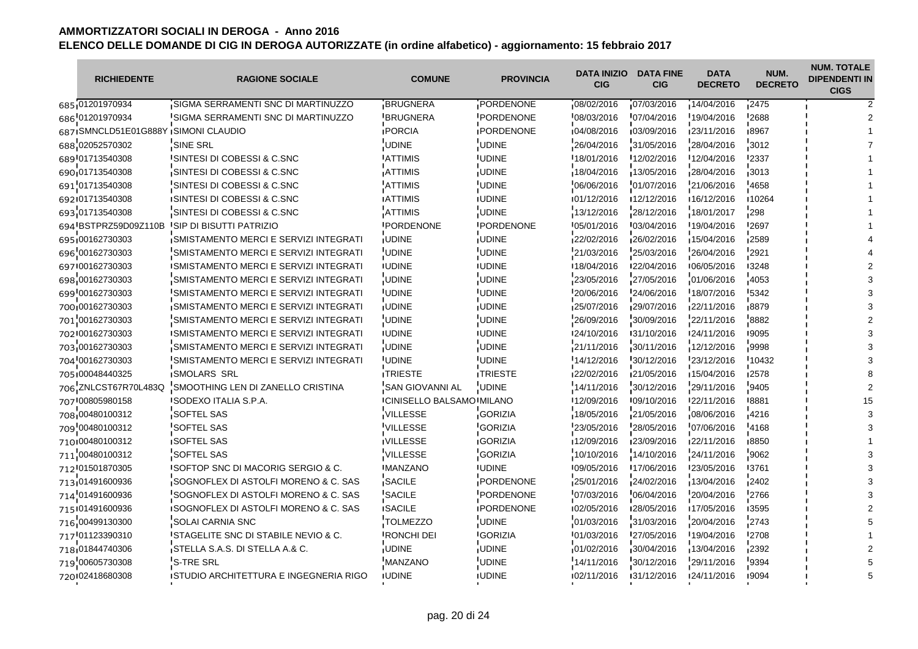| <b>RICHIEDENTE</b>                    | <b>RAGIONE SOCIALE</b>                           | <b>COMUNE</b>                     | <b>PROVINCIA</b>  | DATA INIZIO<br><b>CIG</b> | <b>DATA FINE</b><br><b>CIG</b> | <b>DATA</b><br><b>DECRETO</b> | NUM.<br><b>DECRETO</b> | <b>NUM. TOTALE</b><br><b>DIPENDENTI IN</b><br><b>CIGS</b> |
|---------------------------------------|--------------------------------------------------|-----------------------------------|-------------------|---------------------------|--------------------------------|-------------------------------|------------------------|-----------------------------------------------------------|
| 685 01201970934                       | SIGMA SERRAMENTI SNC DI MARTINUZZO               | <b>BRUGNERA</b>                   | PORDENONE         | 08/02/2016                | 07/03/2016                     | 14/04/2016                    | 12475                  |                                                           |
| 686 01201970934                       | SIGMA SERRAMENTI SNC DI MARTINUZZO               | <b>BRUGNERA</b>                   | <b>PORDENONE</b>  | 08/03/2016                | 07/04/2016                     | 19/04/2016                    | 2688                   |                                                           |
| 687 ISMNCLD51E01G888Y ISIMONI CLAUDIO |                                                  | <b>IPORCIA</b>                    | <b>IPORDENONE</b> | 04/08/2016                | 03/09/2016                     | 123/11/2016                   | ∎8967                  |                                                           |
| 688 02052570302                       | SINE SRL                                         | UDINE                             | <b>UDINE</b>      | 26/04/2016                | 31/05/2016                     | 28/04/2016                    | 3012                   |                                                           |
| 689 01713540308                       | ISINTESI DI COBESSI & C.SNC                      | <b>ATTIMIS</b>                    | <b>IUDINE</b>     | 18/01/2016                | 12/02/2016                     | 12/04/2016                    | '2337                  |                                                           |
| 690 01713540308                       | SINTESI DI COBESSI & C.SNC                       | <b>ATTIMIS</b>                    | <b>UDINE</b>      | 18/04/2016                | $-13/05/2016$                  | 28/04/2016                    | 3013                   |                                                           |
| 691 01713540308                       | SINTESI DI COBESSI & C.SNC                       | <b>ATTIMIS</b>                    | UDINE             | 06/06/2016                | $-01/07/2016$                  | 21/06/2016                    | 4658                   |                                                           |
| 692 01713540308                       | ISINTESI DI COBESSI & C.SNC                      | <b>ATTIMIS</b>                    | <b>IUDINE</b>     | 101/12/2016               | 12/12/2016                     | 16/12/2016                    | ∎10264                 |                                                           |
| 693 01713540308                       | SINTESI DI COBESSI & C.SNC                       | <b>ATTIMIS</b>                    | <b>UDINE</b>      | 13/12/2016                | 28/12/2016                     | 18/01/2017                    | 298                    |                                                           |
| 694 BSTPRZ59D09Z110B                  | <b>ISIP DI BISUTTI PATRIZIO</b>                  | <b>IPORDENONE</b>                 | <b>IPORDENONE</b> | 05/01/2016                | '03/04/2016                    | 19/04/2016                    | '2697                  |                                                           |
| 695 00162730303                       | SMISTAMENTO MERCI E SERVIZI INTEGRATI            | <b>JUDINE</b>                     | <b>UDINE</b>      | 22/02/2016                | 26/02/2016                     | 15/04/2016                    | 2589                   |                                                           |
| 696 00162730303                       | SMISTAMENTO MERCI E SERVIZI INTEGRATI            | <b>UDINE</b>                      | <b>UDINE</b>      | 21/03/2016                | 25/03/2016                     | 26/04/2016                    | 2921                   |                                                           |
| 697100162730303                       | <b>ISMISTAMENTO MERCI E SERVIZI INTEGRATI</b>    | <b>IUDINE</b>                     | <b>IUDINE</b>     | 18/04/2016                | 122/04/2016                    | 106/05/2016                   | 13248                  |                                                           |
| 698 00162730303                       | SMISTAMENTO MERCI E SERVIZI INTEGRATI            | <b>UDINE</b>                      | <b>UDINE</b>      | 23/05/2016                | 27/05/2016                     | 01/06/2016                    | 4053                   |                                                           |
| 699 00162730303                       | <b>ISMISTAMENTO MERCI E SERVIZI INTEGRATI</b>    | <b>UDINE</b>                      | <b>UDINE</b>      | 20/06/2016                | 24/06/2016                     | 18/07/2016                    | 5342                   |                                                           |
| 700 00162730303                       | <b>SMISTAMENTO MERCI E SERVIZI INTEGRATI</b>     | <b>JUDINE</b>                     | <b>UDINE</b>      | 25/07/2016                | 29/07/2016                     | 22/11/2016                    | 8879                   |                                                           |
| 701 00162730303                       | SMISTAMENTO MERCI E SERVIZI INTEGRATI            | UDINE                             | UDINE             | 26/09/2016                | 30/09/2016                     | 22/11/2016                    | 8882                   |                                                           |
| 702 00162730303                       | ISMISTAMENTO MERCI E SERVIZI INTEGRATI           | <b>IUDINE</b>                     | <b>IUDINE</b>     | 124/10/2016               | 131/10/2016                    | 124/11/2016                   | 19095                  |                                                           |
| 703 00162730303                       | SMISTAMENTO MERCI E SERVIZI INTEGRATI            | <b>UDINE</b>                      | <b>UDINE</b>      | 21/11/2016                | 30/11/2016                     | 12/12/2016                    | -9998                  |                                                           |
| 704 00162730303                       | <b>SMISTAMENTO MERCI E SERVIZI INTEGRATI</b>     | <b>UDINE</b>                      | <b>UDINE</b>      | 14/12/2016                | 30/12/2016                     | 23/12/2016                    | 10432                  |                                                           |
| 705 00048440325                       | <b>SMOLARS SRL</b>                               | <b>ITRIESTE</b>                   | <b>ITRIESTE</b>   | 22/02/2016                | 21/05/2016                     | 15/04/2016                    | 12578                  |                                                           |
| 706 ZNLCST67R70L483Q                  | SMOOTHING LEN DI ZANELLO CRISTINA                | <b>SAN GIOVANNI AL</b>            | <b>UDINE</b>      | 14/11/2016                | 30/12/2016                     | 29/11/2016                    | 9405                   |                                                           |
| 707 00805980158                       | ISODEXO ITALIA S.P.A.                            | <b>ICINISELLO BALSAMO IMILANO</b> |                   | 12/09/2016                | 109/10/2016                    | 122/11/2016                   | 8881                   |                                                           |
| 708 00480100312                       | <b>SOFTEL SAS</b>                                | VILLESSE                          | <b>GORIZIA</b>    | 18/05/2016                | 21/05/2016                     | 08/06/2016                    | 14216                  |                                                           |
| 709 00480100312                       | SOFTEL SAS                                       | <b>VILLESSE</b>                   | <b>GORIZIA</b>    | 23/05/2016                | 28/05/2016                     | 07/06/2016                    | 4168                   |                                                           |
| 710 00480100312                       | <b>ISOFTEL SAS</b>                               | <b>IVILLESSE</b>                  | <b>IGORIZIA</b>   | 12/09/2016                | 123/09/2016                    | 122/11/2016                   | 18850                  |                                                           |
| 711 00480100312                       | SOFTEL SAS                                       | <b>VILLESSE</b>                   | <b>GORIZIA</b>    | 10/10/2016                | 14/10/2016                     | 24/11/2016                    | 9062                   |                                                           |
| 712 01501870305                       | <b>ISOFTOP SNC DI MACORIG SERGIO &amp; C.</b>    | <b>MANZANO</b>                    | <b>UDINE</b>      | 09/05/2016                | 17/06/2016                     | 23/05/2016                    | '3761                  |                                                           |
| 713 01491600936                       | SOGNOFLEX DI ASTOLFI MORENO & C. SAS             | SACILE                            | PORDENONE         | 25/01/2016                | 24/02/2016                     | 13/04/2016                    | 2402                   |                                                           |
| 714 01491600936                       | SOGNOFLEX DI ASTOLFI MORENO & C. SAS             | SACILE                            | PORDENONE         | 07/03/2016                | 06/04/2016                     | 20/04/2016                    | 2766                   |                                                           |
| 715 01491600936                       | ISOGNOFLEX DI ASTOLFI MORENO & C. SAS            | <b>ISACILE</b>                    | <b>IPORDENONE</b> | 102/05/2016               | 128/05/2016                    | ■17/05/2016                   | ∎3595                  |                                                           |
| 716 00499130300                       | SOLAI CARNIA SNC                                 | <b>TOLMEZZO</b>                   | <b>UDINE</b>      | 01/03/2016                | 31/03/2016                     | 20/04/2016                    | 2743                   |                                                           |
| 717 01123390310                       | <sup>I</sup> STAGELITE SNC DI STABILE NEVIO & C. | <b>RONCHI DEI</b>                 | <b>GORIZIA</b>    | 01/03/2016                | 27/05/2016                     | 19/04/2016                    | 2708                   |                                                           |
| 718 01844740306                       | STELLA S.A.S. DI STELLA A.& C.                   | <b>JUDINE</b>                     | <b>UDINE</b>      | 01/02/2016                | 30/04/2016                     | 13/04/2016                    | 2392                   |                                                           |
| 719 00605730308                       | S-TRE SRL                                        | MANZANO                           | <b>UDINE</b>      | 14/11/2016                | 30/12/2016                     | 29/11/2016                    | 9394                   |                                                           |
| 720 02418680308                       | ISTUDIO ARCHITETTURA E INGEGNERIA RIGO           | <b>IUDINE</b>                     | <b>IUDINE</b>     | 102/11/2016               | 131/12/2016                    | 124/11/2016                   | ∎9094                  |                                                           |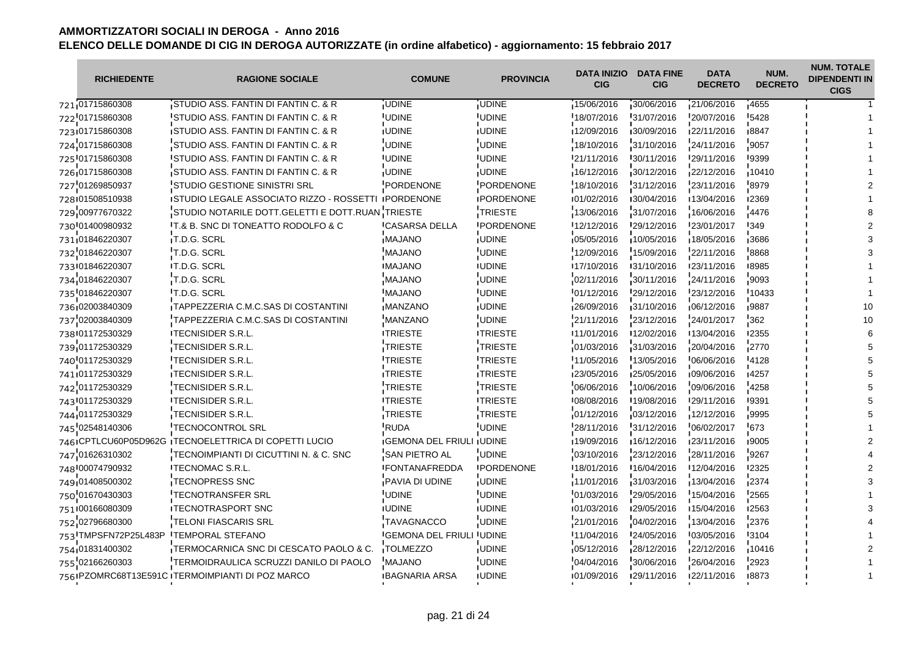| <b>RICHIEDENTE</b>   | <b>RAGIONE SOCIALE</b>                                | <b>COMUNE</b>                    | <b>PROVINCIA</b>  | <b>DATA INIZIO</b><br><b>CIG</b> | <b>DATA FINE</b><br><b>CIG</b> | <b>DATA</b><br><b>DECRETO</b> | NUM.<br><b>DECRETO</b> | <b>NUM. TOTALE</b><br><b>DIPENDENTI IN</b><br><b>CIGS</b> |
|----------------------|-------------------------------------------------------|----------------------------------|-------------------|----------------------------------|--------------------------------|-------------------------------|------------------------|-----------------------------------------------------------|
| 721 01715860308      | STUDIO ASS. FANTIN DI FANTIN C. & R                   | <b>JUDINE</b>                    | <b>UDINE</b>      | 15/06/2016                       | 30/06/2016                     | 21/06/2016                    | 14655                  |                                                           |
| 722 01715860308      | STUDIO ASS. FANTIN DI FANTIN C. & R                   | <b>UDINE</b>                     | <b>UDINE</b>      | 18/07/2016                       | 31/07/2016                     | 20/07/2016                    | 5428                   |                                                           |
| 723 01715860308      | <b>ISTUDIO ASS. FANTIN DI FANTIN C. &amp; R</b>       | <b>IUDINE</b>                    | <b>IUDINE</b>     | 12/09/2016                       | 130/09/2016                    | 122/11/2016                   | 18847                  |                                                           |
| 724 01715860308      | STUDIO ASS. FANTIN DI FANTIN C. & R                   | UDINE                            | <b>UDINE</b>      | 18/10/2016                       | 31/10/2016                     | 24/11/2016                    | 9057                   |                                                           |
| 725 01715860308      | <b>ISTUDIO ASS. FANTIN DI FANTIN C. &amp; R</b>       | <b>JUDINE</b>                    | <b>IUDINE</b>     | 21/11/2016                       | 130/11/2016                    | 129/11/2016                   | 19399                  |                                                           |
| 726,01715860308      | STUDIO ASS. FANTIN DI FANTIN C. & R                   | <b>UDINE</b>                     | <b>UDINE</b>      | 16/12/2016                       | 30/12/2016                     | 22/12/2016                    | 10410                  |                                                           |
| 727 01269850937      | STUDIO GESTIONE SINISTRI SRL                          | PORDENONE                        | PORDENONE         | 18/10/2016                       | 31/12/2016                     | 23/11/2016                    | 8979                   |                                                           |
| 728 01508510938      | ISTUDIO LEGALE ASSOCIATO RIZZO - ROSSETTI IPORDENONE  |                                  | <b>IPORDENONE</b> | 101/02/2016                      | 130/04/2016                    | ■13/04/2016                   | 12369                  |                                                           |
| 729 00977670322      | STUDIO NOTARILE DOTT.GELETTI E DOTT.RUAN TRIESTE      |                                  | TRIESTE           | 13/06/2016                       | 31/07/2016                     | 16/06/2016                    | 4476                   |                                                           |
| 730 01400980932      | IT.& B. SNC DI TONEATTO RODOLFO & C                   | <b>CASARSA DELLA</b>             | <b>IPORDENONE</b> | 12/12/2016                       | 129/12/2016                    | 123/01/2017                   | <b>349</b>             |                                                           |
| 731 01846220307      | T.D.G. SCRL                                           | <b>MAJANO</b>                    | <b>UDINE</b>      | 05/05/2016                       | 10/05/2016                     | 18/05/2016                    | 3686                   |                                                           |
| 732 01846220307      | T.D.G. SCRL                                           | <b>MAJANO</b>                    | <b>UDINE</b>      | 12/09/2016                       | 15/09/2016                     | 22/11/2016                    | 8868                   |                                                           |
| 733 01846220307      | <b>IT.D.G. SCRL</b>                                   | <b>IMAJANO</b>                   | <b>IUDINE</b>     | ∎17/10/2016                      | 131/10/2016                    | 123/11/2016                   | 18985                  |                                                           |
| 734 01846220307      | T.D.G. SCRL                                           | <b>MAJANO</b>                    | <b>UDINE</b>      | 02/11/2016                       | 30/11/2016                     | 24/11/2016                    | 9093                   |                                                           |
| 735 01846220307      | T.D.G. SCRL                                           | <b>MAJANO</b>                    | <b>UDINE</b>      | 01/12/2016                       | 29/12/2016                     | 23/12/2016                    | 10433                  |                                                           |
| 736 02003840309      | TAPPEZZERIA C.M.C.SAS DI COSTANTINI                   | <b>MANZANO</b>                   | <b>UDINE</b>      | 26/09/2016                       | 31/10/2016                     | 06/12/2016                    | ∎9887                  | 10                                                        |
| 737 02003840309      | TAPPEZZERIA C.M.C.SAS DI COSTANTINI                   | <b>MANZANO</b>                   | <b>UDINE</b>      | 21/11/2016                       | 23/12/2016                     | 24/01/2017                    | 362                    | 10                                                        |
| 738 01172530329      | <b>ITECNISIDER S.R.L.</b>                             | <b>ITRIESTE</b>                  | <b>ITRIESTE</b>   | 11/01/2016                       | 12/02/2016                     | 13/04/2016                    | <b>'2355</b>           |                                                           |
| 739 01172530329      | TECNISIDER S.R.L.                                     | <b>TRIESTE</b>                   | TRIESTE           | 01/03/2016                       | 31/03/2016                     | 20/04/2016                    | 2770                   |                                                           |
| 740'01172530329      | TECNISIDER S.R.L.                                     | <b>TRIESTE</b>                   | <b>TRIESTE</b>    | 11/05/2016                       | 13/05/2016                     | 06/06/2016                    | 4128                   |                                                           |
| 741 01172530329      | TECNISIDER S.R.L.                                     | <b>ITRIESTE</b>                  | <b>TRIESTE</b>    | 123/05/2016                      | 125/05/2016                    | 09/06/2016                    | 14257                  |                                                           |
| 742 01172530329      | TECNISIDER S.R.L.                                     | <b>TRIESTE</b>                   | TRIESTE           | 06/06/2016                       | 10/06/2016                     | 09/06/2016                    | 4258                   |                                                           |
| 743 01172530329      | <b>ITECNISIDER S.R.L.</b>                             | <b>ITRIESTE</b>                  | <b>ITRIESTE</b>   | 108/08/2016                      | 19/08/2016                     | 129/11/2016                   | 19391                  |                                                           |
| 744 01172530329      | TECNISIDER S.R.L.                                     | <b>TRIESTE</b>                   | TRIESTE           | 01/12/2016                       | 03/12/2016                     | 12/12/2016                    | 9995                   |                                                           |
| 745 02548140306      | TECNOCONTROL SRL                                      | <b>RUDA</b>                      | <b>UDINE</b>      | 28/11/2016                       | 31/12/2016                     | 06/02/2017                    | $-673$                 |                                                           |
|                      | 746 CPTLCU60P05D962G ITECNOELETTRICA DI COPETTI LUCIO | <b>IGEMONA DEL FRIULI IUDINE</b> |                   | 19/09/2016                       | 16/12/2016                     | 123/11/2016                   | ∎9005                  |                                                           |
| 747 01626310302      | TECNOIMPIANTI DI CICUTTINI N. & C. SNC                | SAN PIETRO AL                    | <b>UDINE</b>      | 03/10/2016                       | 23/12/2016                     | 28/11/2016                    | 9267                   |                                                           |
| 748 00074790932      | <b>ITECNOMAC S.R.L.</b>                               | <b><i>FONTANAFREDDA</i></b>      | <b>IPORDENONE</b> | 18/01/2016                       | 16/04/2016                     | 12/04/2016                    | 2325                   |                                                           |
| 749 01408500302      | <b>TECNOPRESS SNC</b>                                 | <b>PAVIA DI UDINE</b>            | <b>UDINE</b>      | 11/01/2016                       | 31/03/2016                     | 13/04/2016                    | 2374                   |                                                           |
| 750 01670430303      | <b>TECNOTRANSFER SRL</b>                              | UDINE                            | <b>UDINE</b>      | 01/03/2016                       | 29/05/2016                     | 15/04/2016                    | 2565                   |                                                           |
| 751 00166080309      | <b>ITECNOTRASPORT SNC</b>                             | <b>IUDINE</b>                    | <b>IUDINE</b>     | ■01/03/2016                      | 129/05/2016                    | 15/04/2016                    | 12563                  |                                                           |
| 752 02796680300      | TELONI FIASCARIS SRL                                  | TAVAGNACCO                       | <b>UDINE</b>      | 21/01/2016                       | 04/02/2016                     | 13/04/2016                    | 2376                   |                                                           |
| 753 TMPSFN72P25L483P | <b>ITEMPORAL STEFANO</b>                              | <b>IGEMONA DEL FRIULI IUDINE</b> |                   | 11/04/2016                       | 24/05/2016                     | 03/05/2016                    | 3104                   |                                                           |
| 754 01831400302      | TERMOCARNICA SNC DI CESCATO PAOLO & C.                | <b>TOLMEZZO</b>                  | <b>UDINE</b>      | 05/12/2016                       | 28/12/2016                     | 22/12/2016                    | 10416                  |                                                           |
| 755 02166260303      | TERMOIDRAULICA SCRUZZI DANILO DI PAOLO                | <b>MAJANO</b>                    | <b>UDINE</b>      | 04/04/2016                       | 30/06/2016                     | 26/04/2016                    | 2923                   |                                                           |
|                      | 756 PZOMRC68T13E591C ITERMOIMPIANTI DI POZ MARCO      | <b>BAGNARIA ARSA</b>             | <b>UDINE</b>      | 101/09/2016                      | 129/11/2016                    | 122/11/2016                   | 18873                  |                                                           |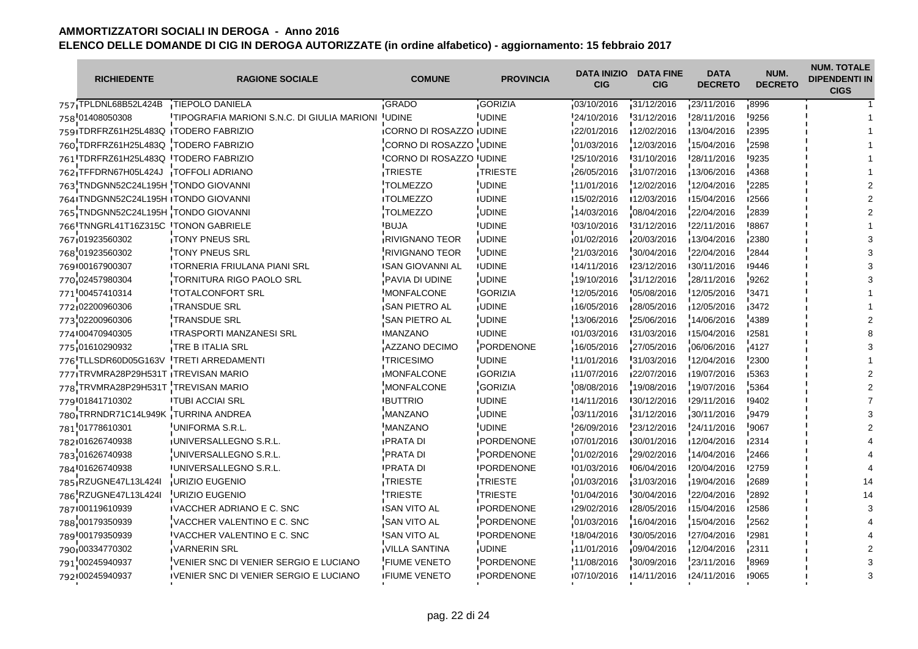| <b>RICHIEDENTE</b>                   | <b>RAGIONE SOCIALE</b>                      | <b>COMUNE</b>                    | <b>PROVINCIA</b>  | <b>DATA INIZIO</b><br><b>CIG</b> | <b>DATA FINE</b><br><b>CIG</b> | <b>DATA</b><br><b>DECRETO</b> | NUM.<br><b>DECRETO</b> | <b>NUM. TOTALE</b><br><b>DIPENDENTI IN</b><br><b>CIGS</b> |
|--------------------------------------|---------------------------------------------|----------------------------------|-------------------|----------------------------------|--------------------------------|-------------------------------|------------------------|-----------------------------------------------------------|
| 757 TPLDNL68B52L424B                 | TIEPOLO DANIELA                             | GRADO                            | <b>GORIZIA</b>    | 03/10/2016                       | 31/12/2016                     | 23/11/2016                    | -8996                  |                                                           |
| 758 01408050308                      | TIPOGRAFIA MARIONI S.N.C. DI GIULIA MARIONI | <b>UDINE</b>                     | <b>UDINE</b>      | 24/10/2016                       | 31/12/2016                     | 28/11/2016                    | 9256                   |                                                           |
| 759 TDRFRZ61H25L483Q TODERO FABRIZIO |                                             | <b>ICORNO DI ROSAZZO I UDINE</b> |                   | 122/01/2016                      | 12/02/2016                     | 13/04/2016                    | ∎2395                  |                                                           |
| 760 TDRFRZ61H25L483Q TODERO FABRIZIO |                                             | CORNO DI ROSAZZO UDINE           |                   | 01/03/2016                       | 12/03/2016                     | 15/04/2016                    | 2598                   |                                                           |
| 761 TDRFRZ61H25L483Q TODERO FABRIZIO |                                             | <b>CORNO DI ROSAZZO UDINE</b>    |                   | 25/10/2016                       | 131/10/2016                    | 128/11/2016                   | 19235                  |                                                           |
| 762 TFFDRN67H05L424J                 | <b>TOFFOLI ADRIANO</b>                      | <b>TRIESTE</b>                   | TRIESTE           | 26/05/2016                       | 31/07/2016                     | 13/06/2016                    | 4368                   |                                                           |
| 763 TNDGNN52C24L195H TONDO GIOVANNI  |                                             | <b>TOLMEZZO</b>                  | <b>UDINE</b>      | 11/01/2016                       | 12/02/2016                     | 12/04/2016                    | 2285                   |                                                           |
| 764 TNDGNN52C24L195H TONDO GIOVANNI  |                                             | <b>ITOLMEZZO</b>                 | <b>IUDINE</b>     | 15/02/2016                       | 12/03/2016                     | 15/04/2016                    | 12566                  |                                                           |
| 765 TNDGNN52C24L195H TONDO GIOVANNI  |                                             | <b>TOLMEZZO</b>                  | <b>UDINE</b>      | 14/03/2016                       | 08/04/2016                     | 22/04/2016                    | 2839                   |                                                           |
| 766 TNNGRL41T16Z315C TONON GABRIELE  |                                             | <b>BUJA</b>                      | <b>IUDINE</b>     | 03/10/2016                       | 31/12/2016                     | 22/11/2016                    | 8867                   |                                                           |
| 767 01923560302                      | <b>TONY PNEUS SRL</b>                       | <b>RIVIGNANO TEOR</b>            | <b>UDINE</b>      | 01/02/2016                       | 20/03/2016                     | 13/04/2016                    | 2380                   |                                                           |
| 768 01923560302                      | TONY PNEUS SRL                              | <b>RIVIGNANO TEOR</b>            | <b>UDINE</b>      | 21/03/2016                       | 30/04/2016                     | 22/04/2016                    | 2844                   |                                                           |
| 769 00167900307                      | <b>ITORNERIA FRIULANA PIANI SRL</b>         | <b>ISAN GIOVANNI AL</b>          | <b>IUDINE</b>     | 14/11/2016                       | 123/12/2016                    | 130/11/2016                   | ∎9446                  |                                                           |
| 770 02457980304                      | TORNITURA RIGO PAOLO SRL                    | PAVIA DI UDINE                   | <b>UDINE</b>      | 19/10/2016                       | 31/12/2016                     | 28/11/2016                    | 9262                   |                                                           |
| 771'00457410314                      | <b>TOTALCONFORT SRL</b>                     | <b>IMONFALCONE</b>               | <b>GORIZIA</b>    | 12/05/2016                       | 05/08/2016                     | 12/05/2016                    | '3471                  |                                                           |
| 772 02200960306                      | <b>TRANSDUE SRL</b>                         | <b>SAN PIETRO AL</b>             | <b>UDINE</b>      | 16/05/2016                       | 28/05/2016                     | 12/05/2016                    | 3472                   |                                                           |
| 773 02200960306                      | <b>TRANSDUE SRL</b>                         | <b>SAN PIETRO AL</b>             | <b>UDINE</b>      | 13/06/2016                       | 25/06/2016                     | 14/06/2016                    | 4389                   |                                                           |
| 774 00470940305                      | <b>ITRASPORTI MANZANESI SRL</b>             | <b>IMANZANO</b>                  | <b>IUDINE</b>     | 101/03/2016                      | 131/03/2016                    | 15/04/2016                    | <b>2581</b>            |                                                           |
| 775 01610290932                      | TRE B ITALIA SRL                            | AZZANO DECIMO                    | PORDENONE         | 16/05/2016                       | 27/05/2016                     | 06/06/2016                    | 4127                   |                                                           |
| 776 TLLSDR60D05G163V                 | <b>TRETI ARREDAMENTI</b>                    | <b>TRICESIMO</b>                 | <b>UDINE</b>      | 11/01/2016                       | 31/03/2016                     | 12/04/2016                    | '2300                  |                                                           |
| 777 TRVMRA28P29H531T TREVISAN MARIO  |                                             | <b>MONFALCONE</b>                | <b>GORIZIA</b>    | 11/07/2016                       | 22/07/2016                     | 19/07/2016                    | ∎5363                  |                                                           |
| 778 TRVMRA28P29H531T TREVISAN MARIO  |                                             | <b>MONFALCONE</b>                | <b>GORIZIA</b>    | 08/08/2016                       | 19/08/2016                     | 19/07/2016                    | 5364                   |                                                           |
| 779 01841710302                      | <b>ITUBI ACCIAI SRL</b>                     | <b>BUTTRIO</b>                   | <b>IUDINE</b>     | 14/11/2016                       | 130/12/2016                    | 129/11/2016                   | 19402                  |                                                           |
| 780 TRRNDR71C14L949K TURRINA ANDREA  |                                             | MANZANO                          | <b>UDINE</b>      | 03/11/2016                       | 31/12/2016                     | 30/11/2016                    | $-9479$                |                                                           |
| 781 01778610301                      | UNIFORMA S.R.L.                             | <b>MANZANO</b>                   | <b>UDINE</b>      | 26/09/2016                       | 23/12/2016                     | 24/11/2016                    | 9067                   |                                                           |
| 782101626740938                      | IUNIVERSALLEGNO S.R.L.                      | <b>IPRATA DI</b>                 | <b>IPORDENONE</b> | 07/01/2016                       | 130/01/2016                    | 12/04/2016                    | 12314                  |                                                           |
| 783 01626740938                      | UNIVERSALLEGNO S.R.L.                       | <b>PRATA DI</b>                  | PORDENONE         | 01/02/2016                       | 29/02/2016                     | 14/04/2016                    | 2466                   |                                                           |
| 784 01626740938                      | <b>IUNIVERSALLEGNO S.R.L.</b>               | <b>PRATA DI</b>                  | <b>IPORDENONE</b> | 01/03/2016                       | '06/04/2016                    | 120/04/2016                   | <b>2759</b>            |                                                           |
| 785 RZUGNE47L13L424I                 | <b>URIZIO EUGENIO</b>                       | TRIESTE                          | TRIESTE           | 01/03/2016                       | 31/03/2016                     | 19/04/2016                    | 2689                   |                                                           |
| 786 RZUGNE47L13L424I                 | URIZIO EUGENIO                              | TRIESTE                          | <b>TRIESTE</b>    | 01/04/2016                       | 30/04/2016                     | 22/04/2016                    | 2892                   |                                                           |
| 787 00119610939                      | IVACCHER ADRIANO E C. SNC                   | <b>ISAN VITO AL</b>              | <b>IPORDENONE</b> | 129/02/2016                      | 128/05/2016                    | 15/04/2016                    | 12586                  |                                                           |
| 788 00179350939                      | VACCHER VALENTINO E C. SNC                  | SAN VITO AL                      | PORDENONE         | 01/03/2016                       | 16/04/2016                     | 15/04/2016                    | 2562                   |                                                           |
| 789 00179350939                      | <b>IVACCHER VALENTINO E C. SNC</b>          | <b>SAN VITO AL</b>               | <b>IPORDENONE</b> | 18/04/2016                       | 30/05/2016                     | 27/04/2016                    | '2981                  |                                                           |
| 790 00334770302                      | <b>VARNERIN SRL</b>                         | VILLA SANTINA                    | <b>UDINE</b>      | 11/01/2016                       | 09/04/2016                     | 12/04/2016                    | 12311                  |                                                           |
| 791 00245940937                      | VENIER SNC DI VENIER SERGIO E LUCIANO       | <b>FIUME VENETO</b>              | PORDENONE         | 11/08/2016                       | 30/09/2016                     | 23/11/2016                    | 8969                   |                                                           |
| 792 00245940937                      | IVENIER SNC DI VENIER SERGIO E LUCIANO      | <b>IFIUME VENETO</b>             | <b>IPORDENONE</b> | 07/10/2016                       | 14/11/2016                     | 124/11/2016                   | 19065                  |                                                           |
|                                      |                                             |                                  |                   |                                  |                                |                               |                        |                                                           |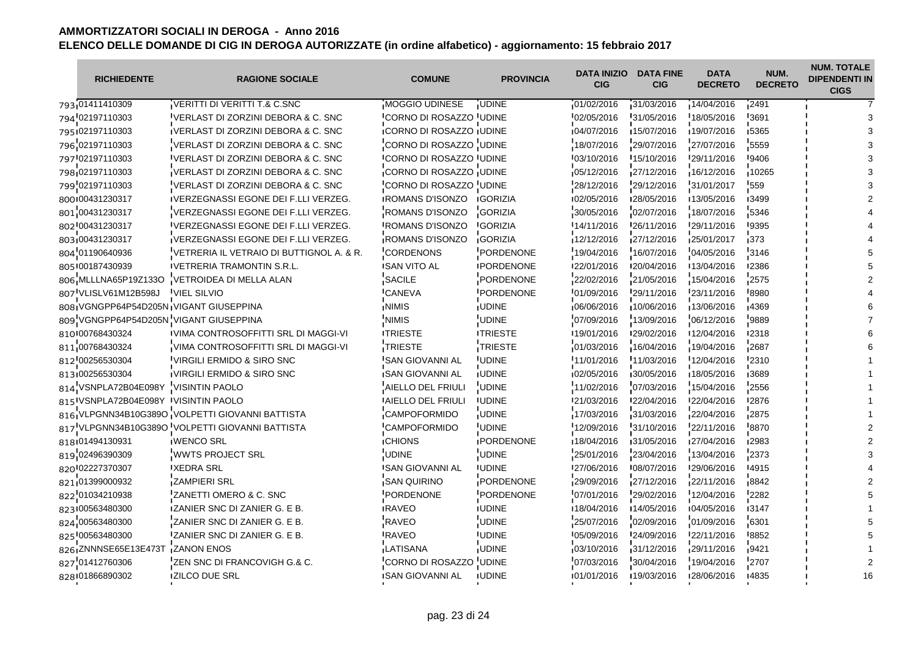| <b>RICHIEDENTE</b>                  | <b>RAGIONE SOCIALE</b>                          | <b>COMUNE</b>                    | <b>PROVINCIA</b>  | <b>DATA INIZIO</b><br><b>CIG</b> | <b>DATA FINE</b><br><b>CIG</b> | <b>DATA</b><br><b>DECRETO</b> | NUM.<br><b>DECRETO</b> | <b>NUM. TOTALE</b><br><b>DIPENDENTI IN</b><br><b>CIGS</b> |
|-------------------------------------|-------------------------------------------------|----------------------------------|-------------------|----------------------------------|--------------------------------|-------------------------------|------------------------|-----------------------------------------------------------|
| 793 01411410309                     | <b>VERITTI DI VERITTI T.&amp; C.SNC</b>         | MOGGIO UDINESE                   | <b>UDINE</b>      | 01/02/2016                       | 31/03/2016                     | 14/04/2016                    | 2491                   |                                                           |
| 794 02197110303                     | VERLAST DI ZORZINI DEBORA & C. SNC              | CORNO DI ROSAZZO UDINE           |                   | 02/05/2016                       | 31/05/2016                     | 18/05/2016                    | '3691                  |                                                           |
| 795102197110303                     | IVERLAST DI ZORZINI DEBORA & C. SNC             | <b>CORNO DI ROSAZZO IUDINE</b>   |                   | 04/07/2016                       | 15/07/2016                     | 19/07/2016                    | ∎5365                  |                                                           |
| 796 02197110303                     | VERLAST DI ZORZINI DEBORA & C. SNC              | CORNO DI ROSAZZO UDINE           |                   | 18/07/2016                       | 29/07/2016                     | 27/07/2016                    | 5559                   |                                                           |
| 797 02197110303                     | IVERLAST DI ZORZINI DEBORA & C. SNC             | <b>ICORNO DI ROSAZZO I UDINE</b> |                   | 03/10/2016                       | 15/10/2016                     | 129/11/2016                   | <b>19406</b>           |                                                           |
| 798 02197110303                     | VERLAST DI ZORZINI DEBORA & C. SNC              | CORNO DI ROSAZZO UDINE           |                   | 05/12/2016                       | 27/12/2016                     | 16/12/2016                    | 10265                  |                                                           |
| 799 02197110303                     | VERLAST DI ZORZINI DEBORA & C. SNC              | CORNO DI ROSAZZO UDINE           |                   | 28/12/2016                       | 29/12/2016                     | 31/01/2017                    | '559                   |                                                           |
| 800100431230317                     | IVERZEGNASSI EGONE DEI F.LLI VERZEG.            | <b>ROMANS D'ISONZO</b>           | <b>IGORIZIA</b>   | 02/05/2016                       | 128/05/2016                    | 13/05/2016                    | <b>13499</b>           |                                                           |
| 801 00431230317                     | VERZEGNASSI EGONE DEI F.LLI VERZEG.             | ROMANS D'ISONZO                  | <b>GORIZIA</b>    | 30/05/2016                       | 02/07/2016                     | 18/07/2016                    | 5346                   |                                                           |
| 802 00431230317                     | <b>IVERZEGNASSI EGONE DEI F.LLI VERZEG.</b>     | <b>IROMANS D'ISONZO</b>          | <b>GORIZIA</b>    | 14/11/2016                       | 26/11/2016                     | 29/11/2016                    | -9395                  |                                                           |
| 803,00431230317                     | VERZEGNASSI EGONE DEI F.LLI VERZEG.             | <b>ROMANS D'ISONZO</b>           | <b>GORIZIA</b>    | 12/12/2016                       | 27/12/2016                     | 25/01/2017                    | 373                    |                                                           |
| 804 01190640936                     | VETRERIA IL VETRAIO DI BUTTIGNOL A. & R.        | <b>CORDENONS</b>                 | PORDENONE         | 19/04/2016                       | 16/07/2016                     | 04/05/2016                    | 3146                   |                                                           |
| 805 00187430939                     | <b>IVETRERIA TRAMONTIN S.R.L.</b>               | <b>ISAN VITO AL</b>              | <b>IPORDENONE</b> | 122/01/2016                      | 120/04/2016                    | 13/04/2016                    | 12386                  |                                                           |
| 806 MLLLNA65P19Z133O                | VETROIDEA DI MELLA ALAN                         | SACILE                           | PORDENONE         | 22/02/2016                       | 21/05/2016                     | 15/04/2016                    | 2575                   |                                                           |
| 807 VLISLV61M12B598J                | <b>VIEL SILVIO</b>                              | <b>CANEVA</b>                    | PORDENONE         | 01/09/2016                       | 29/11/2016                     | 23/11/2016                    | 8980                   |                                                           |
|                                     | 808 VGNGPP64P54D205N VIGANT GIUSEPPINA          | <b>NIMIS</b>                     | <b>UDINE</b>      | 06/06/2016                       | 10/06/2016                     | 13/06/2016                    | <b>4369</b>            |                                                           |
|                                     | 809 VGNGPP64P54D205N VIGANT GIUSEPPINA          | <b>NIMIS</b>                     | UDINE             | 07/09/2016                       | 13/09/2016                     | 06/12/2016                    | 9889                   |                                                           |
| 810 00768430324                     | IVIMA CONTROSOFFITTI SRL DI MAGGI-VI            | <b>ITRIESTE</b>                  | <b>ITRIESTE</b>   | 19/01/2016                       | 129/02/2016                    | 12/04/2016                    | <b>I2318</b>           |                                                           |
| 811 00768430324                     | VIMA CONTROSOFFITTI SRL DI MAGGI-VI             | TRIESTE                          | TRIESTE           | 01/03/2016                       | 16/04/2016                     | 19/04/2016                    | 2687                   |                                                           |
| 812 00256530304                     | VIRGILI ERMIDO & SIRO SNC                       | <b>SAN GIOVANNI AL</b>           | <b>UDINE</b>      | 11/01/2016                       | 11/03/2016                     | 12/04/2016                    | 2310                   |                                                           |
| 813100256530304                     | IVIRGILI ERMIDO & SIRO SNC                      | <b>SAN GIOVANNI AL</b>           | <b>UDINE</b>      | 02/05/2016                       | 30/05/2016                     | 18/05/2016                    | ,3689                  |                                                           |
| 814 VSNPLA72B04E098Y                | <b>VISINTIN PAOLO</b>                           | AIELLO DEL FRIULI                | <b>UDINE</b>      | 11/02/2016                       | '07/03/2016                    | 15/04/2016                    | 2556                   |                                                           |
| 815 VSNPLA72B04E098Y VISINTIN PAOLO |                                                 | <b>AIELLO DEL FRIULI</b>         | <b>IUDINE</b>     | 121/03/2016                      | 122/04/2016                    | 122/04/2016                   | '2876                  |                                                           |
|                                     | 816 VLPGNN34B10G389O VOLPETTI GIOVANNI BATTISTA | CAMPOFORMIDO                     | <b>UDINE</b>      | 17/03/2016                       | 31/03/2016                     | 22/04/2016                    | 12875                  |                                                           |
|                                     | 817 VLPGNN34B10G389O VOLPETTI GIOVANNI BATTISTA | <b>CAMPOFORMIDO</b>              | <b>UDINE</b>      | 12/09/2016                       | 31/10/2016                     | 22/11/2016                    | 8870                   |                                                           |
| 818 01494130931                     | <b>IWENCO SRL</b>                               | <b>ICHIONS</b>                   | <b>IPORDENONE</b> | ■18/04/2016                      | 131/05/2016                    | 127/04/2016                   | <b>12983</b>           |                                                           |
| 819 02496390309                     | <b>WWTS PROJECT SRL</b>                         | <b>UDINE</b>                     | <b>UDINE</b>      | 25/01/2016                       | 23/04/2016                     | 13/04/2016                    | 2373                   |                                                           |
| 820 02227370307                     | <b>XEDRA SRL</b>                                | <b>I</b> SAN GIOVANNI AL         | <b>IUDINE</b>     | 27/06/2016                       | '08/07/2016                    | 29/06/2016                    | -4915                  |                                                           |
| 821 01399000932                     | ZAMPIERI SRL                                    | <b>SAN QUIRINO</b>               | PORDENONE         | 29/09/2016                       | 27/12/2016                     | 22/11/2016                    | 8842                   |                                                           |
| 822 01034210938                     | ZANETTI OMERO & C. SNC                          | PORDENONE                        | PORDENONE         | 07/01/2016                       | 29/02/2016                     | 12/04/2016                    | 2282                   |                                                           |
| 823 00563480300                     | <b>IZANIER SNC DI ZANIER G. E B.</b>            | <b>IRAVEO</b>                    | <b>IUDINE</b>     | 18/04/2016                       | ■14/05/2016                    | 104/05/2016                   | 13147                  |                                                           |
| 824 00563480300                     | ZANIER SNC DI ZANIER G. E B.                    | <b>RAVEO</b>                     | <b>UDINE</b>      | 25/07/2016                       | 02/09/2016                     | 01/09/2016                    | 6301                   |                                                           |
| 825 00563480300                     | ZANIER SNC DI ZANIER G. E B.                    | <b>RAVEO</b>                     | <b>UDINE</b>      | 05/09/2016                       | 24/09/2016                     | 22/11/2016                    | 8852                   |                                                           |
| 826 ZNNNSE65E13E473T                | <b>ZANON ENOS</b>                               | <b>LATISANA</b>                  | <b>UDINE</b>      | 03/10/2016                       | 31/12/2016                     | 29/11/2016                    | ,9421                  |                                                           |
| 827 01412760306                     | ZEN SNC DI FRANCOVIGH G.& C.                    | CORNO DI ROSAZZO                 | <b>UDINE</b>      | 07/03/2016                       | 30/04/2016                     | 19/04/2016                    | 2707                   |                                                           |
| 828 01866890302                     | <b>IZILCO DUE SRL</b>                           | <b>ISAN GIOVANNI AL</b>          | <b>UDINE</b>      | 101/01/2016                      | 19/03/2016                     | 128/06/2016                   | 14835                  | 16                                                        |